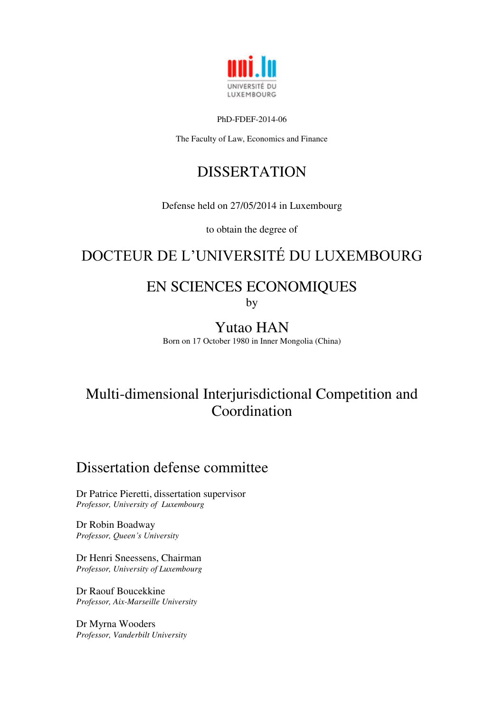

#### PhD-FDEF-2014-06

The Faculty of Law, Economics and Finance

## DISSERTATION

Defense held on 27/05/2014 in Luxembourg

to obtain the degree of

# DOCTEUR DE L'UNIVERSITÉ DU LUXEMBOURG

# EN SCIENCES ECONOMIQUES

by

#### Yutao HAN Born on 17 October 1980 in Inner Mongolia (China)

# Multi-dimensional Interjurisdictional Competition and Coordination

## Dissertation defense committee

Dr Patrice Pieretti, dissertation supervisor *Professor, University of Luxembourg* 

Dr Robin Boadway *Professor, Queen's University* 

Dr Henri Sneessens, Chairman *Professor, University of Luxembourg* 

Dr Raouf Boucekkine *Professor, Aix-Marseille University* 

Dr Myrna Wooders *Professor, Vanderbilt University*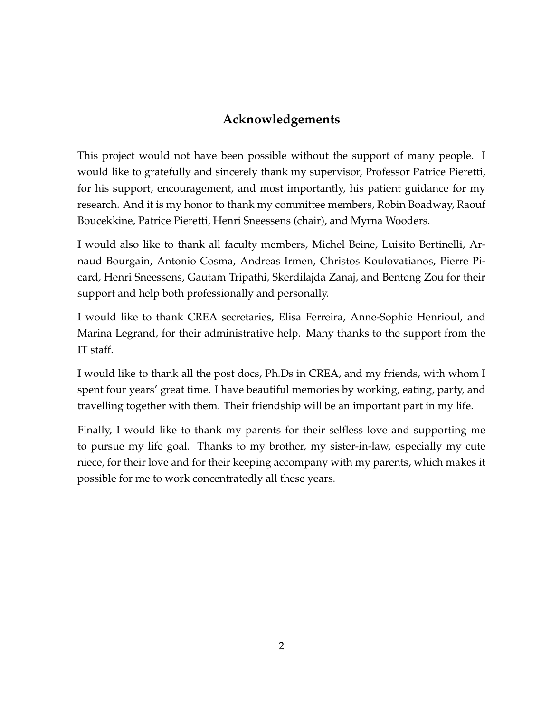#### **Acknowledgements**

This project would not have been possible without the support of many people. I would like to gratefully and sincerely thank my supervisor, Professor Patrice Pieretti, for his support, encouragement, and most importantly, his patient guidance for my research. And it is my honor to thank my committee members, Robin Boadway, Raouf Boucekkine, Patrice Pieretti, Henri Sneessens (chair), and Myrna Wooders.

I would also like to thank all faculty members, Michel Beine, Luisito Bertinelli, Arnaud Bourgain, Antonio Cosma, Andreas Irmen, Christos Koulovatianos, Pierre Picard, Henri Sneessens, Gautam Tripathi, Skerdilajda Zanaj, and Benteng Zou for their support and help both professionally and personally.

I would like to thank CREA secretaries, Elisa Ferreira, Anne-Sophie Henrioul, and Marina Legrand, for their administrative help. Many thanks to the support from the IT staff.

I would like to thank all the post docs, Ph.Ds in CREA, and my friends, with whom I spent four years' great time. I have beautiful memories by working, eating, party, and travelling together with them. Their friendship will be an important part in my life.

Finally, I would like to thank my parents for their selfless love and supporting me to pursue my life goal. Thanks to my brother, my sister-in-law, especially my cute niece, for their love and for their keeping accompany with my parents, which makes it possible for me to work concentratedly all these years.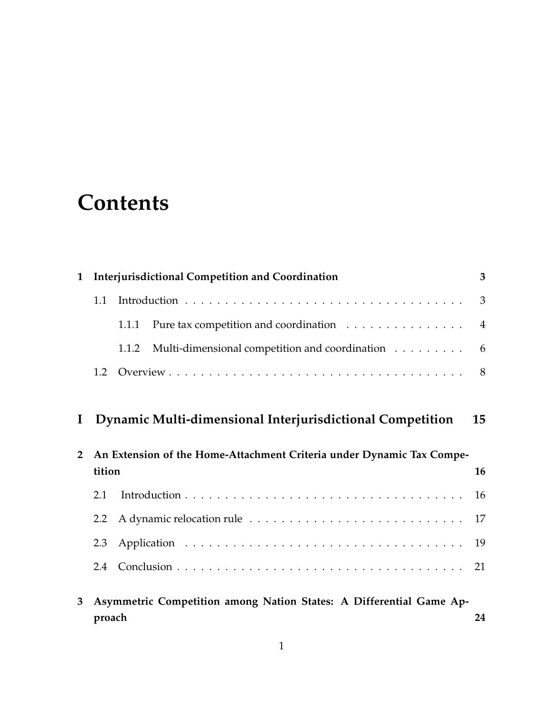# **Contents**

| <b>Interjurisdictional Competition and Coordination</b><br>1                                      |               |                                                                     |                |  |  |
|---------------------------------------------------------------------------------------------------|---------------|---------------------------------------------------------------------|----------------|--|--|
|                                                                                                   | 1.1           |                                                                     |                |  |  |
|                                                                                                   |               | 1.1.1                                                               | $\overline{4}$ |  |  |
|                                                                                                   |               | Multi-dimensional competition and coordination 6<br>1.1.2           |                |  |  |
|                                                                                                   | 1.2           |                                                                     |                |  |  |
|                                                                                                   |               |                                                                     |                |  |  |
| $\mathbf{I}$                                                                                      |               | Dynamic Multi-dimensional Interjurisdictional Competition           | 15             |  |  |
| An Extension of the Home-Attachment Criteria under Dynamic Tax Compe-<br>$\overline{2}$<br>tition |               |                                                                     |                |  |  |
|                                                                                                   | 2.1           |                                                                     |                |  |  |
|                                                                                                   | $2.2^{\circ}$ |                                                                     |                |  |  |
|                                                                                                   | 2.3           |                                                                     |                |  |  |
|                                                                                                   | 2.4           |                                                                     |                |  |  |
| 3                                                                                                 | proach        | Asymmetric Competition among Nation States: A Differential Game Ap- | 24             |  |  |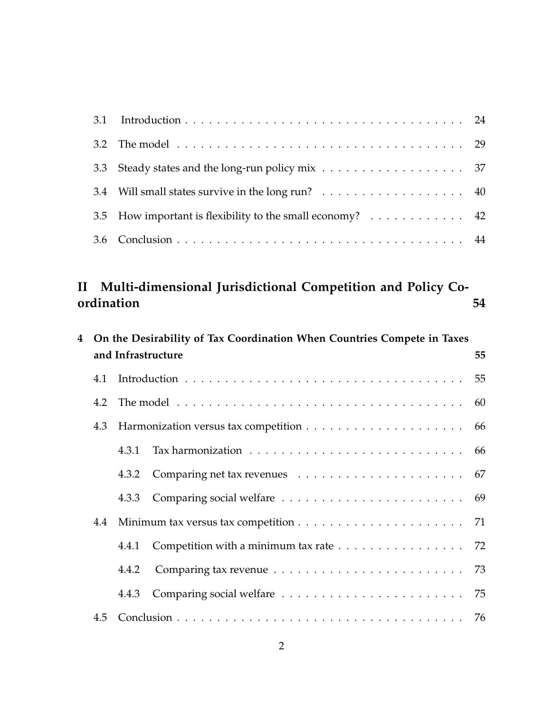| 3.4 Will small states survive in the long run? 40                                   |  |
|-------------------------------------------------------------------------------------|--|
| 3.5 How important is flexibility to the small economy? $\dots \dots \dots \dots$ 42 |  |
|                                                                                     |  |

## **II Multi-dimensional Jurisdictional Competition and Policy Coordination 54**

| 4 |     |                                                                                                 | On the Desirability of Tax Coordination When Countries Compete in Taxes |    |  |  |  |  |  |  |
|---|-----|-------------------------------------------------------------------------------------------------|-------------------------------------------------------------------------|----|--|--|--|--|--|--|
|   |     | and Infrastructure<br>55                                                                        |                                                                         |    |  |  |  |  |  |  |
|   | 4.1 |                                                                                                 |                                                                         |    |  |  |  |  |  |  |
|   | 4.2 | The model $\ldots \ldots \ldots \ldots \ldots \ldots \ldots \ldots \ldots \ldots \ldots \ldots$ |                                                                         |    |  |  |  |  |  |  |
|   | 4.3 |                                                                                                 |                                                                         |    |  |  |  |  |  |  |
|   |     | 4.3.1                                                                                           |                                                                         |    |  |  |  |  |  |  |
|   |     |                                                                                                 |                                                                         |    |  |  |  |  |  |  |
|   |     |                                                                                                 |                                                                         |    |  |  |  |  |  |  |
|   |     |                                                                                                 |                                                                         |    |  |  |  |  |  |  |
|   |     |                                                                                                 | 4.4.1 Competition with a minimum tax rate                               | 72 |  |  |  |  |  |  |
|   |     | 4.4.2                                                                                           |                                                                         | 73 |  |  |  |  |  |  |
|   |     |                                                                                                 |                                                                         | 75 |  |  |  |  |  |  |
|   | 4.5 |                                                                                                 |                                                                         |    |  |  |  |  |  |  |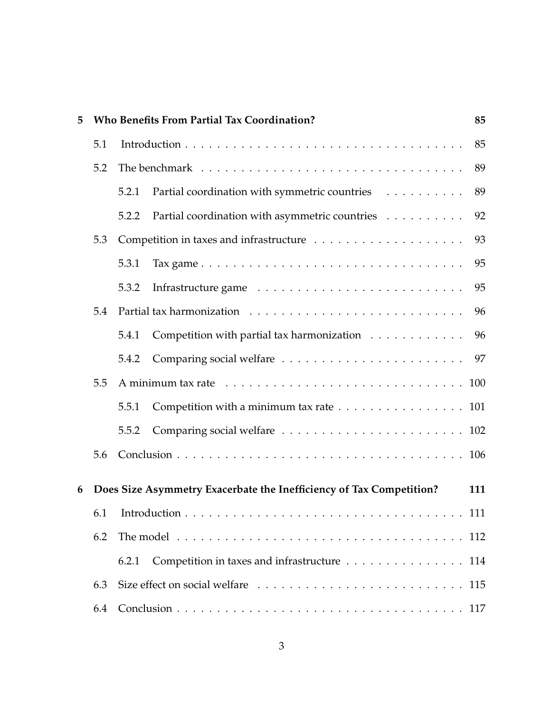| 5   | <b>Who Benefits From Partial Tax Coordination?</b>                         |                                                                                          |                                                | 85  |  |  |  |
|-----|----------------------------------------------------------------------------|------------------------------------------------------------------------------------------|------------------------------------------------|-----|--|--|--|
|     | 5.1                                                                        |                                                                                          |                                                |     |  |  |  |
|     | 5.2                                                                        |                                                                                          |                                                | 89  |  |  |  |
|     |                                                                            | 5.2.1                                                                                    | Partial coordination with symmetric countries  | 89  |  |  |  |
|     |                                                                            | 5.2.2                                                                                    | Partial coordination with asymmetric countries | 92  |  |  |  |
|     | 5.3                                                                        |                                                                                          |                                                | 93  |  |  |  |
|     |                                                                            | 5.3.1                                                                                    |                                                | 95  |  |  |  |
|     |                                                                            | 5.3.2                                                                                    |                                                | 95  |  |  |  |
|     | 5.4                                                                        |                                                                                          |                                                | 96  |  |  |  |
|     |                                                                            | 5.4.1                                                                                    | Competition with partial tax harmonization     | 96  |  |  |  |
|     |                                                                            | 5.4.2                                                                                    |                                                | 97  |  |  |  |
|     | 5.5                                                                        |                                                                                          |                                                |     |  |  |  |
|     |                                                                            | 5.5.1                                                                                    | Competition with a minimum tax rate 101        |     |  |  |  |
|     |                                                                            | 5.5.2                                                                                    |                                                |     |  |  |  |
|     | 5.6                                                                        |                                                                                          |                                                |     |  |  |  |
| 6   | Does Size Asymmetry Exacerbate the Inefficiency of Tax Competition?<br>111 |                                                                                          |                                                |     |  |  |  |
|     | 6.1                                                                        |                                                                                          |                                                |     |  |  |  |
|     | 6.2                                                                        | The model $\ldots \ldots \ldots \ldots \ldots \ldots \ldots \ldots \ldots \ldots \ldots$ |                                                |     |  |  |  |
|     |                                                                            | 6.2.1                                                                                    | Competition in taxes and infrastructure 114    |     |  |  |  |
|     | 6.3                                                                        |                                                                                          |                                                |     |  |  |  |
| 6.4 |                                                                            |                                                                                          |                                                | 117 |  |  |  |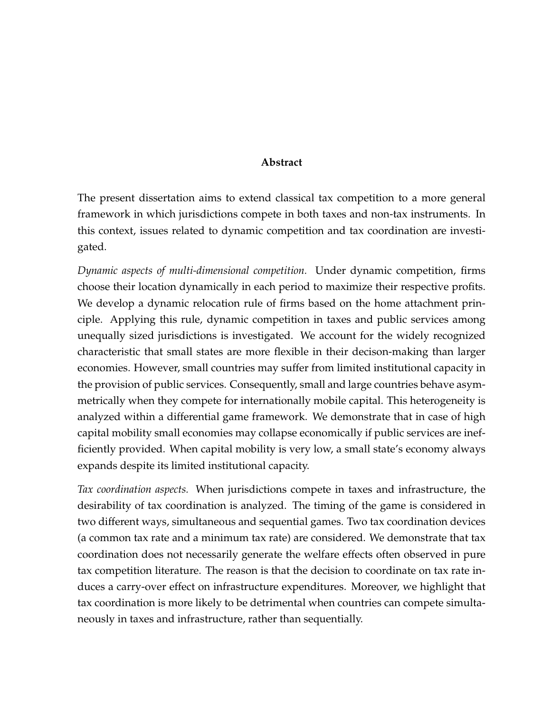#### **Abstract**

The present dissertation aims to extend classical tax competition to a more general framework in which jurisdictions compete in both taxes and non-tax instruments. In this context, issues related to dynamic competition and tax coordination are investigated.

*Dynamic aspects of multi-dimensional competition.* Under dynamic competition, firms choose their location dynamically in each period to maximize their respective profits. We develop a dynamic relocation rule of firms based on the home attachment principle. Applying this rule, dynamic competition in taxes and public services among unequally sized jurisdictions is investigated. We account for the widely recognized characteristic that small states are more flexible in their decison-making than larger economies. However, small countries may suffer from limited institutional capacity in the provision of public services. Consequently, small and large countries behave asymmetrically when they compete for internationally mobile capital. This heterogeneity is analyzed within a differential game framework. We demonstrate that in case of high capital mobility small economies may collapse economically if public services are inefficiently provided. When capital mobility is very low, a small state's economy always expands despite its limited institutional capacity.

*Tax coordination aspects.* When jurisdictions compete in taxes and infrastructure, the desirability of tax coordination is analyzed. The timing of the game is considered in two different ways, simultaneous and sequential games. Two tax coordination devices (a common tax rate and a minimum tax rate) are considered. We demonstrate that tax coordination does not necessarily generate the welfare effects often observed in pure tax competition literature. The reason is that the decision to coordinate on tax rate induces a carry-over effect on infrastructure expenditures. Moreover, we highlight that tax coordination is more likely to be detrimental when countries can compete simultaneously in taxes and infrastructure, rather than sequentially.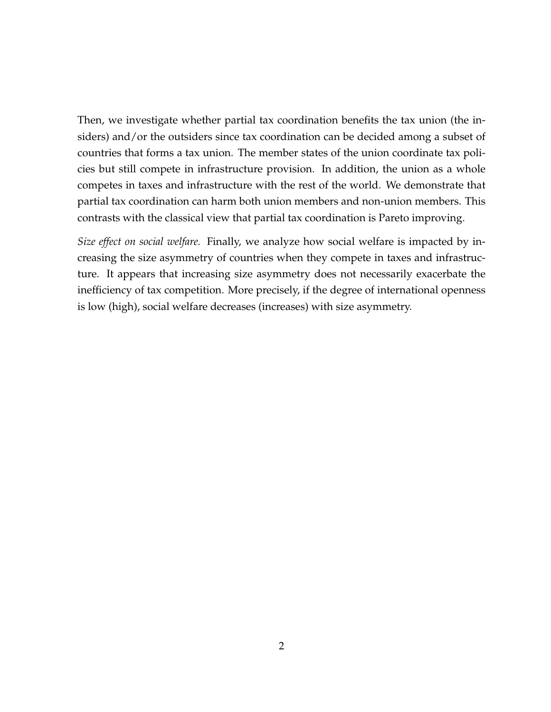Then, we investigate whether partial tax coordination benefits the tax union (the insiders) and/or the outsiders since tax coordination can be decided among a subset of countries that forms a tax union. The member states of the union coordinate tax policies but still compete in infrastructure provision. In addition, the union as a whole competes in taxes and infrastructure with the rest of the world. We demonstrate that partial tax coordination can harm both union members and non-union members. This contrasts with the classical view that partial tax coordination is Pareto improving.

*Size effect on social welfare.* Finally, we analyze how social welfare is impacted by increasing the size asymmetry of countries when they compete in taxes and infrastructure. It appears that increasing size asymmetry does not necessarily exacerbate the inefficiency of tax competition. More precisely, if the degree of international openness is low (high), social welfare decreases (increases) with size asymmetry.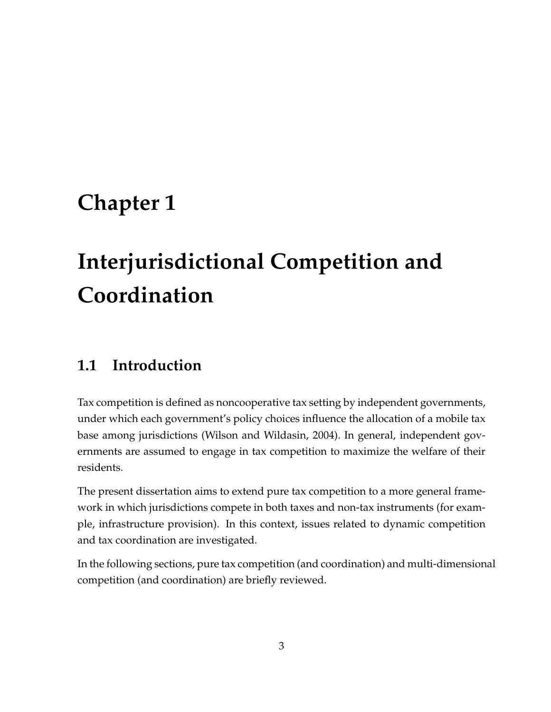# **Chapter 1**

# **Interjurisdictional Competition and Coordination**

# **1.1 Introduction**

Tax competition is defined as noncooperative tax setting by independent governments, under which each government's policy choices influence the allocation of a mobile tax base among jurisdictions (Wilson and Wildasin, 2004). In general, independent governments are assumed to engage in tax competition to maximize the welfare of their residents.

The present dissertation aims to extend pure tax competition to a more general framework in which jurisdictions compete in both taxes and non-tax instruments (for example, infrastructure provision). In this context, issues related to dynamic competition and tax coordination are investigated.

In the following sections, pure tax competition (and coordination) and multi-dimensional competition (and coordination) are briefly reviewed.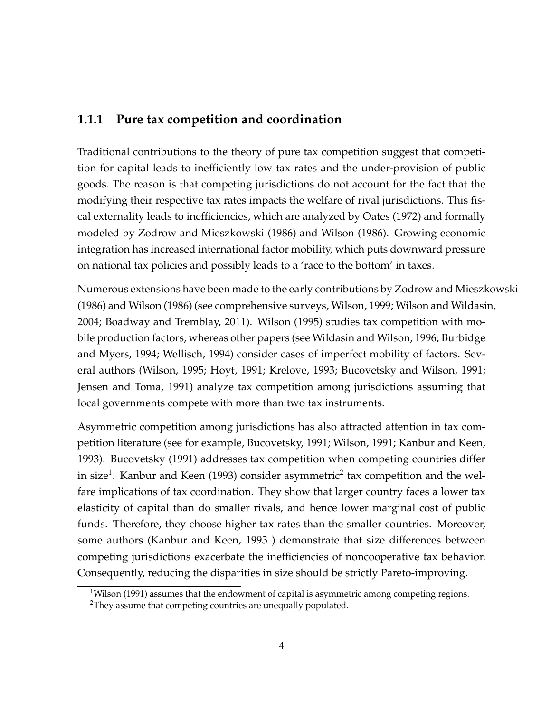#### **1.1.1 Pure tax competition and coordination**

Traditional contributions to the theory of pure tax competition suggest that competition for capital leads to inefficiently low tax rates and the under-provision of public goods. The reason is that competing jurisdictions do not account for the fact that the modifying their respective tax rates impacts the welfare of rival jurisdictions. This fiscal externality leads to inefficiencies, which are analyzed by Oates (1972) and formally modeled by Zodrow and Mieszkowski (1986) and Wilson (1986). Growing economic integration has increased international factor mobility, which puts downward pressure on national tax policies and possibly leads to a 'race to the bottom' in taxes.

Numerous extensions have been made to the early contributions by Zodrow and Mieszkowski (1986) and Wilson (1986) (see comprehensive surveys, Wilson, 1999; Wilson and Wildasin, 2004; Boadway and Tremblay, 2011). Wilson (1995) studies tax competition with mobile production factors, whereas other papers (see Wildasin and Wilson, 1996; Burbidge and Myers, 1994; Wellisch, 1994) consider cases of imperfect mobility of factors. Several authors (Wilson, 1995; Hoyt, 1991; Krelove, 1993; Bucovetsky and Wilson, 1991; Jensen and Toma, 1991) analyze tax competition among jurisdictions assuming that local governments compete with more than two tax instruments.

Asymmetric competition among jurisdictions has also attracted attention in tax competition literature (see for example, Bucovetsky, 1991; Wilson, 1991; Kanbur and Keen, 1993). Bucovetsky (1991) addresses tax competition when competing countries differ in size<sup>1</sup>. Kanbur and Keen (1993) consider asymmetric<sup>2</sup> tax competition and the welfare implications of tax coordination. They show that larger country faces a lower tax elasticity of capital than do smaller rivals, and hence lower marginal cost of public funds. Therefore, they choose higher tax rates than the smaller countries. Moreover, some authors (Kanbur and Keen, 1993 ) demonstrate that size differences between competing jurisdictions exacerbate the inefficiencies of noncooperative tax behavior. Consequently, reducing the disparities in size should be strictly Pareto-improving.

<sup>&</sup>lt;sup>1</sup>Wilson (1991) assumes that the endowment of capital is asymmetric among competing regions.

<sup>2</sup>They assume that competing countries are unequally populated.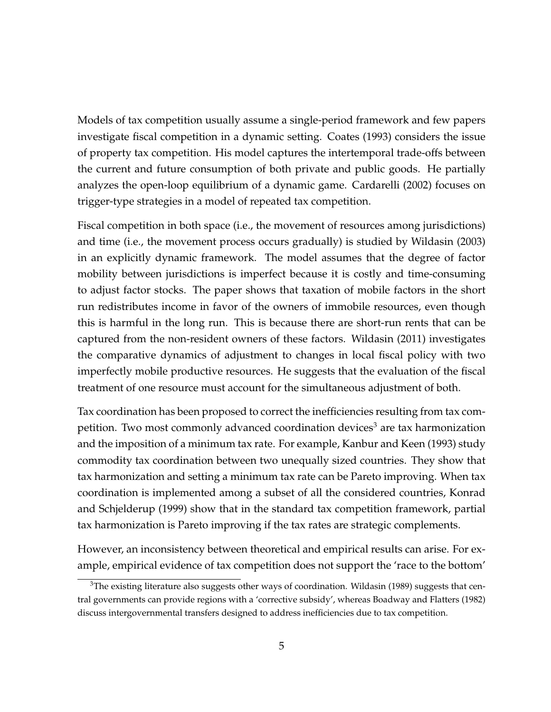Models of tax competition usually assume a single-period framework and few papers investigate fiscal competition in a dynamic setting. Coates (1993) considers the issue of property tax competition. His model captures the intertemporal trade-offs between the current and future consumption of both private and public goods. He partially analyzes the open-loop equilibrium of a dynamic game. Cardarelli (2002) focuses on trigger-type strategies in a model of repeated tax competition.

Fiscal competition in both space (i.e., the movement of resources among jurisdictions) and time (i.e., the movement process occurs gradually) is studied by Wildasin (2003) in an explicitly dynamic framework. The model assumes that the degree of factor mobility between jurisdictions is imperfect because it is costly and time-consuming to adjust factor stocks. The paper shows that taxation of mobile factors in the short run redistributes income in favor of the owners of immobile resources, even though this is harmful in the long run. This is because there are short-run rents that can be captured from the non-resident owners of these factors. Wildasin (2011) investigates the comparative dynamics of adjustment to changes in local fiscal policy with two imperfectly mobile productive resources. He suggests that the evaluation of the fiscal treatment of one resource must account for the simultaneous adjustment of both.

Tax coordination has been proposed to correct the inefficiencies resulting from tax competition. Two most commonly advanced coordination devices<sup>3</sup> are tax harmonization and the imposition of a minimum tax rate. For example, Kanbur and Keen (1993) study commodity tax coordination between two unequally sized countries. They show that tax harmonization and setting a minimum tax rate can be Pareto improving. When tax coordination is implemented among a subset of all the considered countries, Konrad and Schjelderup (1999) show that in the standard tax competition framework, partial tax harmonization is Pareto improving if the tax rates are strategic complements.

However, an inconsistency between theoretical and empirical results can arise. For example, empirical evidence of tax competition does not support the 'race to the bottom'

 $3$ The existing literature also suggests other ways of coordination. Wildasin (1989) suggests that central governments can provide regions with a 'corrective subsidy', whereas Boadway and Flatters (1982) discuss intergovernmental transfers designed to address inefficiencies due to tax competition.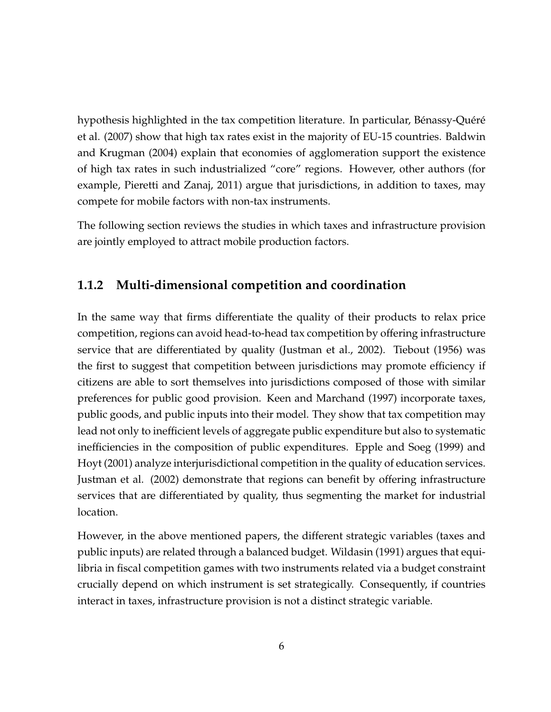hypothesis highlighted in the tax competition literature. In particular, Bénassy-Quéré et al. (2007) show that high tax rates exist in the majority of EU-15 countries. Baldwin and Krugman (2004) explain that economies of agglomeration support the existence of high tax rates in such industrialized "core" regions. However, other authors (for example, Pieretti and Zanaj, 2011) argue that jurisdictions, in addition to taxes, may compete for mobile factors with non-tax instruments.

The following section reviews the studies in which taxes and infrastructure provision are jointly employed to attract mobile production factors.

#### **1.1.2 Multi-dimensional competition and coordination**

In the same way that firms differentiate the quality of their products to relax price competition, regions can avoid head-to-head tax competition by offering infrastructure service that are differentiated by quality (Justman et al., 2002). Tiebout (1956) was the first to suggest that competition between jurisdictions may promote efficiency if citizens are able to sort themselves into jurisdictions composed of those with similar preferences for public good provision. Keen and Marchand (1997) incorporate taxes, public goods, and public inputs into their model. They show that tax competition may lead not only to inefficient levels of aggregate public expenditure but also to systematic inefficiencies in the composition of public expenditures. Epple and Soeg (1999) and Hoyt (2001) analyze interjurisdictional competition in the quality of education services. Justman et al. (2002) demonstrate that regions can benefit by offering infrastructure services that are differentiated by quality, thus segmenting the market for industrial location.

However, in the above mentioned papers, the different strategic variables (taxes and public inputs) are related through a balanced budget. Wildasin (1991) argues that equilibria in fiscal competition games with two instruments related via a budget constraint crucially depend on which instrument is set strategically. Consequently, if countries interact in taxes, infrastructure provision is not a distinct strategic variable.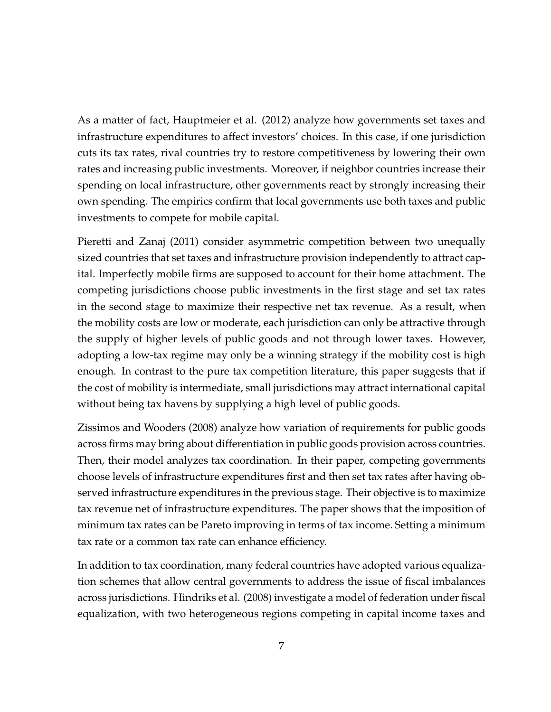As a matter of fact, Hauptmeier et al. (2012) analyze how governments set taxes and infrastructure expenditures to affect investors' choices. In this case, if one jurisdiction cuts its tax rates, rival countries try to restore competitiveness by lowering their own rates and increasing public investments. Moreover, if neighbor countries increase their spending on local infrastructure, other governments react by strongly increasing their own spending. The empirics confirm that local governments use both taxes and public investments to compete for mobile capital.

Pieretti and Zanaj (2011) consider asymmetric competition between two unequally sized countries that set taxes and infrastructure provision independently to attract capital. Imperfectly mobile firms are supposed to account for their home attachment. The competing jurisdictions choose public investments in the first stage and set tax rates in the second stage to maximize their respective net tax revenue. As a result, when the mobility costs are low or moderate, each jurisdiction can only be attractive through the supply of higher levels of public goods and not through lower taxes. However, adopting a low-tax regime may only be a winning strategy if the mobility cost is high enough. In contrast to the pure tax competition literature, this paper suggests that if the cost of mobility is intermediate, small jurisdictions may attract international capital without being tax havens by supplying a high level of public goods.

Zissimos and Wooders (2008) analyze how variation of requirements for public goods across firms may bring about differentiation in public goods provision across countries. Then, their model analyzes tax coordination. In their paper, competing governments choose levels of infrastructure expenditures first and then set tax rates after having observed infrastructure expenditures in the previous stage. Their objective is to maximize tax revenue net of infrastructure expenditures. The paper shows that the imposition of minimum tax rates can be Pareto improving in terms of tax income. Setting a minimum tax rate or a common tax rate can enhance efficiency.

In addition to tax coordination, many federal countries have adopted various equalization schemes that allow central governments to address the issue of fiscal imbalances across jurisdictions. Hindriks et al. (2008) investigate a model of federation under fiscal equalization, with two heterogeneous regions competing in capital income taxes and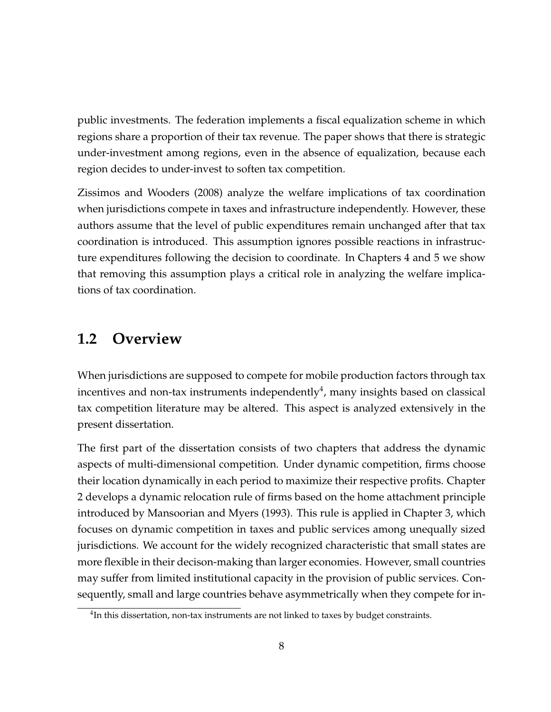public investments. The federation implements a fiscal equalization scheme in which regions share a proportion of their tax revenue. The paper shows that there is strategic under-investment among regions, even in the absence of equalization, because each region decides to under-invest to soften tax competition.

Zissimos and Wooders (2008) analyze the welfare implications of tax coordination when jurisdictions compete in taxes and infrastructure independently. However, these authors assume that the level of public expenditures remain unchanged after that tax coordination is introduced. This assumption ignores possible reactions in infrastructure expenditures following the decision to coordinate. In Chapters 4 and 5 we show that removing this assumption plays a critical role in analyzing the welfare implications of tax coordination.

#### **1.2 Overview**

When jurisdictions are supposed to compete for mobile production factors through tax incentives and non-tax instruments independently<sup>4</sup>, many insights based on classical tax competition literature may be altered. This aspect is analyzed extensively in the present dissertation.

The first part of the dissertation consists of two chapters that address the dynamic aspects of multi-dimensional competition. Under dynamic competition, firms choose their location dynamically in each period to maximize their respective profits. Chapter 2 develops a dynamic relocation rule of firms based on the home attachment principle introduced by Mansoorian and Myers (1993). This rule is applied in Chapter 3, which focuses on dynamic competition in taxes and public services among unequally sized jurisdictions. We account for the widely recognized characteristic that small states are more flexible in their decison-making than larger economies. However, small countries may suffer from limited institutional capacity in the provision of public services. Consequently, small and large countries behave asymmetrically when they compete for in-

<sup>&</sup>lt;sup>4</sup>In this dissertation, non-tax instruments are not linked to taxes by budget constraints.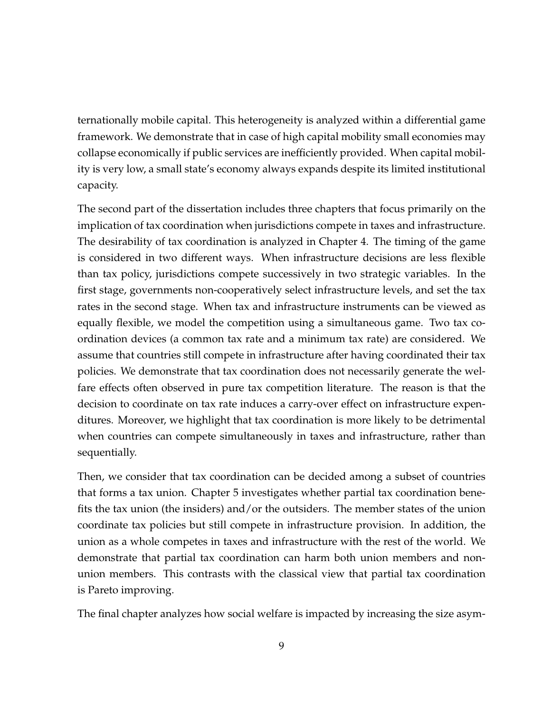ternationally mobile capital. This heterogeneity is analyzed within a differential game framework. We demonstrate that in case of high capital mobility small economies may collapse economically if public services are inefficiently provided. When capital mobility is very low, a small state's economy always expands despite its limited institutional capacity.

The second part of the dissertation includes three chapters that focus primarily on the implication of tax coordination when jurisdictions compete in taxes and infrastructure. The desirability of tax coordination is analyzed in Chapter 4. The timing of the game is considered in two different ways. When infrastructure decisions are less flexible than tax policy, jurisdictions compete successively in two strategic variables. In the first stage, governments non-cooperatively select infrastructure levels, and set the tax rates in the second stage. When tax and infrastructure instruments can be viewed as equally flexible, we model the competition using a simultaneous game. Two tax coordination devices (a common tax rate and a minimum tax rate) are considered. We assume that countries still compete in infrastructure after having coordinated their tax policies. We demonstrate that tax coordination does not necessarily generate the welfare effects often observed in pure tax competition literature. The reason is that the decision to coordinate on tax rate induces a carry-over effect on infrastructure expenditures. Moreover, we highlight that tax coordination is more likely to be detrimental when countries can compete simultaneously in taxes and infrastructure, rather than sequentially.

Then, we consider that tax coordination can be decided among a subset of countries that forms a tax union. Chapter 5 investigates whether partial tax coordination benefits the tax union (the insiders) and/or the outsiders. The member states of the union coordinate tax policies but still compete in infrastructure provision. In addition, the union as a whole competes in taxes and infrastructure with the rest of the world. We demonstrate that partial tax coordination can harm both union members and nonunion members. This contrasts with the classical view that partial tax coordination is Pareto improving.

The final chapter analyzes how social welfare is impacted by increasing the size asym-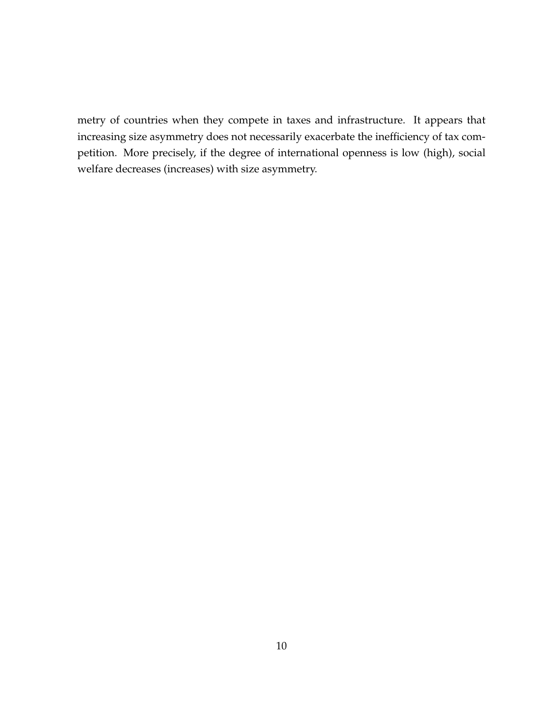metry of countries when they compete in taxes and infrastructure. It appears that increasing size asymmetry does not necessarily exacerbate the inefficiency of tax competition. More precisely, if the degree of international openness is low (high), social welfare decreases (increases) with size asymmetry.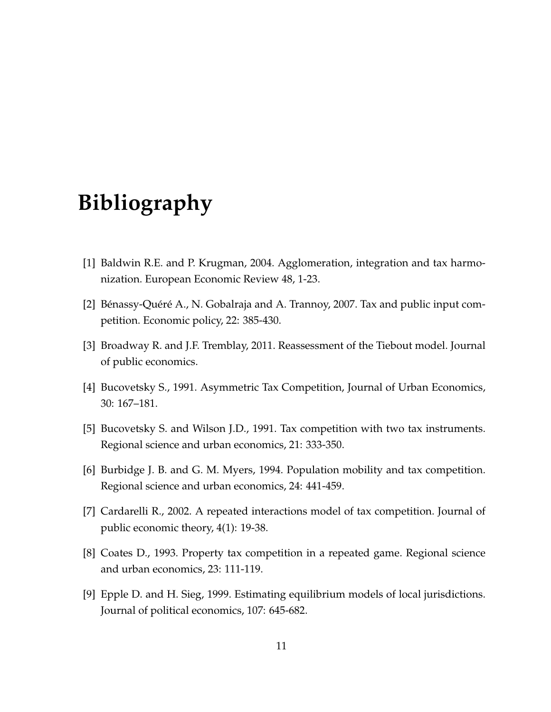# **Bibliography**

- [1] Baldwin R.E. and P. Krugman, 2004. Agglomeration, integration and tax harmonization. European Economic Review 48, 1-23.
- [2] Bénassy-Quéré A., N. Gobalraja and A. Trannoy, 2007. Tax and public input competition. Economic policy, 22: 385-430.
- [3] Broadway R. and J.F. Tremblay, 2011. Reassessment of the Tiebout model. Journal of public economics.
- [4] Bucovetsky S., 1991. Asymmetric Tax Competition, Journal of Urban Economics, 30: 167–181.
- [5] Bucovetsky S. and Wilson J.D., 1991. Tax competition with two tax instruments. Regional science and urban economics, 21: 333-350.
- [6] Burbidge J. B. and G. M. Myers, 1994. Population mobility and tax competition. Regional science and urban economics, 24: 441-459.
- [7] Cardarelli R., 2002. A repeated interactions model of tax competition. Journal of public economic theory, 4(1): 19-38.
- [8] Coates D., 1993. Property tax competition in a repeated game. Regional science and urban economics, 23: 111-119.
- [9] Epple D. and H. Sieg, 1999. Estimating equilibrium models of local jurisdictions. Journal of political economics, 107: 645-682.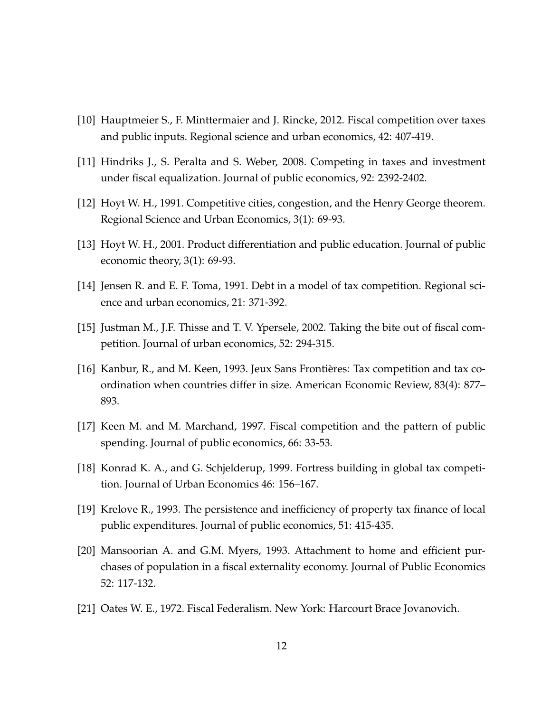- [10] Hauptmeier S., F. Minttermaier and J. Rincke, 2012. Fiscal competition over taxes and public inputs. Regional science and urban economics, 42: 407-419.
- [11] Hindriks J., S. Peralta and S. Weber, 2008. Competing in taxes and investment under fiscal equalization. Journal of public economics, 92: 2392-2402.
- [12] Hoyt W. H., 1991. Competitive cities, congestion, and the Henry George theorem. Regional Science and Urban Economics, 3(1): 69-93.
- [13] Hoyt W. H., 2001. Product differentiation and public education. Journal of public economic theory, 3(1): 69-93.
- [14] Jensen R. and E. F. Toma, 1991. Debt in a model of tax competition. Regional science and urban economics, 21: 371-392.
- [15] Justman M., J.F. Thisse and T. V. Ypersele, 2002. Taking the bite out of fiscal competition. Journal of urban economics, 52: 294-315.
- [16] Kanbur, R., and M. Keen, 1993. Jeux Sans Frontières: Tax competition and tax coordination when countries differ in size. American Economic Review, 83(4): 877– 893.
- [17] Keen M. and M. Marchand, 1997. Fiscal competition and the pattern of public spending. Journal of public economics, 66: 33-53.
- [18] Konrad K. A., and G. Schjelderup, 1999. Fortress building in global tax competition. Journal of Urban Economics 46: 156–167.
- [19] Krelove R., 1993. The persistence and inefficiency of property tax finance of local public expenditures. Journal of public economics, 51: 415-435.
- [20] Mansoorian A. and G.M. Myers, 1993. Attachment to home and efficient purchases of population in a fiscal externality economy. Journal of Public Economics 52: 117-132.
- [21] Oates W. E., 1972. Fiscal Federalism. New York: Harcourt Brace Jovanovich.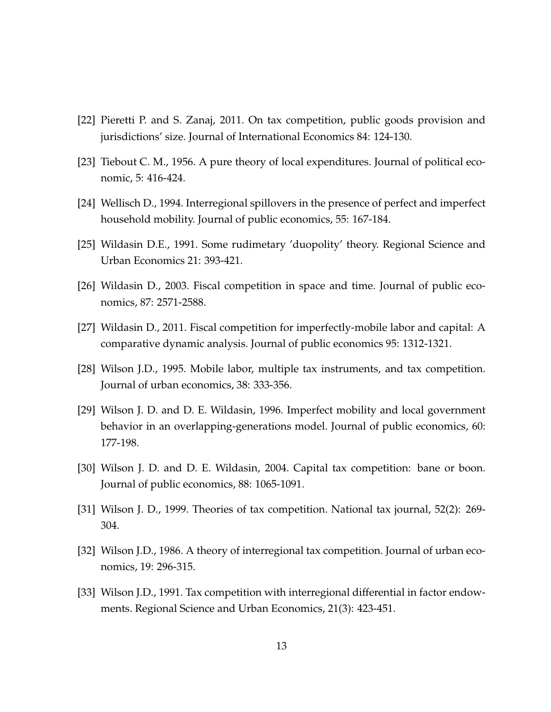- [22] Pieretti P. and S. Zanaj, 2011. On tax competition, public goods provision and jurisdictions' size. Journal of International Economics 84: 124-130.
- [23] Tiebout C. M., 1956. A pure theory of local expenditures. Journal of political economic, 5: 416-424.
- [24] Wellisch D., 1994. Interregional spillovers in the presence of perfect and imperfect household mobility. Journal of public economics, 55: 167-184.
- [25] Wildasin D.E., 1991. Some rudimetary 'duopolity' theory. Regional Science and Urban Economics 21: 393-421.
- [26] Wildasin D., 2003. Fiscal competition in space and time. Journal of public economics, 87: 2571-2588.
- [27] Wildasin D., 2011. Fiscal competition for imperfectly-mobile labor and capital: A comparative dynamic analysis. Journal of public economics 95: 1312-1321.
- [28] Wilson J.D., 1995. Mobile labor, multiple tax instruments, and tax competition. Journal of urban economics, 38: 333-356.
- [29] Wilson J. D. and D. E. Wildasin, 1996. Imperfect mobility and local government behavior in an overlapping-generations model. Journal of public economics, 60: 177-198.
- [30] Wilson J. D. and D. E. Wildasin, 2004. Capital tax competition: bane or boon. Journal of public economics, 88: 1065-1091.
- [31] Wilson J. D., 1999. Theories of tax competition. National tax journal, 52(2): 269- 304.
- [32] Wilson J.D., 1986. A theory of interregional tax competition. Journal of urban economics, 19: 296-315.
- [33] Wilson J.D., 1991. Tax competition with interregional differential in factor endowments. Regional Science and Urban Economics, 21(3): 423-451.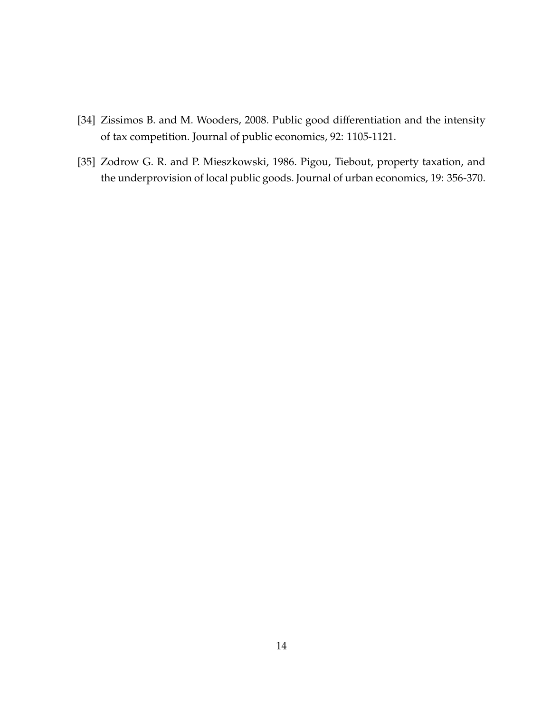- [34] Zissimos B. and M. Wooders, 2008. Public good differentiation and the intensity of tax competition. Journal of public economics, 92: 1105-1121.
- [35] Zodrow G. R. and P. Mieszkowski, 1986. Pigou, Tiebout, property taxation, and the underprovision of local public goods. Journal of urban economics, 19: 356-370.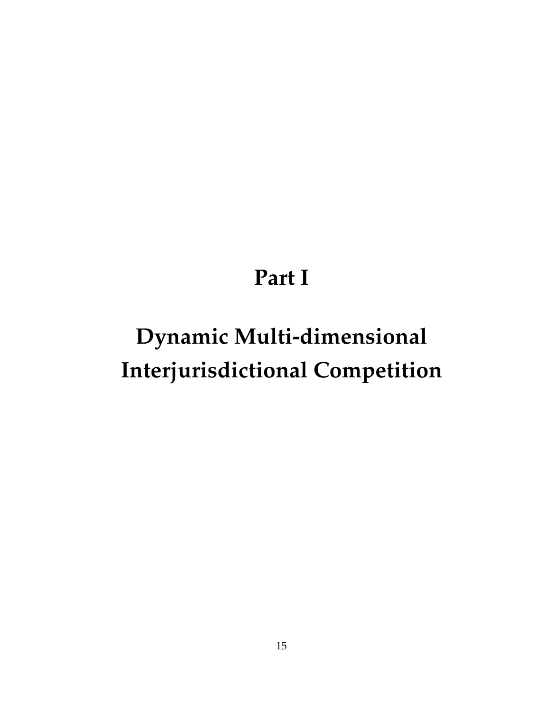# **Part I**

# **Dynamic Multi-dimensional Interjurisdictional Competition**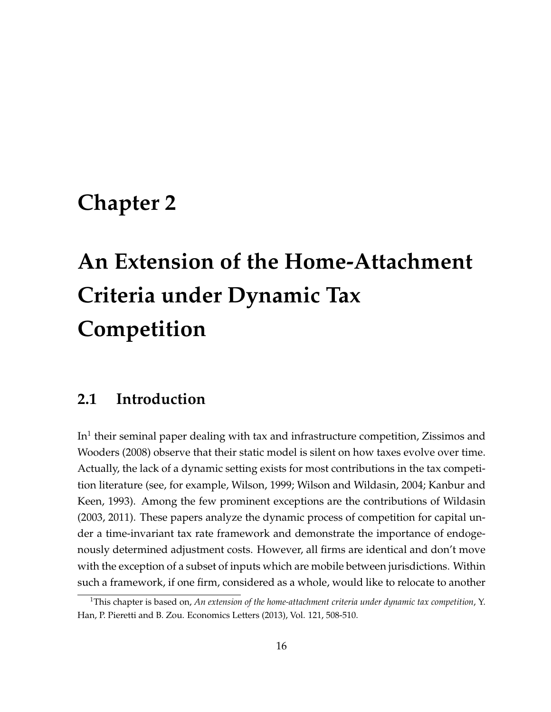# **Chapter 2**

# **An Extension of the Home-Attachment Criteria under Dynamic Tax Competition**

## **2.1 Introduction**

In $^1$  their seminal paper dealing with tax and infrastructure competition, Zissimos and Wooders (2008) observe that their static model is silent on how taxes evolve over time. Actually, the lack of a dynamic setting exists for most contributions in the tax competition literature (see, for example, Wilson, 1999; Wilson and Wildasin, 2004; Kanbur and Keen, 1993). Among the few prominent exceptions are the contributions of Wildasin (2003, 2011). These papers analyze the dynamic process of competition for capital under a time-invariant tax rate framework and demonstrate the importance of endogenously determined adjustment costs. However, all firms are identical and don't move with the exception of a subset of inputs which are mobile between jurisdictions. Within such a framework, if one firm, considered as a whole, would like to relocate to another

<sup>1</sup>This chapter is based on, *An extension of the home-attachment criteria under dynamic tax competition*, Y. Han, P. Pieretti and B. Zou. Economics Letters (2013), Vol. 121, 508-510.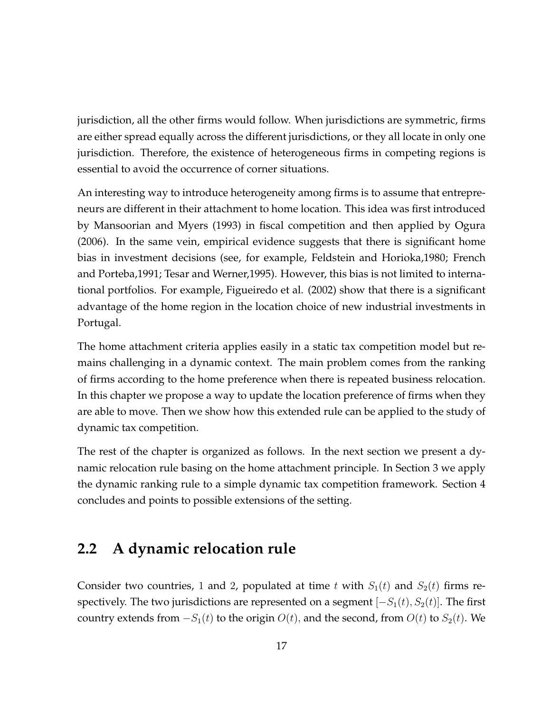jurisdiction, all the other firms would follow. When jurisdictions are symmetric, firms are either spread equally across the different jurisdictions, or they all locate in only one jurisdiction. Therefore, the existence of heterogeneous firms in competing regions is essential to avoid the occurrence of corner situations.

An interesting way to introduce heterogeneity among firms is to assume that entrepreneurs are different in their attachment to home location. This idea was first introduced by Mansoorian and Myers (1993) in fiscal competition and then applied by Ogura (2006). In the same vein, empirical evidence suggests that there is significant home bias in investment decisions (see, for example, Feldstein and Horioka,1980; French and Porteba,1991; Tesar and Werner,1995). However, this bias is not limited to international portfolios. For example, Figueiredo et al. (2002) show that there is a significant advantage of the home region in the location choice of new industrial investments in Portugal.

The home attachment criteria applies easily in a static tax competition model but remains challenging in a dynamic context. The main problem comes from the ranking of firms according to the home preference when there is repeated business relocation. In this chapter we propose a way to update the location preference of firms when they are able to move. Then we show how this extended rule can be applied to the study of dynamic tax competition.

The rest of the chapter is organized as follows. In the next section we present a dynamic relocation rule basing on the home attachment principle. In Section 3 we apply the dynamic ranking rule to a simple dynamic tax competition framework. Section 4 concludes and points to possible extensions of the setting.

### **2.2 A dynamic relocation rule**

Consider two countries, 1 and 2, populated at time t with  $S_1(t)$  and  $S_2(t)$  firms respectively. The two jurisdictions are represented on a segment  $[-S_1(t), S_2(t)]$ . The first country extends from  $-S_1(t)$  to the origin  $O(t)$ , and the second, from  $O(t)$  to  $S_2(t)$ . We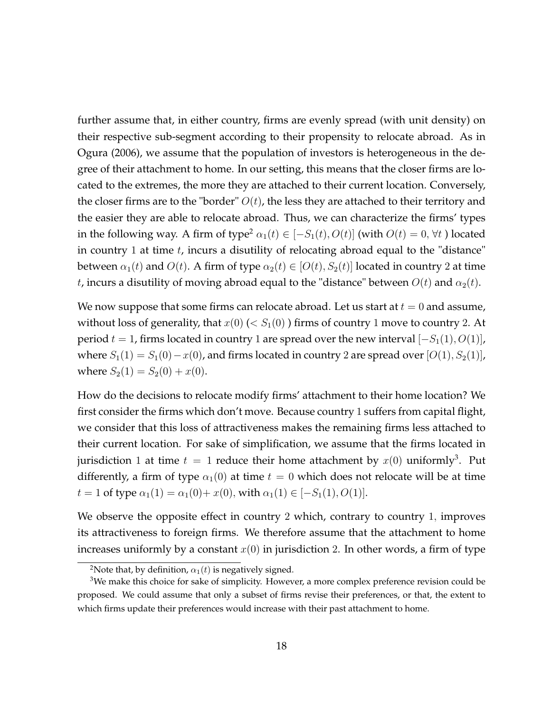further assume that, in either country, firms are evenly spread (with unit density) on their respective sub-segment according to their propensity to relocate abroad. As in Ogura (2006), we assume that the population of investors is heterogeneous in the degree of their attachment to home. In our setting, this means that the closer firms are located to the extremes, the more they are attached to their current location. Conversely, the closer firms are to the "border"  $O(t)$ , the less they are attached to their territory and the easier they are able to relocate abroad. Thus, we can characterize the firms' types in the following way. A firm of type<sup>2</sup>  $\alpha_1(t) \in [-S_1(t), O(t)]$  (with  $O(t) = 0$ ,  $\forall t$ ) located in country 1 at time  $t$ , incurs a disutility of relocating abroad equal to the "distance" between  $\alpha_1(t)$  and  $O(t)$ . A firm of type  $\alpha_2(t) \in [O(t), S_2(t)]$  located in country 2 at time t, incurs a disutility of moving abroad equal to the "distance" between  $O(t)$  and  $\alpha_2(t)$ .

We now suppose that some firms can relocate abroad. Let us start at  $t = 0$  and assume, without loss of generality, that  $x(0)$  ( $\lt S_1(0)$ ) firms of country 1 move to country 2. At period  $t = 1$ , firms located in country 1 are spread over the new interval  $[-S_1(1), O(1)]$ , where  $S_1(1) = S_1(0) - x(0)$ , and firms located in country 2 are spread over [O(1),  $S_2(1)$ ], where  $S_2(1) = S_2(0) + x(0)$ .

How do the decisions to relocate modify firms' attachment to their home location? We first consider the firms which don't move. Because country 1 suffers from capital flight, we consider that this loss of attractiveness makes the remaining firms less attached to their current location. For sake of simplification, we assume that the firms located in jurisdiction 1 at time  $t = 1$  reduce their home attachment by  $x(0)$  uniformly<sup>3</sup>. Put differently, a firm of type  $\alpha_1(0)$  at time  $t = 0$  which does not relocate will be at time  $t = 1$  of type  $\alpha_1(1) = \alpha_1(0) + x(0)$ , with  $\alpha_1(1) \in [-S_1(1), O(1)].$ 

We observe the opposite effect in country 2 which, contrary to country 1, improves its attractiveness to foreign firms. We therefore assume that the attachment to home increases uniformly by a constant  $x(0)$  in jurisdiction 2. In other words, a firm of type

<sup>&</sup>lt;sup>2</sup>Note that, by definition,  $\alpha_1(t)$  is negatively signed.

<sup>&</sup>lt;sup>3</sup>We make this choice for sake of simplicity. However, a more complex preference revision could be proposed. We could assume that only a subset of firms revise their preferences, or that, the extent to which firms update their preferences would increase with their past attachment to home.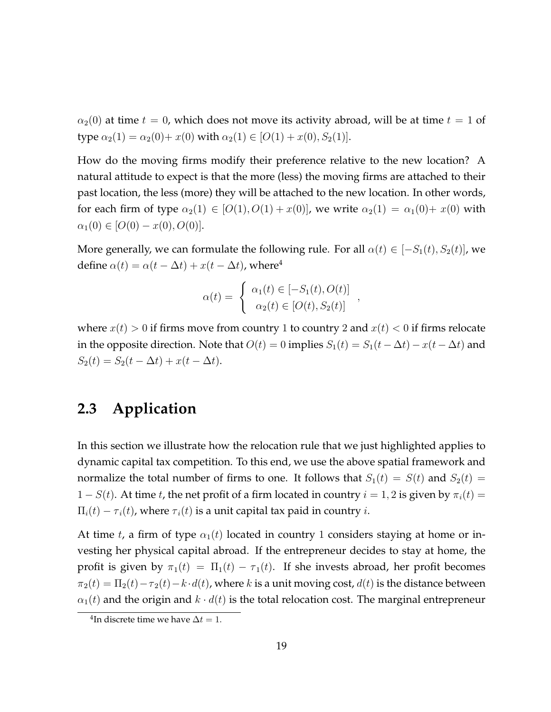$\alpha_2(0)$  at time  $t = 0$ , which does not move its activity abroad, will be at time  $t = 1$  of type  $\alpha_2(1) = \alpha_2(0) + x(0)$  with  $\alpha_2(1) \in [O(1) + x(0), S_2(1)].$ 

How do the moving firms modify their preference relative to the new location? A natural attitude to expect is that the more (less) the moving firms are attached to their past location, the less (more) they will be attached to the new location. In other words, for each firm of type  $\alpha_2(1) \in [O(1), O(1) + x(0)]$ , we write  $\alpha_2(1) = \alpha_1(0) + x(0)$  with  $\alpha_1(0) \in [O(0) - x(0), O(0)].$ 

More generally, we can formulate the following rule. For all  $\alpha(t) \in [-S_1(t), S_2(t)]$ , we define  $\alpha(t) = \alpha(t - \Delta t) + x(t - \Delta t)$ , where<sup>4</sup>

$$
\alpha(t) = \begin{cases} \alpha_1(t) \in [-S_1(t), O(t)] \\ \alpha_2(t) \in [O(t), S_2(t)] \end{cases}
$$

where  $x(t) > 0$  if firms move from country 1 to country 2 and  $x(t) < 0$  if firms relocate in the opposite direction. Note that  $O(t) = 0$  implies  $S_1(t) = S_1(t - \Delta t) - x(t - \Delta t)$  and  $S_2(t) = S_2(t - \Delta t) + x(t - \Delta t).$ 

### **2.3 Application**

In this section we illustrate how the relocation rule that we just highlighted applies to dynamic capital tax competition. To this end, we use the above spatial framework and normalize the total number of firms to one. It follows that  $S_1(t) = S(t)$  and  $S_2(t) =$  $1 - S(t)$ . At time t, the net profit of a firm located in country  $i = 1, 2$  is given by  $\pi_i(t) =$  $\Pi_i(t) - \tau_i(t)$ , where  $\tau_i(t)$  is a unit capital tax paid in country *i*.

At time t, a firm of type  $\alpha_1(t)$  located in country 1 considers staying at home or investing her physical capital abroad. If the entrepreneur decides to stay at home, the profit is given by  $\pi_1(t) = \Pi_1(t) - \tau_1(t)$ . If she invests abroad, her profit becomes  $\pi_2(t) = \Pi_2(t) - \tau_2(t) - k \cdot d(t)$ , where k is a unit moving cost,  $d(t)$  is the distance between  $\alpha_1(t)$  and the origin and  $k \cdot d(t)$  is the total relocation cost. The marginal entrepreneur

<sup>&</sup>lt;sup>4</sup>In discrete time we have  $\Delta t = 1$ .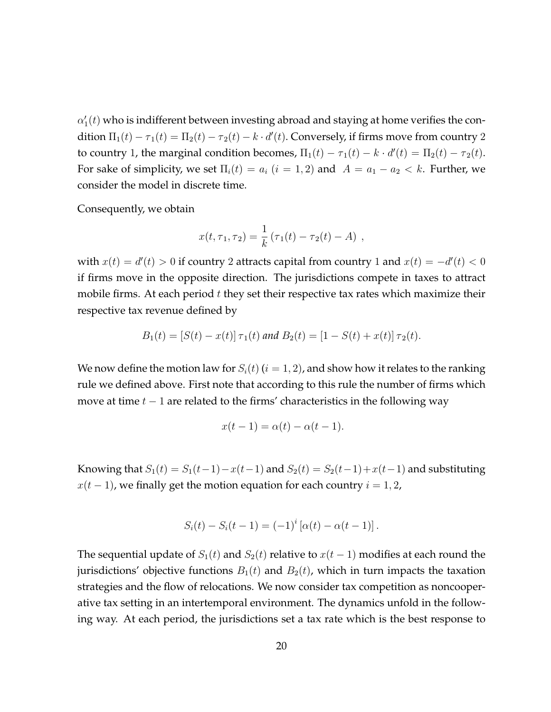$\alpha_1^\prime(t)$  who is indifferent between investing abroad and staying at home verifies the condition  $\Pi_1(t) - \tau_1(t) = \Pi_2(t) - \tau_2(t) - k \cdot d'(t)$ . Conversely, if firms move from country 2 to country 1, the marginal condition becomes,  $\Pi_1(t) - \tau_1(t) - k \cdot d'(t) = \Pi_2(t) - \tau_2(t)$ . For sake of simplicity, we set  $\Pi_i(t) = a_i$   $(i = 1, 2)$  and  $A = a_1 - a_2 < k$ . Further, we consider the model in discrete time.

Consequently, we obtain

$$
x(t, \tau_1, \tau_2) = \frac{1}{k} (\tau_1(t) - \tau_2(t) - A) ,
$$

with  $x(t) = d'(t) > 0$  if country 2 attracts capital from country 1 and  $x(t) = -d'(t) < 0$ if firms move in the opposite direction. The jurisdictions compete in taxes to attract mobile firms. At each period  $t$  they set their respective tax rates which maximize their respective tax revenue defined by

$$
B_1(t) = [S(t) - x(t)] \tau_1(t)
$$
 and 
$$
B_2(t) = [1 - S(t) + x(t)] \tau_2(t).
$$

We now define the motion law for  $S_i(t)$  ( $i = 1, 2$ ), and show how it relates to the ranking rule we defined above. First note that according to this rule the number of firms which move at time  $t - 1$  are related to the firms' characteristics in the following way

$$
x(t-1) = \alpha(t) - \alpha(t-1).
$$

Knowing that  $S_1(t) = S_1(t-1) - x(t-1)$  and  $S_2(t) = S_2(t-1) + x(t-1)$  and substituting  $x(t - 1)$ , we finally get the motion equation for each country  $i = 1, 2$ ,

$$
S_i(t) - S_i(t-1) = (-1)^i [\alpha(t) - \alpha(t-1)].
$$

The sequential update of  $S_1(t)$  and  $S_2(t)$  relative to  $x(t-1)$  modifies at each round the jurisdictions' objective functions  $B_1(t)$  and  $B_2(t)$ , which in turn impacts the taxation strategies and the flow of relocations. We now consider tax competition as noncooperative tax setting in an intertemporal environment. The dynamics unfold in the following way. At each period, the jurisdictions set a tax rate which is the best response to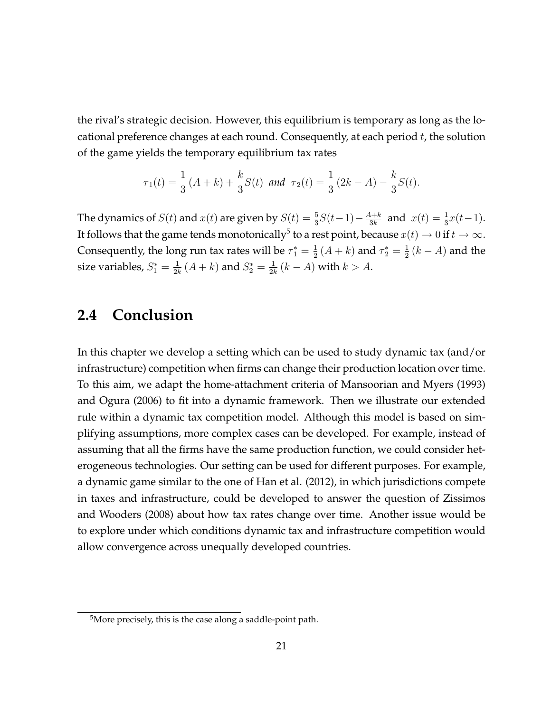the rival's strategic decision. However, this equilibrium is temporary as long as the locational preference changes at each round. Consequently, at each period  $t$ , the solution of the game yields the temporary equilibrium tax rates

$$
\tau_1(t) = \frac{1}{3}(A+k) + \frac{k}{3}S(t) \text{ and } \tau_2(t) = \frac{1}{3}(2k-A) - \frac{k}{3}S(t).
$$

The dynamics of  $S(t)$  and  $x(t)$  are given by  $S(t) = \frac{5}{3}S(t-1) - \frac{A+k}{3k}$  $\frac{d+k}{3k}$  and  $x(t) = \frac{1}{3}x(t-1)$ . It follows that the game tends monotonically<sup>5</sup> to a rest point, because  $x(t) \to 0$  if  $t \to \infty$ . Consequently, the long run tax rates will be  $\tau_1^* = \frac{1}{2}$  $\frac{1}{2} \left( A + k \right)$  and  $\tau_2^* = \frac{1}{2}$  $\frac{1}{2}(k-A)$  and the size variables,  $S_1^*=\frac{1}{2l}$  $\frac{1}{2k}(A+k)$  and  $S^*_2=\frac{1}{2k}$  $\frac{1}{2k}(k-A)$  with  $k > A$ .

### **2.4 Conclusion**

In this chapter we develop a setting which can be used to study dynamic tax (and/or infrastructure) competition when firms can change their production location over time. To this aim, we adapt the home-attachment criteria of Mansoorian and Myers (1993) and Ogura (2006) to fit into a dynamic framework. Then we illustrate our extended rule within a dynamic tax competition model. Although this model is based on simplifying assumptions, more complex cases can be developed. For example, instead of assuming that all the firms have the same production function, we could consider heterogeneous technologies. Our setting can be used for different purposes. For example, a dynamic game similar to the one of Han et al. (2012), in which jurisdictions compete in taxes and infrastructure, could be developed to answer the question of Zissimos and Wooders (2008) about how tax rates change over time. Another issue would be to explore under which conditions dynamic tax and infrastructure competition would allow convergence across unequally developed countries.

<sup>5</sup>More precisely, this is the case along a saddle-point path.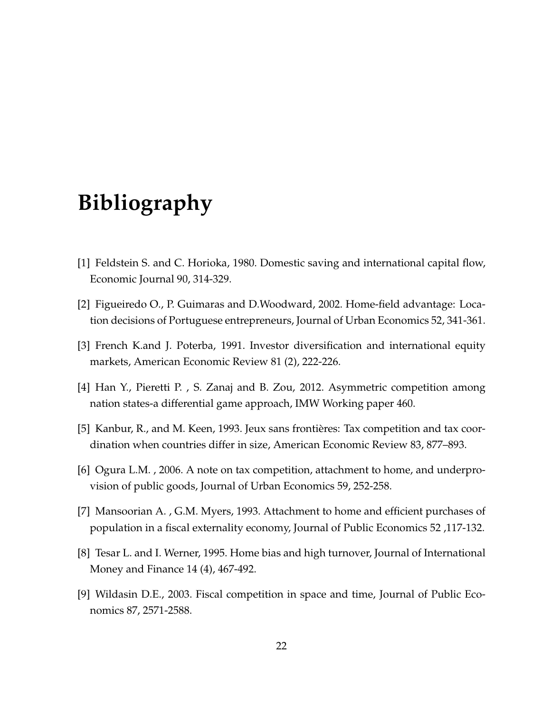# **Bibliography**

- [1] Feldstein S. and C. Horioka, 1980. Domestic saving and international capital flow, Economic Journal 90, 314-329.
- [2] Figueiredo O., P. Guimaras and D.Woodward, 2002. Home-field advantage: Location decisions of Portuguese entrepreneurs, Journal of Urban Economics 52, 341-361.
- [3] French K.and J. Poterba, 1991. Investor diversification and international equity markets, American Economic Review 81 (2), 222-226.
- [4] Han Y., Pieretti P. , S. Zanaj and B. Zou, 2012. Asymmetric competition among nation states-a differential game approach, IMW Working paper 460.
- [5] Kanbur, R., and M. Keen, 1993. Jeux sans frontières: Tax competition and tax coordination when countries differ in size, American Economic Review 83, 877–893.
- [6] Ogura L.M. , 2006. A note on tax competition, attachment to home, and underprovision of public goods, Journal of Urban Economics 59, 252-258.
- [7] Mansoorian A. , G.M. Myers, 1993. Attachment to home and efficient purchases of population in a fiscal externality economy, Journal of Public Economics 52 ,117-132.
- [8] Tesar L. and I. Werner, 1995. Home bias and high turnover, Journal of International Money and Finance 14 (4), 467-492.
- [9] Wildasin D.E., 2003. Fiscal competition in space and time, Journal of Public Economics 87, 2571-2588.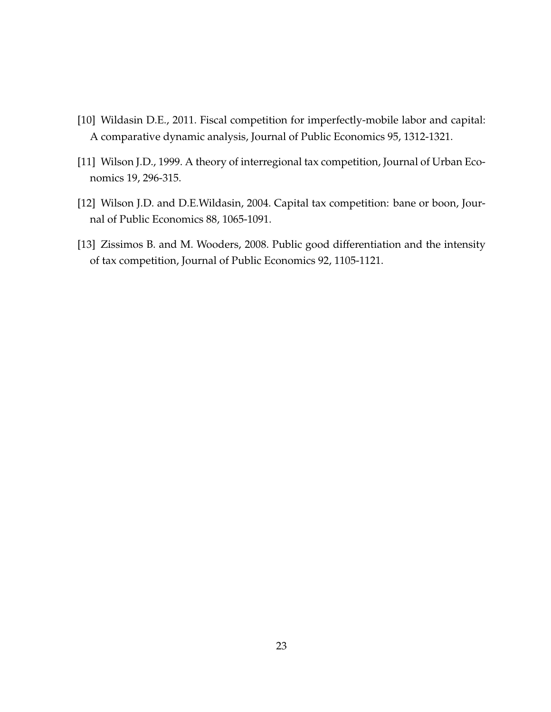- [10] Wildasin D.E., 2011. Fiscal competition for imperfectly-mobile labor and capital: A comparative dynamic analysis, Journal of Public Economics 95, 1312-1321.
- [11] Wilson J.D., 1999. A theory of interregional tax competition, Journal of Urban Economics 19, 296-315.
- [12] Wilson J.D. and D.E.Wildasin, 2004. Capital tax competition: bane or boon, Journal of Public Economics 88, 1065-1091.
- [13] Zissimos B. and M. Wooders, 2008. Public good differentiation and the intensity of tax competition, Journal of Public Economics 92, 1105-1121.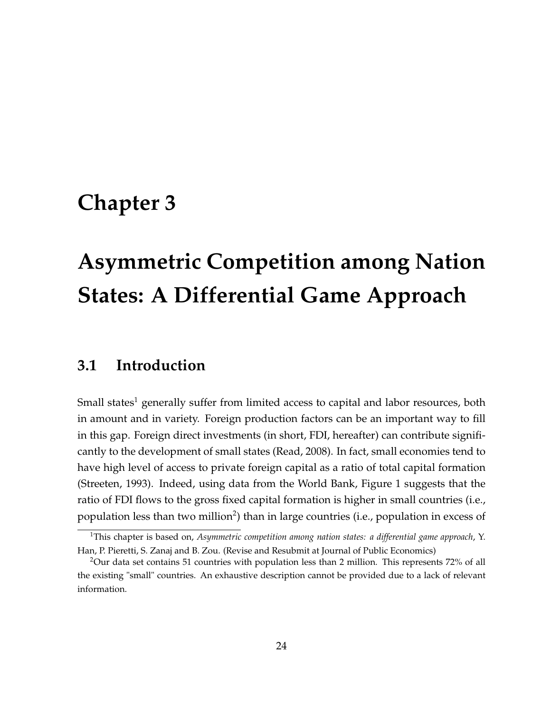# **Chapter 3**

# **Asymmetric Competition among Nation States: A Differential Game Approach**

### **3.1 Introduction**

Small states<sup>1</sup> generally suffer from limited access to capital and labor resources, both in amount and in variety. Foreign production factors can be an important way to fill in this gap. Foreign direct investments (in short, FDI, hereafter) can contribute significantly to the development of small states (Read, 2008). In fact, small economies tend to have high level of access to private foreign capital as a ratio of total capital formation (Streeten, 1993). Indeed, using data from the World Bank, Figure 1 suggests that the ratio of FDI flows to the gross fixed capital formation is higher in small countries (i.e., population less than two million<sup>2</sup>) than in large countries (i.e., population in excess of

<sup>1</sup>This chapter is based on, *Asymmetric competition among nation states: a differential game approach*, Y. Han, P. Pieretti, S. Zanaj and B. Zou. (Revise and Resubmit at Journal of Public Economics)

<sup>2</sup>Our data set contains 51 countries with population less than 2 million. This represents 72% of all the existing "small" countries. An exhaustive description cannot be provided due to a lack of relevant information.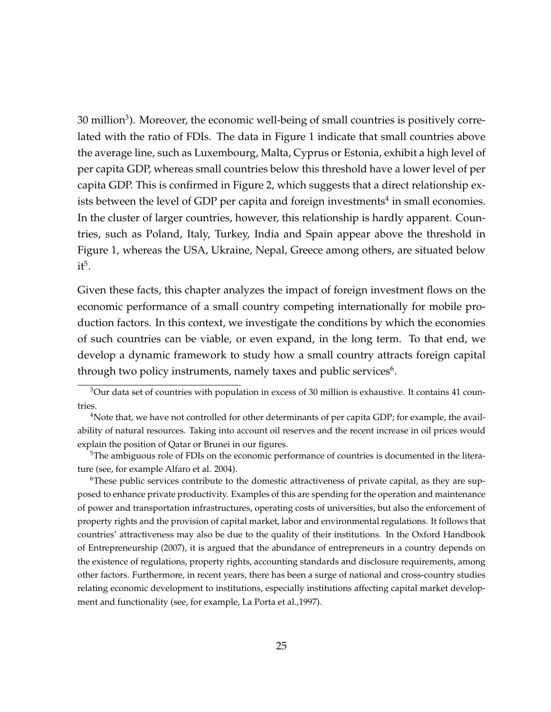30 million<sup>3</sup>). Moreover, the economic well-being of small countries is positively correlated with the ratio of FDIs. The data in Figure 1 indicate that small countries above the average line, such as Luxembourg, Malta, Cyprus or Estonia, exhibit a high level of per capita GDP, whereas small countries below this threshold have a lower level of per capita GDP. This is confirmed in Figure 2, which suggests that a direct relationship exists between the level of GDP per capita and foreign investments $^4$  in small economies. In the cluster of larger countries, however, this relationship is hardly apparent. Countries, such as Poland, Italy, Turkey, India and Spain appear above the threshold in Figure 1, whereas the USA, Ukraine, Nepal, Greece among others, are situated below  $it^5$ .

Given these facts, this chapter analyzes the impact of foreign investment flows on the economic performance of a small country competing internationally for mobile production factors. In this context, we investigate the conditions by which the economies of such countries can be viable, or even expand, in the long term. To that end, we develop a dynamic framework to study how a small country attracts foreign capital through two policy instruments, namely taxes and public services $^6$ .

<sup>6</sup>These public services contribute to the domestic attractiveness of private capital, as they are supposed to enhance private productivity. Examples of this are spending for the operation and maintenance of power and transportation infrastructures, operating costs of universities, but also the enforcement of property rights and the provision of capital market, labor and environmental regulations. It follows that countries' attractiveness may also be due to the quality of their institutions. In the Oxford Handbook of Entrepreneurship (2007), it is argued that the abundance of entrepreneurs in a country depends on the existence of regulations, property rights, accounting standards and disclosure requirements, among other factors. Furthermore, in recent years, there has been a surge of national and cross-country studies relating economic development to institutions, especially institutions affecting capital market development and functionality (see, for example, La Porta et al.,1997).

<sup>&</sup>lt;sup>3</sup>Our data set of countries with population in excess of 30 million is exhaustive. It contains 41 countries.

<sup>&</sup>lt;sup>4</sup>Note that, we have not controlled for other determinants of per capita GDP; for example, the availability of natural resources. Taking into account oil reserves and the recent increase in oil prices would explain the position of Qatar or Brunei in our figures.

<sup>&</sup>lt;sup>5</sup>The ambiguous role of FDIs on the economic performance of countries is documented in the literature (see, for example Alfaro et al. 2004).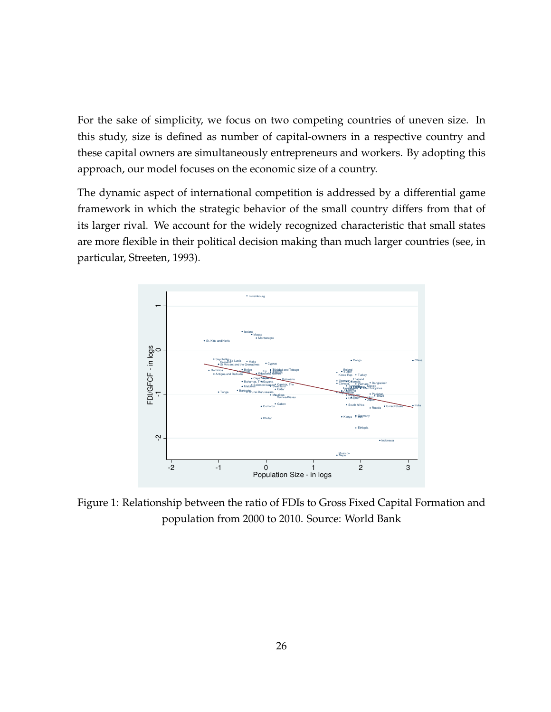For the sake of simplicity, we focus on two competing countries of uneven size. In this study, size is defined as number of capital-owners in a respective country and these capital owners are simultaneously entrepreneurs and workers. By adopting this approach, our model focuses on the economic size of a country.

The dynamic aspect of international competition is addressed by a differential game framework in which the strategic behavior of the small country differs from that of its larger rival. We account for the widely recognized characteristic that small states are more flexible in their political decision making than much larger countries (see, in particular, Streeten, 1993).



Figure 1: Relationship between the ratio of FDIs to Gross Fixed Capital Formation and population from 2000 to 2010. Source: World Bank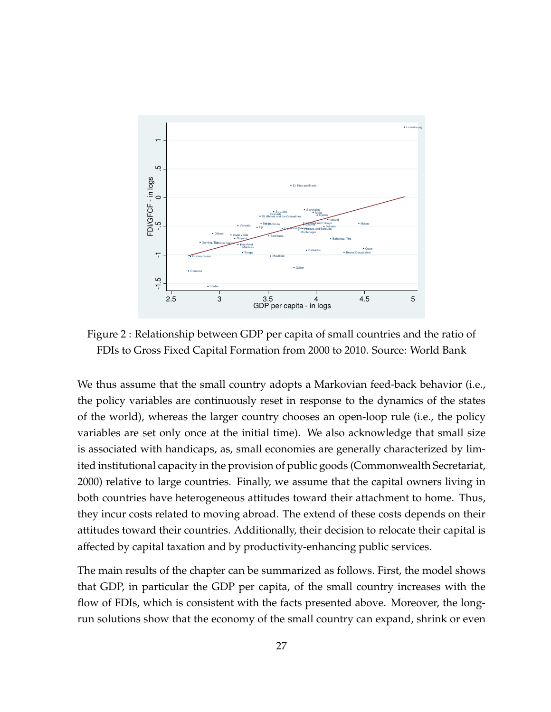

Figure 2 : Relationship between GDP per capita of small countries and the ratio of FDIs to Gross Fixed Capital Formation from 2000 to 2010. Source: World Bank

We thus assume that the small country adopts a Markovian feed-back behavior (i.e., the policy variables are continuously reset in response to the dynamics of the states of the world), whereas the larger country chooses an open-loop rule (i.e., the policy variables are set only once at the initial time). We also acknowledge that small size is associated with handicaps, as, small economies are generally characterized by limited institutional capacity in the provision of public goods (Commonwealth Secretariat, 2000) relative to large countries. Finally, we assume that the capital owners living in both countries have heterogeneous attitudes toward their attachment to home. Thus, they incur costs related to moving abroad. The extend of these costs depends on their attitudes toward their countries. Additionally, their decision to relocate their capital is affected by capital taxation and by productivity-enhancing public services.

The main results of the chapter can be summarized as follows. First, the model shows that GDP, in particular the GDP per capita, of the small country increases with the flow of FDIs, which is consistent with the facts presented above. Moreover, the longrun solutions show that the economy of the small country can expand, shrink or even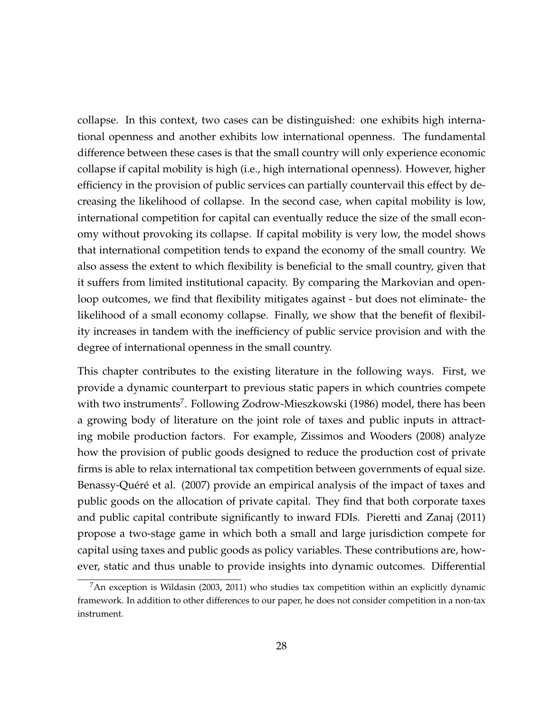collapse. In this context, two cases can be distinguished: one exhibits high international openness and another exhibits low international openness. The fundamental difference between these cases is that the small country will only experience economic collapse if capital mobility is high (i.e., high international openness). However, higher efficiency in the provision of public services can partially countervail this effect by decreasing the likelihood of collapse. In the second case, when capital mobility is low, international competition for capital can eventually reduce the size of the small economy without provoking its collapse. If capital mobility is very low, the model shows that international competition tends to expand the economy of the small country. We also assess the extent to which flexibility is beneficial to the small country, given that it suffers from limited institutional capacity. By comparing the Markovian and openloop outcomes, we find that flexibility mitigates against - but does not eliminate- the likelihood of a small economy collapse. Finally, we show that the benefit of flexibility increases in tandem with the inefficiency of public service provision and with the degree of international openness in the small country.

This chapter contributes to the existing literature in the following ways. First, we provide a dynamic counterpart to previous static papers in which countries compete with two instruments<sup>7</sup>. Following Zodrow-Mieszkowski (1986) model, there has been a growing body of literature on the joint role of taxes and public inputs in attracting mobile production factors. For example, Zissimos and Wooders (2008) analyze how the provision of public goods designed to reduce the production cost of private firms is able to relax international tax competition between governments of equal size. Benassy-Quéré et al. (2007) provide an empirical analysis of the impact of taxes and public goods on the allocation of private capital. They find that both corporate taxes and public capital contribute significantly to inward FDIs. Pieretti and Zanaj (2011) propose a two-stage game in which both a small and large jurisdiction compete for capital using taxes and public goods as policy variables. These contributions are, however, static and thus unable to provide insights into dynamic outcomes. Differential

 ${}^{7}$ An exception is Wildasin (2003, 2011) who studies tax competition within an explicitly dynamic framework. In addition to other differences to our paper, he does not consider competition in a non-tax instrument.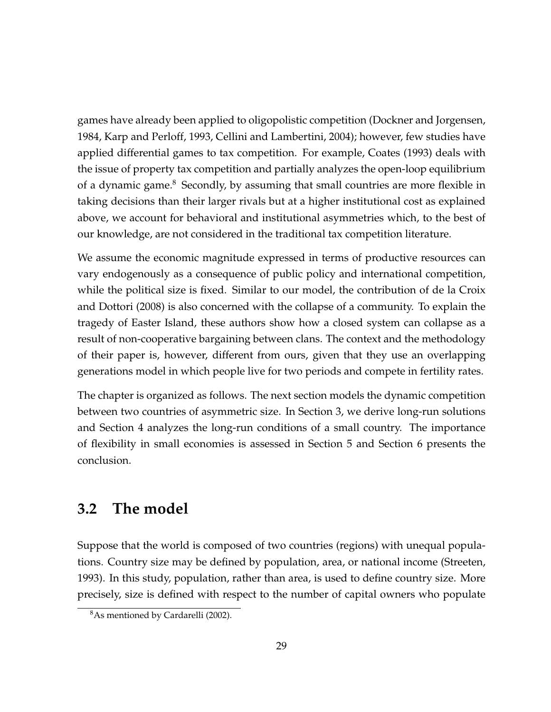games have already been applied to oligopolistic competition (Dockner and Jorgensen, 1984, Karp and Perloff, 1993, Cellini and Lambertini, 2004); however, few studies have applied differential games to tax competition. For example, Coates (1993) deals with the issue of property tax competition and partially analyzes the open-loop equilibrium of a dynamic game.<sup>8</sup> Secondly, by assuming that small countries are more flexible in taking decisions than their larger rivals but at a higher institutional cost as explained above, we account for behavioral and institutional asymmetries which, to the best of our knowledge, are not considered in the traditional tax competition literature.

We assume the economic magnitude expressed in terms of productive resources can vary endogenously as a consequence of public policy and international competition, while the political size is fixed. Similar to our model, the contribution of de la Croix and Dottori (2008) is also concerned with the collapse of a community. To explain the tragedy of Easter Island, these authors show how a closed system can collapse as a result of non-cooperative bargaining between clans. The context and the methodology of their paper is, however, different from ours, given that they use an overlapping generations model in which people live for two periods and compete in fertility rates.

The chapter is organized as follows. The next section models the dynamic competition between two countries of asymmetric size. In Section 3, we derive long-run solutions and Section 4 analyzes the long-run conditions of a small country. The importance of flexibility in small economies is assessed in Section 5 and Section 6 presents the conclusion.

## **3.2 The model**

Suppose that the world is composed of two countries (regions) with unequal populations. Country size may be defined by population, area, or national income (Streeten, 1993). In this study, population, rather than area, is used to define country size. More precisely, size is defined with respect to the number of capital owners who populate

<sup>8</sup>As mentioned by Cardarelli (2002).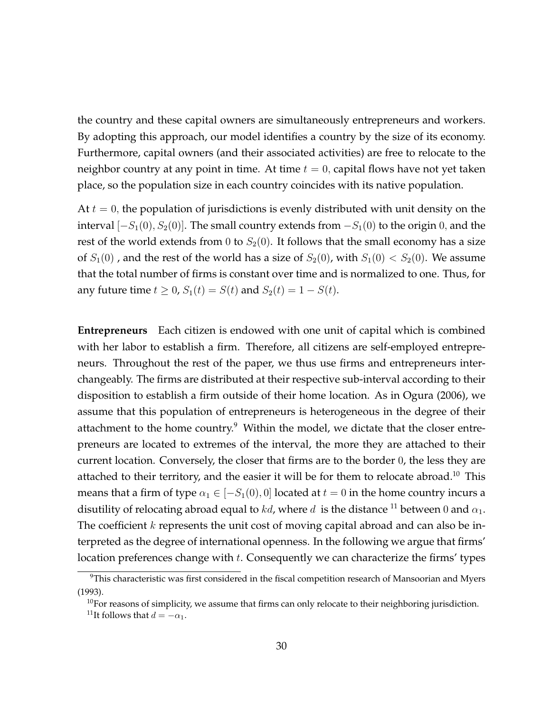the country and these capital owners are simultaneously entrepreneurs and workers. By adopting this approach, our model identifies a country by the size of its economy. Furthermore, capital owners (and their associated activities) are free to relocate to the neighbor country at any point in time. At time  $t = 0$ , capital flows have not yet taken place, so the population size in each country coincides with its native population.

At  $t = 0$ , the population of jurisdictions is evenly distributed with unit density on the interval  $[-S_1(0), S_2(0)]$ . The small country extends from  $-S_1(0)$  to the origin 0, and the rest of the world extends from 0 to  $S_2(0)$ . It follows that the small economy has a size of  $S_1(0)$ , and the rest of the world has a size of  $S_2(0)$ , with  $S_1(0) < S_2(0)$ . We assume that the total number of firms is constant over time and is normalized to one. Thus, for any future time  $t \ge 0$ ,  $S_1(t) = S(t)$  and  $S_2(t) = 1 - S(t)$ .

**Entrepreneurs** Each citizen is endowed with one unit of capital which is combined with her labor to establish a firm. Therefore, all citizens are self-employed entrepreneurs. Throughout the rest of the paper, we thus use firms and entrepreneurs interchangeably. The firms are distributed at their respective sub-interval according to their disposition to establish a firm outside of their home location. As in Ogura (2006), we assume that this population of entrepreneurs is heterogeneous in the degree of their attachment to the home country.<sup>9</sup> Within the model, we dictate that the closer entrepreneurs are located to extremes of the interval, the more they are attached to their current location. Conversely, the closer that firms are to the border 0, the less they are attached to their territory, and the easier it will be for them to relocate abroad.<sup>10</sup> This means that a firm of type  $\alpha_1 \in [-S_1(0), 0]$  located at  $t = 0$  in the home country incurs a disutility of relocating abroad equal to kd, where d is the distance <sup>11</sup> between 0 and  $\alpha_1$ . The coefficient  $k$  represents the unit cost of moving capital abroad and can also be interpreted as the degree of international openness. In the following we argue that firms' location preferences change with t. Consequently we can characterize the firms' types

<sup>&</sup>lt;sup>9</sup>This characteristic was first considered in the fiscal competition research of Mansoorian and Myers (1993).

 $10$ For reasons of simplicity, we assume that firms can only relocate to their neighboring jurisdiction.

<sup>&</sup>lt;sup>11</sup>It follows that  $d = -\alpha_1$ .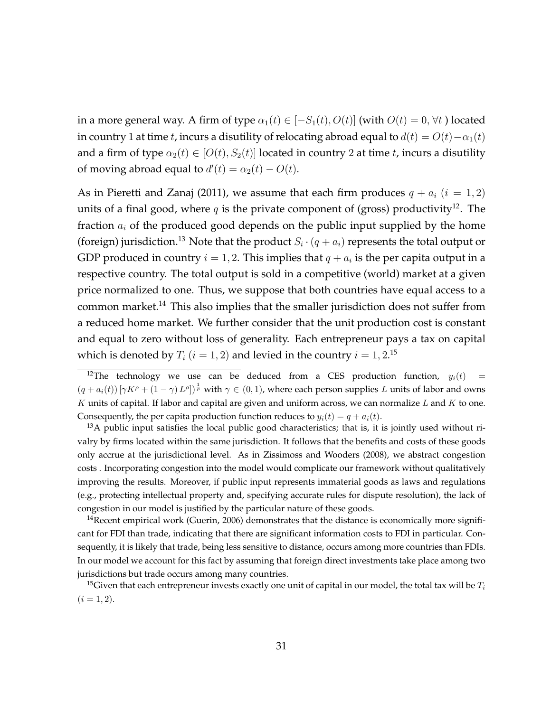in a more general way. A firm of type  $\alpha_1(t) \in [-S_1(t), O(t)]$  (with  $O(t) = 0$ ,  $\forall t$ ) located in country 1 at time t, incurs a disutility of relocating abroad equal to  $d(t) = O(t) - \alpha_1(t)$ and a firm of type  $\alpha_2(t) \in [O(t), S_2(t)]$  located in country 2 at time t, incurs a disutility of moving abroad equal to  $d'(t) = \alpha_2(t) - O(t)$ .

As in Pieretti and Zanaj (2011), we assume that each firm produces  $q + a_i$  ( $i = 1, 2$ ) units of a final good, where q is the private component of (gross) productivity<sup>12</sup>. The fraction  $a_i$  of the produced good depends on the public input supplied by the home (foreign) jurisdiction.<sup>13</sup> Note that the product  $S_i \cdot (q + a_i)$  represents the total output or GDP produced in country  $i = 1, 2$ . This implies that  $q + a_i$  is the per capita output in a respective country. The total output is sold in a competitive (world) market at a given price normalized to one. Thus, we suppose that both countries have equal access to a common market.<sup>14</sup> This also implies that the smaller jurisdiction does not suffer from a reduced home market. We further consider that the unit production cost is constant and equal to zero without loss of generality. Each entrepreneur pays a tax on capital which is denoted by  $T_i$   $(i=1,2)$  and levied in the country  $i=1,2.^{15}$ 

 $13A$  public input satisfies the local public good characteristics; that is, it is jointly used without rivalry by firms located within the same jurisdiction. It follows that the benefits and costs of these goods only accrue at the jurisdictional level. As in Zissimoss and Wooders (2008), we abstract congestion costs . Incorporating congestion into the model would complicate our framework without qualitatively improving the results. Moreover, if public input represents immaterial goods as laws and regulations (e.g., protecting intellectual property and, specifying accurate rules for dispute resolution), the lack of congestion in our model is justified by the particular nature of these goods.

 $14$ Recent empirical work (Guerin, 2006) demonstrates that the distance is economically more significant for FDI than trade, indicating that there are significant information costs to FDI in particular. Consequently, it is likely that trade, being less sensitive to distance, occurs among more countries than FDIs. In our model we account for this fact by assuming that foreign direct investments take place among two jurisdictions but trade occurs among many countries.

<sup>&</sup>lt;sup>12</sup>The technology we use can be deduced from a CES production function,  $y_i(t)$  =  $(q + a_i(t)) [\gamma K^{\rho} + (1 - \gamma) L^{\rho}]^{\frac{1}{\rho}}$  with  $\gamma \in (0, 1)$ , where each person supplies L units of labor and owns  $K$  units of capital. If labor and capital are given and uniform across, we can normalize  $L$  and  $K$  to one. Consequently, the per capita production function reduces to  $y_i(t) = q + a_i(t)$ .

<sup>&</sup>lt;sup>15</sup>Given that each entrepreneur invests exactly one unit of capital in our model, the total tax will be  $T_i$  $(i = 1, 2).$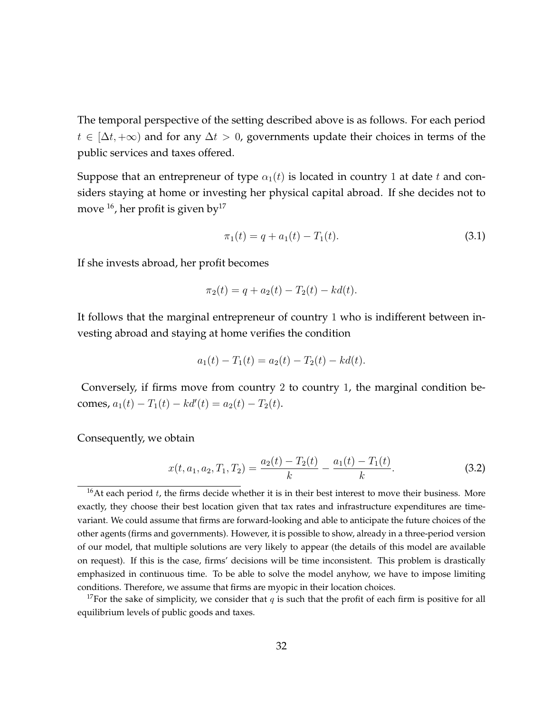The temporal perspective of the setting described above is as follows. For each period  $t \in [\Delta t, +\infty)$  and for any  $\Delta t > 0$ , governments update their choices in terms of the public services and taxes offered.

Suppose that an entrepreneur of type  $\alpha_1(t)$  is located in country 1 at date t and considers staying at home or investing her physical capital abroad. If she decides not to move  $^{16}$ , her profit is given by  $^{17}$ 

$$
\pi_1(t) = q + a_1(t) - T_1(t). \tag{3.1}
$$

If she invests abroad, her profit becomes

$$
\pi_2(t) = q + a_2(t) - T_2(t) - kd(t).
$$

It follows that the marginal entrepreneur of country 1 who is indifferent between investing abroad and staying at home verifies the condition

$$
a_1(t) - T_1(t) = a_2(t) - T_2(t) - kd(t).
$$

Conversely, if firms move from country 2 to country 1, the marginal condition becomes,  $a_1(t) - T_1(t) - kd'(t) = a_2(t) - T_2(t)$ .

Consequently, we obtain

$$
x(t, a_1, a_2, T_1, T_2) = \frac{a_2(t) - T_2(t)}{k} - \frac{a_1(t) - T_1(t)}{k}.
$$
 (3.2)

<sup>&</sup>lt;sup>16</sup>At each period  $t$ , the firms decide whether it is in their best interest to move their business. More exactly, they choose their best location given that tax rates and infrastructure expenditures are timevariant. We could assume that firms are forward-looking and able to anticipate the future choices of the other agents (firms and governments). However, it is possible to show, already in a three-period version of our model, that multiple solutions are very likely to appear (the details of this model are available on request). If this is the case, firms' decisions will be time inconsistent. This problem is drastically emphasized in continuous time. To be able to solve the model anyhow, we have to impose limiting conditions. Therefore, we assume that firms are myopic in their location choices.

<sup>&</sup>lt;sup>17</sup>For the sake of simplicity, we consider that q is such that the profit of each firm is positive for all equilibrium levels of public goods and taxes.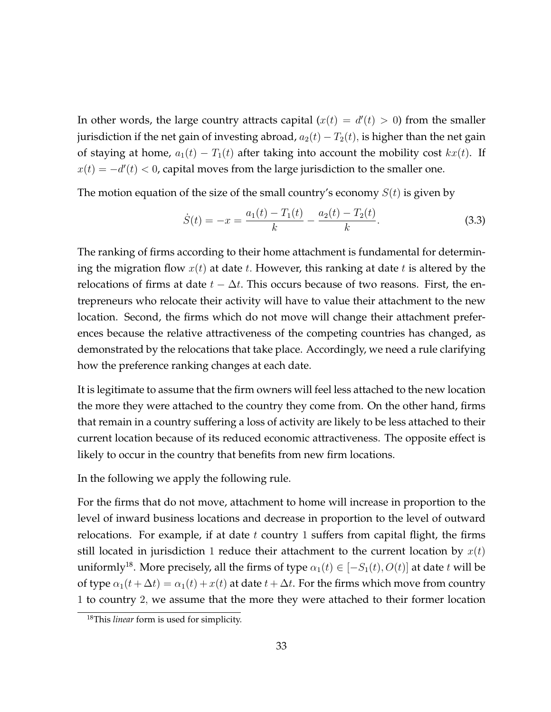In other words, the large country attracts capital ( $x(t) = d'(t) > 0$ ) from the smaller jurisdiction if the net gain of investing abroad,  $a_2(t) - T_2(t)$ , is higher than the net gain of staying at home,  $a_1(t) - T_1(t)$  after taking into account the mobility cost  $kx(t)$ . If  $x(t) = -d'(t) < 0$ , capital moves from the large jurisdiction to the smaller one.

The motion equation of the size of the small country's economy  $S(t)$  is given by

$$
\dot{S}(t) = -x = \frac{a_1(t) - T_1(t)}{k} - \frac{a_2(t) - T_2(t)}{k}.
$$
\n(3.3)

The ranking of firms according to their home attachment is fundamental for determining the migration flow  $x(t)$  at date t. However, this ranking at date t is altered by the relocations of firms at date  $t - \Delta t$ . This occurs because of two reasons. First, the entrepreneurs who relocate their activity will have to value their attachment to the new location. Second, the firms which do not move will change their attachment preferences because the relative attractiveness of the competing countries has changed, as demonstrated by the relocations that take place. Accordingly, we need a rule clarifying how the preference ranking changes at each date.

It is legitimate to assume that the firm owners will feel less attached to the new location the more they were attached to the country they come from. On the other hand, firms that remain in a country suffering a loss of activity are likely to be less attached to their current location because of its reduced economic attractiveness. The opposite effect is likely to occur in the country that benefits from new firm locations.

In the following we apply the following rule.

For the firms that do not move, attachment to home will increase in proportion to the level of inward business locations and decrease in proportion to the level of outward relocations. For example, if at date  $t$  country 1 suffers from capital flight, the firms still located in jurisdiction 1 reduce their attachment to the current location by  $x(t)$ uniformly<sup>18</sup>. More precisely, all the firms of type  $\alpha_1(t) \in [-S_1(t), O(t)]$  at date t will be of type  $\alpha_1(t + \Delta t) = \alpha_1(t) + x(t)$  at date  $t + \Delta t$ . For the firms which move from country 1 to country 2; we assume that the more they were attached to their former location

<sup>18</sup>This *linear* form is used for simplicity.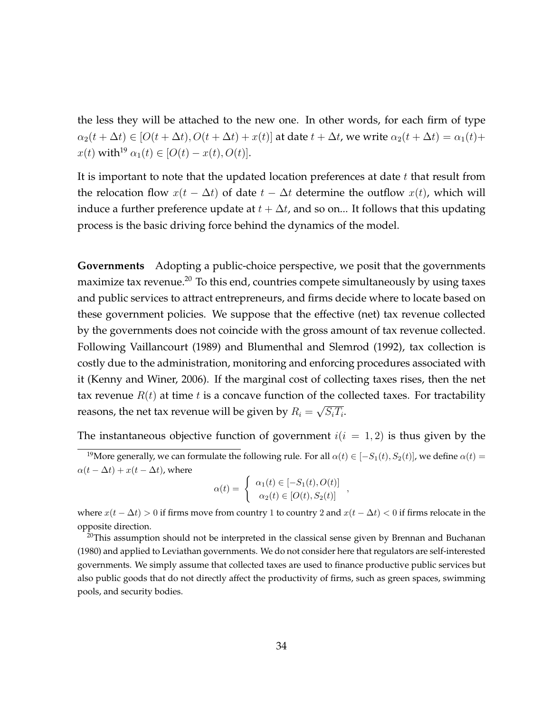the less they will be attached to the new one. In other words, for each firm of type  $\alpha_2(t + \Delta t) \in [O(t + \Delta t), O(t + \Delta t) + x(t)]$  at date  $t + \Delta t$ , we write  $\alpha_2(t + \Delta t) = \alpha_1(t) +$  $x(t)$  with<sup>19</sup>  $\alpha_1(t) \in [O(t) - x(t), O(t)].$ 

It is important to note that the updated location preferences at date  $t$  that result from the relocation flow  $x(t - \Delta t)$  of date  $t - \Delta t$  determine the outflow  $x(t)$ , which will induce a further preference update at  $t + \Delta t$ , and so on... It follows that this updating process is the basic driving force behind the dynamics of the model.

**Governments** Adopting a public-choice perspective, we posit that the governments maximize tax revenue. $^{20}$  To this end, countries compete simultaneously by using taxes and public services to attract entrepreneurs, and firms decide where to locate based on these government policies. We suppose that the effective (net) tax revenue collected by the governments does not coincide with the gross amount of tax revenue collected. Following Vaillancourt (1989) and Blumenthal and Slemrod (1992), tax collection is costly due to the administration, monitoring and enforcing procedures associated with it (Kenny and Winer, 2006). If the marginal cost of collecting taxes rises, then the net tax revenue  $R(t)$  at time t is a concave function of the collected taxes. For tractability reasons, the net tax revenue will be given by  $R_i = \sqrt{S_i T_i}$ .

The instantaneous objective function of government  $i(i = 1, 2)$  is thus given by the

<sup>19</sup>More generally, we can formulate the following rule. For all  $\alpha(t) \in [-S_1(t), S_2(t)]$ , we define  $\alpha(t) =$  $\alpha(t - \Delta t) + x(t - \Delta t)$ , where

$$
\alpha(t) = \begin{cases} \alpha_1(t) \in [-S_1(t), O(t)] \\ \alpha_2(t) \in [O(t), S_2(t)] \end{cases}
$$

where  $x(t - \Delta t) > 0$  if firms move from country 1 to country 2 and  $x(t - \Delta t) < 0$  if firms relocate in the opposite direction.

 $20$ This assumption should not be interpreted in the classical sense given by Brennan and Buchanan (1980) and applied to Leviathan governments. We do not consider here that regulators are self-interested governments. We simply assume that collected taxes are used to finance productive public services but also public goods that do not directly affect the productivity of firms, such as green spaces, swimming pools, and security bodies.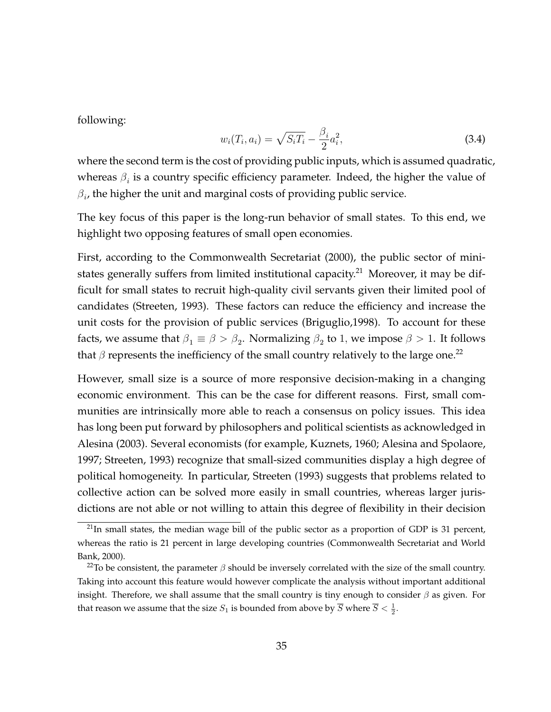following:

$$
w_i(T_i, a_i) = \sqrt{S_i T_i} - \frac{\beta_i}{2} a_i^2,
$$
\n(3.4)

where the second term is the cost of providing public inputs, which is assumed quadratic, whereas  $\beta_i$  is a country specific efficiency parameter. Indeed, the higher the value of  $\beta_i$ , the higher the unit and marginal costs of providing public service.

The key focus of this paper is the long-run behavior of small states. To this end, we highlight two opposing features of small open economies.

First, according to the Commonwealth Secretariat (2000), the public sector of ministates generally suffers from limited institutional capacity.<sup>21</sup> Moreover, it may be difficult for small states to recruit high-quality civil servants given their limited pool of candidates (Streeten, 1993). These factors can reduce the efficiency and increase the unit costs for the provision of public services (Briguglio,1998). To account for these facts, we assume that  $\beta_1 \equiv \beta > \beta_2$ . Normalizing  $\beta_2$  to 1, we impose  $\beta > 1$ . It follows that  $\beta$  represents the inefficiency of the small country relatively to the large one.<sup>22</sup>

However, small size is a source of more responsive decision-making in a changing economic environment. This can be the case for different reasons. First, small communities are intrinsically more able to reach a consensus on policy issues. This idea has long been put forward by philosophers and political scientists as acknowledged in Alesina (2003). Several economists (for example, Kuznets, 1960; Alesina and Spolaore, 1997; Streeten, 1993) recognize that small-sized communities display a high degree of political homogeneity. In particular, Streeten (1993) suggests that problems related to collective action can be solved more easily in small countries, whereas larger jurisdictions are not able or not willing to attain this degree of flexibility in their decision

<sup>&</sup>lt;sup>21</sup>In small states, the median wage bill of the public sector as a proportion of GDP is 31 percent, whereas the ratio is 21 percent in large developing countries (Commonwealth Secretariat and World Bank, 2000).

<sup>&</sup>lt;sup>22</sup>To be consistent, the parameter  $\beta$  should be inversely correlated with the size of the small country. Taking into account this feature would however complicate the analysis without important additional insight. Therefore, we shall assume that the small country is tiny enough to consider  $\beta$  as given. For that reason we assume that the size  $S_1$  is bounded from above by  $\overline{S}$  where  $\overline{S} < \frac{1}{2}$ .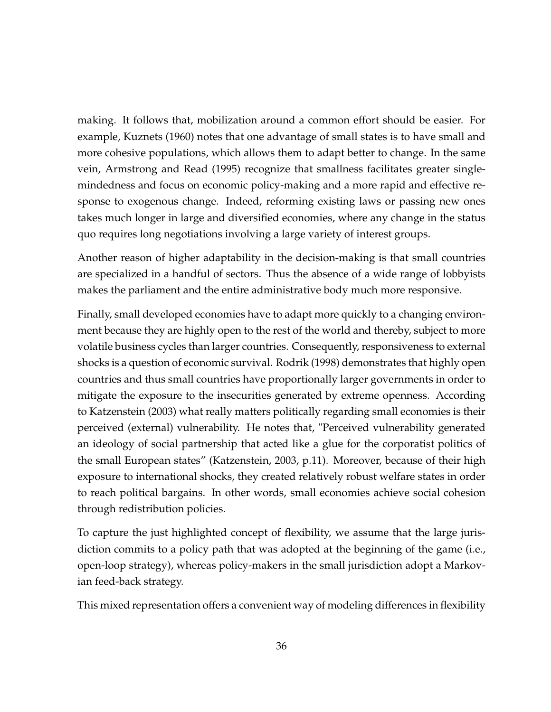making. It follows that, mobilization around a common effort should be easier. For example, Kuznets (1960) notes that one advantage of small states is to have small and more cohesive populations, which allows them to adapt better to change. In the same vein, Armstrong and Read (1995) recognize that smallness facilitates greater singlemindedness and focus on economic policy-making and a more rapid and effective response to exogenous change. Indeed, reforming existing laws or passing new ones takes much longer in large and diversified economies, where any change in the status quo requires long negotiations involving a large variety of interest groups.

Another reason of higher adaptability in the decision-making is that small countries are specialized in a handful of sectors. Thus the absence of a wide range of lobbyists makes the parliament and the entire administrative body much more responsive.

Finally, small developed economies have to adapt more quickly to a changing environment because they are highly open to the rest of the world and thereby, subject to more volatile business cycles than larger countries. Consequently, responsiveness to external shocks is a question of economic survival. Rodrik (1998) demonstrates that highly open countries and thus small countries have proportionally larger governments in order to mitigate the exposure to the insecurities generated by extreme openness. According to Katzenstein (2003) what really matters politically regarding small economies is their perceived (external) vulnerability. He notes that, "Perceived vulnerability generated an ideology of social partnership that acted like a glue for the corporatist politics of the small European states" (Katzenstein, 2003, p.11). Moreover, because of their high exposure to international shocks, they created relatively robust welfare states in order to reach political bargains. In other words, small economies achieve social cohesion through redistribution policies.

To capture the just highlighted concept of flexibility, we assume that the large jurisdiction commits to a policy path that was adopted at the beginning of the game (i.e., open-loop strategy), whereas policy-makers in the small jurisdiction adopt a Markovian feed-back strategy.

This mixed representation offers a convenient way of modeling differences in flexibility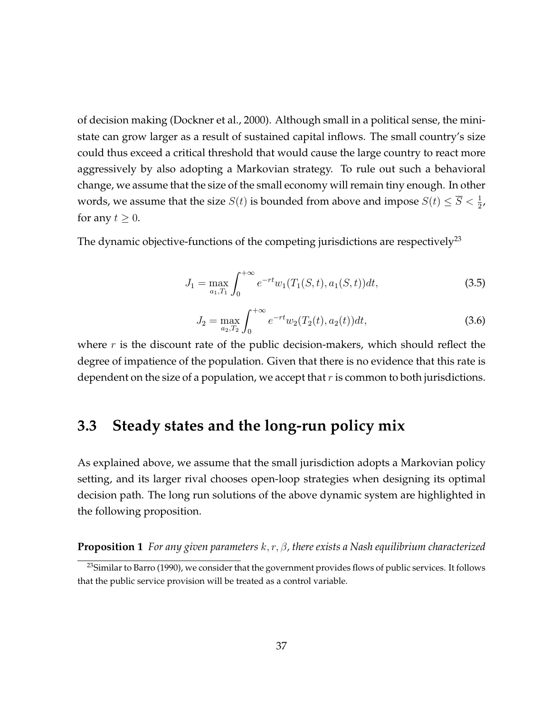of decision making (Dockner et al., 2000). Although small in a political sense, the ministate can grow larger as a result of sustained capital inflows. The small country's size could thus exceed a critical threshold that would cause the large country to react more aggressively by also adopting a Markovian strategy. To rule out such a behavioral change, we assume that the size of the small economy will remain tiny enough. In other words, we assume that the size  $S(t)$  is bounded from above and impose  $S(t) \leq \overline{S} < \frac{1}{2}$ , for any  $t \geq 0$ .

The dynamic objective-functions of the competing jurisdictions are respectively<sup>23</sup>

$$
J_1 = \max_{a_1, T_1} \int_0^{+\infty} e^{-rt} w_1(T_1(S, t), a_1(S, t)) dt,
$$
\n(3.5)

$$
J_2 = \max_{a_2, T_2} \int_0^{+\infty} e^{-rt} w_2(T_2(t), a_2(t)) dt,
$$
\n(3.6)

where  $r$  is the discount rate of the public decision-makers, which should reflect the degree of impatience of the population. Given that there is no evidence that this rate is dependent on the size of a population, we accept that  $r$  is common to both jurisdictions.

## **3.3 Steady states and the long-run policy mix**

As explained above, we assume that the small jurisdiction adopts a Markovian policy setting, and its larger rival chooses open-loop strategies when designing its optimal decision path. The long run solutions of the above dynamic system are highlighted in the following proposition.

**Proposition 1** *For any given parameters* k; r; *, there exists a Nash equilibrium characterized*

<sup>&</sup>lt;sup>23</sup>Similar to Barro (1990), we consider that the government provides flows of public services. It follows that the public service provision will be treated as a control variable.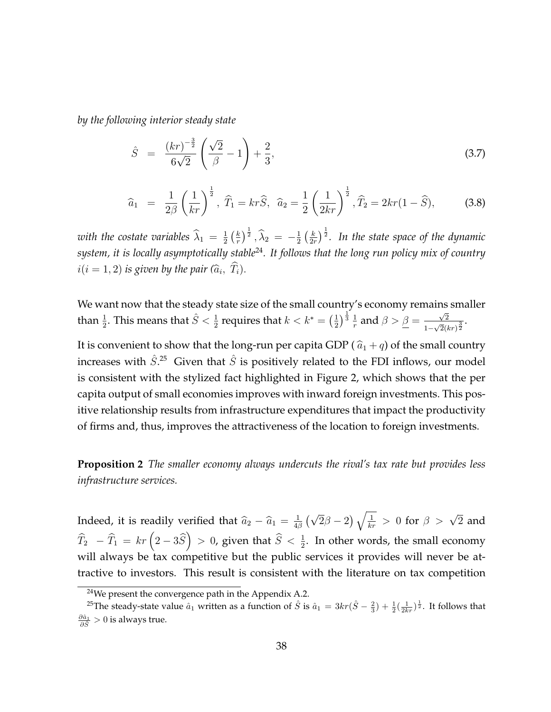*by the following interior steady state*

$$
\hat{S} = \frac{(kr)^{-\frac{3}{2}}}{6\sqrt{2}} \left( \frac{\sqrt{2}}{\beta} - 1 \right) + \frac{2}{3},\tag{3.7}
$$

$$
\widehat{a}_1 = \frac{1}{2\beta} \left(\frac{1}{kr}\right)^{\frac{1}{2}}, \widehat{T}_1 = kr\widehat{S}, \widehat{a}_2 = \frac{1}{2} \left(\frac{1}{2kr}\right)^{\frac{1}{2}}, \widehat{T}_2 = 2kr(1 - \widehat{S}),
$$
(3.8)

with the costate variables  $\hat{\lambda}_1 = \frac{1}{2}$  $rac{1}{2}$   $\left(\frac{k}{r}\right)$  $\left(\frac{k}{r}\right)^{\frac{1}{2}}, \widehat{\lambda}_2 = -\frac{1}{2}$  $rac{1}{2}$   $\left(\frac{k}{2n}\right)$  $\frac{k}{2r}$ )<sup> $\frac{1}{2}$ </sup>. In the state space of the dynamic *system, it is locally asymptotically stable*<sup>24</sup>*. It follows that the long run policy mix of country*  $i(i = 1, 2)$  is given by the pair  $(\widehat{a}_i, T_i)$ .

We want now that the steady state size of the small country's economy remains smaller than  $\frac{1}{2}$ . This means that  $\hat{S} < \frac{1}{2}$  requires that  $k < k^* = \left(\frac{1}{2}\right)$  $\frac{1}{2}$ )  $\frac{1}{3}$   $\frac{1}{r}$  $\frac{1}{r}$  and  $\beta > \frac{\beta}{\beta} = \frac{\sqrt{2}}{1-\sqrt{2}}$  $\frac{\sqrt{2}}{1-\sqrt{2}(kr)^{\frac{3}{2}}}.$ 

It is convenient to show that the long-run per capita GDP ( $\hat{a}_1 + q$ ) of the small country increases with  $\hat{S}$ .<sup>25</sup> Given that  $\hat{S}$  is positively related to the FDI inflows, our model is consistent with the stylized fact highlighted in Figure 2, which shows that the per capita output of small economies improves with inward foreign investments. This positive relationship results from infrastructure expenditures that impact the productivity of firms and, thus, improves the attractiveness of the location to foreign investments.

**Proposition 2** *The smaller economy always undercuts the rival's tax rate but provides less infrastructure services.*

Indeed, it is readily verified that  $\widehat{a}_2 - \widehat{a}_1 = \frac{1}{4\beta}$  $\frac{1}{4\beta} \left(\sqrt{2}\beta-2\right) \sqrt{\frac{1}{kr}} > 0$  for  $\beta > \sqrt{2}$  and  $\widehat{T}_2$   $\widehat{T}_1$  =  $kr$   $\left(2-3\widehat{S}\right)$   $>$  0, given that  $\widehat{S}$   $<$   $\frac{1}{2}$ . In other words, the small economy will always be tax competitive but the public services it provides will never be attractive to investors. This result is consistent with the literature on tax competition

 $24$ We present the convergence path in the Appendix A.2.

<sup>&</sup>lt;sup>25</sup>The steady-state value  $\hat{a}_1$  written as a function of  $\hat{S}$  is  $\hat{a}_1 = 3kr(\hat{S} - \frac{2}{3}) + \frac{1}{2}(\frac{1}{2kr})^{\frac{1}{2}}$ . It follows that  $\frac{\partial \hat{a}_1}{\partial \hat{S}} > 0$  is always true.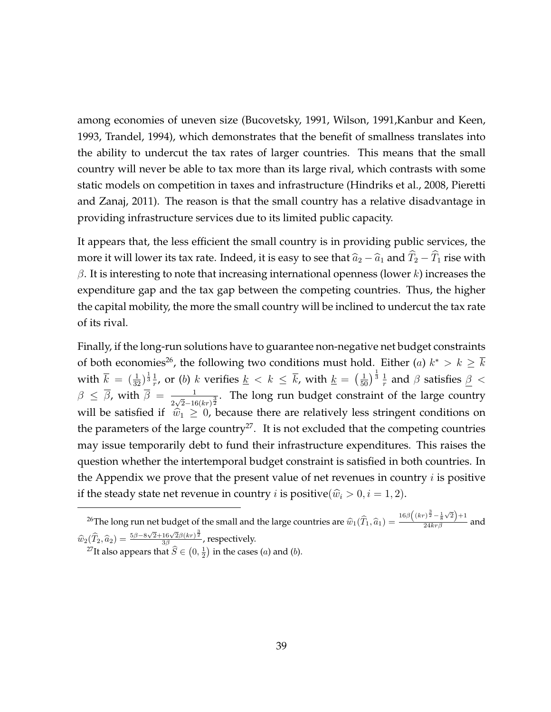among economies of uneven size (Bucovetsky, 1991, Wilson, 1991,Kanbur and Keen, 1993, Trandel, 1994), which demonstrates that the benefit of smallness translates into the ability to undercut the tax rates of larger countries. This means that the small country will never be able to tax more than its large rival, which contrasts with some static models on competition in taxes and infrastructure (Hindriks et al., 2008, Pieretti and Zanaj, 2011). The reason is that the small country has a relative disadvantage in providing infrastructure services due to its limited public capacity.

It appears that, the less efficient the small country is in providing public services, the more it will lower its tax rate. Indeed, it is easy to see that  $\widehat a_2 - \widehat a_1$  and  $\widehat T_2 - \widehat T_1$  rise with  $\beta$ . It is interesting to note that increasing international openness (lower k) increases the expenditure gap and the tax gap between the competing countries. Thus, the higher the capital mobility, the more the small country will be inclined to undercut the tax rate of its rival.

Finally, if the long-run solutions have to guarantee non-negative net budget constraints of both economies<sup>26</sup>, the following two conditions must hold. Either (a)  $k^* > k \geq \overline{k}$ with  $\bar{k} = (\frac{1}{32})^{\frac{1}{3}} \frac{1}{r}$  $\frac{1}{r}$ , or (b) k verifies  $\underline{k} < k \leq \overline{k}$ , with  $\underline{k} = \left(\frac{1}{50}\right)^{\frac{1}{3}} \frac{1}{r}$  $\frac{1}{r}$  and  $\beta$  satisfies  $\underline{\beta}$  <  $\beta \leq \overline{\beta}$ , with  $\overline{\beta} = \frac{1}{2\sqrt{2}-16}$  $\frac{1}{2\sqrt{2}-16(kr)^{\frac{3}{2}}}$ . The long run budget constraint of the large country will be satisfied if  $\hat{w}_1 \geq 0$ , because there are relatively less stringent conditions on the parameters of the large country<sup>27</sup>. It is not excluded that the competing countries may issue temporarily debt to fund their infrastructure expenditures. This raises the question whether the intertemporal budget constraint is satisfied in both countries. In the Appendix we prove that the present value of net revenues in country  $i$  is positive if the steady state net revenue in country *i* is positive( $\hat{w}_i > 0, i = 1, 2$ ).

<sup>&</sup>lt;sup>26</sup>The long run net budget of the small and the large countries are  $\widehat{w}_1(\widehat{T}_1,\widehat{a}_1) = \frac{16\beta\left((kr)^{\frac{3}{2}}-\frac{1}{8}\sqrt{2}\right)+1}{24kr\beta}$  and  $\widehat{w}_{2}(\widehat{T}_{2},\widehat{a}_{2})=\frac{5\beta-8\sqrt{2}+16\sqrt{2}\beta(kr)^{\frac{3}{2}}}{3\beta}$  $\frac{16\sqrt{2\rho(\kappa r)^2}}{3\beta}$ , respectively.

<sup>&</sup>lt;sup>27</sup>It also appears that  $\widehat{S} \in \left(0, \frac{1}{2}\right)$  in the cases  $(a)$  and  $(b)$ .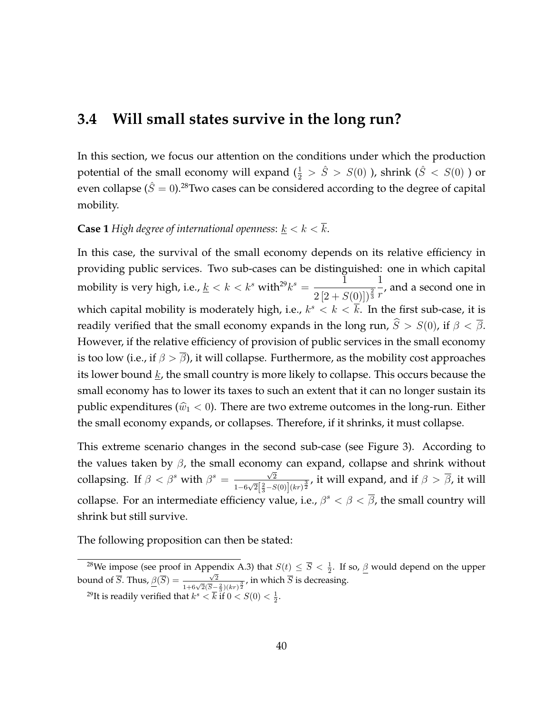## **3.4 Will small states survive in the long run?**

In this section, we focus our attention on the conditions under which the production potential of the small economy will expand  $(\frac{1}{2} > \hat{S} > S(0)$  ), shrink  $(\hat{S} < S(0)$  ) or even collapse ( $\hat{S} = 0$ ).<sup>28</sup>Two cases can be considered according to the degree of capital mobility.

### **Case 1** *High degree of international openness:*  $\underline{k} < k < \overline{k}$ .

In this case, the survival of the small economy depends on its relative efficiency in providing public services. Two sub-cases can be distinguished: one in which capital mobility is very high, i.e.,  $k < k < k^s$  with  $2^9 k^s = \frac{1}{\sqrt{25}}$  $\frac{1}{2\left[2+S(0)\right])^{\frac{2}{3}}}$ 1  $\frac{1}{r}$ , and a second one in which capital mobility is moderately high, i.e.,  $k^s < k < \overline{k}$ . In the first sub-case, it is readily verified that the small economy expands in the long run,  $\widehat{S} > S(0)$ , if  $\beta < \overline{\beta}$ . However, if the relative efficiency of provision of public services in the small economy is too low (i.e., if  $\beta > \overline{\beta}$ ), it will collapse. Furthermore, as the mobility cost approaches its lower bound  $k$ , the small country is more likely to collapse. This occurs because the small economy has to lower its taxes to such an extent that it can no longer sustain its public expenditures ( $\hat{w}_1 < 0$ ). There are two extreme outcomes in the long-run. Either the small economy expands, or collapses. Therefore, if it shrinks, it must collapse.

This extreme scenario changes in the second sub-case (see Figure 3). According to the values taken by  $\beta$ , the small economy can expand, collapse and shrink without collapsing. If  $\beta < \beta^s$  with  $\beta^s = \frac{\sqrt{2}}{1 - \beta \sqrt{2}}$  $\frac{\sqrt{2}}{1-6\sqrt{2}\left[\frac{2}{3}-S(0)\right](kr)^{\frac{3}{2}}}$ , it will expand, and if  $\beta > \beta$ , it will collapse. For an intermediate efficiency value, i.e.,  $\beta^s < \beta < \overline{\beta}$ , the small country will shrink but still survive.

The following proposition can then be stated:

<sup>&</sup>lt;sup>28</sup>We impose (see proof in Appendix A.3) that  $S(t) \leq \overline{S} < \frac{1}{2}$ . If so,  $\beta$  would depend on the upper bound of  $\overline{S}$ . Thus,  $\underline{\beta}(\overline{S}) = \frac{\sqrt{2}}{1 + 6\sqrt{2}(\overline{S} - \frac{2}{3})(kr)^{\frac{3}{2}}}$ , in which  $\overline{S}$  is decreasing.

<sup>&</sup>lt;sup>29</sup>It is readily verified that  $k^s < \overline{k}$  if  $0 < S(0) < \frac{1}{2}$ .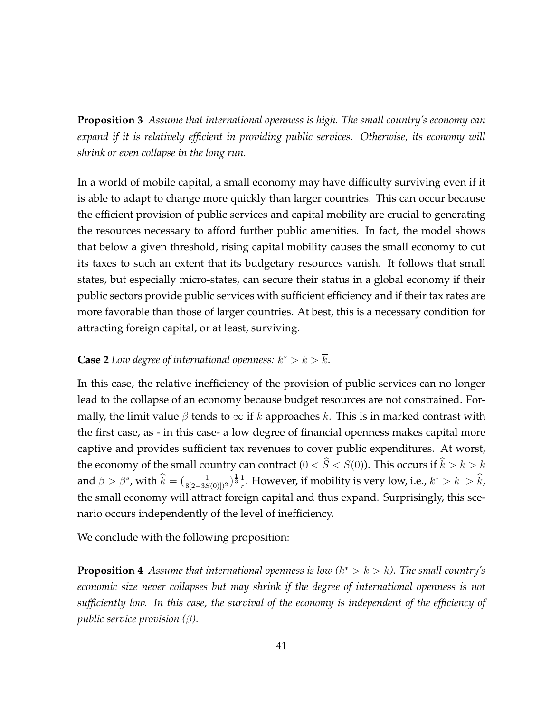**Proposition 3** *Assume that international openness is high. The small country's economy can expand if it is relatively efficient in providing public services. Otherwise, its economy will shrink or even collapse in the long run.*

In a world of mobile capital, a small economy may have difficulty surviving even if it is able to adapt to change more quickly than larger countries. This can occur because the efficient provision of public services and capital mobility are crucial to generating the resources necessary to afford further public amenities. In fact, the model shows that below a given threshold, rising capital mobility causes the small economy to cut its taxes to such an extent that its budgetary resources vanish. It follows that small states, but especially micro-states, can secure their status in a global economy if their public sectors provide public services with sufficient efficiency and if their tax rates are more favorable than those of larger countries. At best, this is a necessary condition for attracting foreign capital, or at least, surviving.

### **Case 2** Low degree of international openness:  $k^* > k > k$ .

In this case, the relative inefficiency of the provision of public services can no longer lead to the collapse of an economy because budget resources are not constrained. Formally, the limit value  $\overline{\beta}$  tends to  $\infty$  if k approaches  $\overline{k}$ . This is in marked contrast with the first case, as - in this case- a low degree of financial openness makes capital more captive and provides sufficient tax revenues to cover public expenditures. At worst, the economy of the small country can contract  $(0 < \hat{S} < S(0))$ . This occurs if  $\hat{k} > k > \overline{k}$ and  $\beta > \beta^s$ , with  $\widehat{k} = (\frac{1}{8[2-3S(0)])^2})^{\frac{1}{3}} \frac{1}{r}$  $\frac{1}{r}$ . However, if mobility is very low, i.e.,  $k^* > k > k$ , the small economy will attract foreign capital and thus expand. Surprisingly, this scenario occurs independently of the level of inefficiency.

We conclude with the following proposition:

**Proposition 4** Assume that international openness is low  $(k^* > k > k)$ . The small country's *economic size never collapses but may shrink if the degree of international openness is not sufficiently low. In this case, the survival of the economy is independent of the efficiency of public service provision ( ).*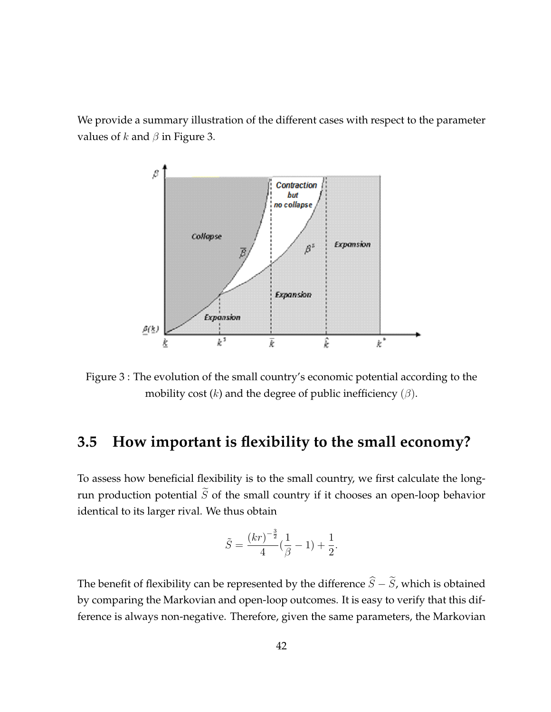We provide a summary illustration of the different cases with respect to the parameter values of  $k$  and  $\beta$  in Figure 3.



Figure 3 : The evolution of the small country's economic potential according to the mobility cost  $(k)$  and the degree of public inefficiency  $(\beta)$ .

# **3.5 How important is flexibility to the small economy?**

To assess how beneficial flexibility is to the small country, we first calculate the longrun production potential  $\tilde{S}$  of the small country if it chooses an open-loop behavior identical to its larger rival. We thus obtain

$$
\tilde{S} = \frac{(kr)^{-\frac{3}{2}}}{4}(\frac{1}{\beta} - 1) + \frac{1}{2}.
$$

The benefit of flexibility can be represented by the difference  $\widehat{S} - \widetilde{S}$ , which is obtained by comparing the Markovian and open-loop outcomes. It is easy to verify that this difference is always non-negative. Therefore, given the same parameters, the Markovian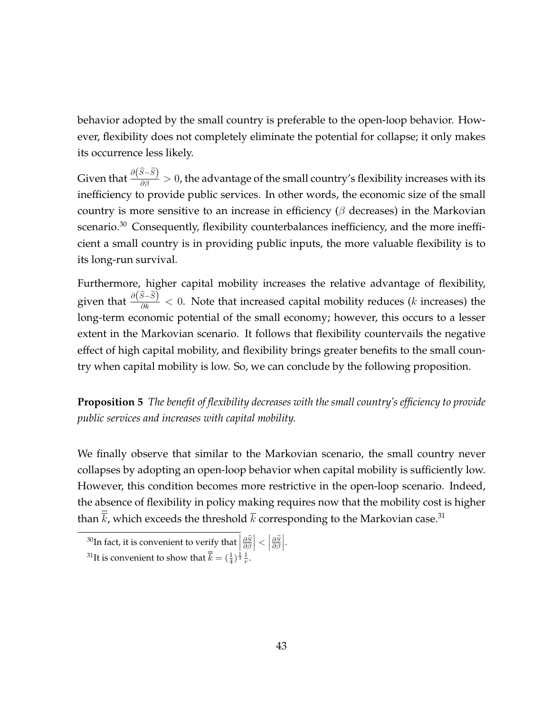behavior adopted by the small country is preferable to the open-loop behavior. However, flexibility does not completely eliminate the potential for collapse; it only makes its occurrence less likely.

Given that  $\frac{\partial (\widehat{S}-\widetilde{S})}{\partial \beta}>0$ , the advantage of the small country's flexibility increases with its inefficiency to provide public services. In other words, the economic size of the small country is more sensitive to an increase in efficiency ( $\beta$  decreases) in the Markovian scenario.<sup>30</sup> Consequently, flexibility counterbalances inefficiency, and the more inefficient a small country is in providing public inputs, the more valuable flexibility is to its long-run survival.

Furthermore, higher capital mobility increases the relative advantage of flexibility, given that  $\frac{\partial (\widehat{S}-\widetilde{S})}{\partial k}$  < 0. Note that increased capital mobility reduces (*k* increases) the long-term economic potential of the small economy; however, this occurs to a lesser extent in the Markovian scenario. It follows that flexibility countervails the negative effect of high capital mobility, and flexibility brings greater benefits to the small country when capital mobility is low. So, we can conclude by the following proposition.

**Proposition 5** *The benefit of flexibility decreases with the small country's efficiency to provide public services and increases with capital mobility.*

We finally observe that similar to the Markovian scenario, the small country never collapses by adopting an open-loop behavior when capital mobility is sufficiently low. However, this condition becomes more restrictive in the open-loop scenario. Indeed, the absence of flexibility in policy making requires now that the mobility cost is higher than  $\overline{k}$ , which exceeds the threshold  $\overline{k}$  corresponding to the Markovian case.<sup>31</sup>

<sup>&</sup>lt;sup>30</sup>In fact, it is convenient to verify that  $\left|\frac{\partial \widehat{S}}{\partial \beta}\right|$  $\Big| < \Big| \frac{\partial \widetilde{S}}{\partial \beta}$   .

 $^{31}$ It is convenient to show that  $\overline{\overline{k}} = (\frac{1}{4})^{\frac{1}{3}} \frac{1}{r}$ .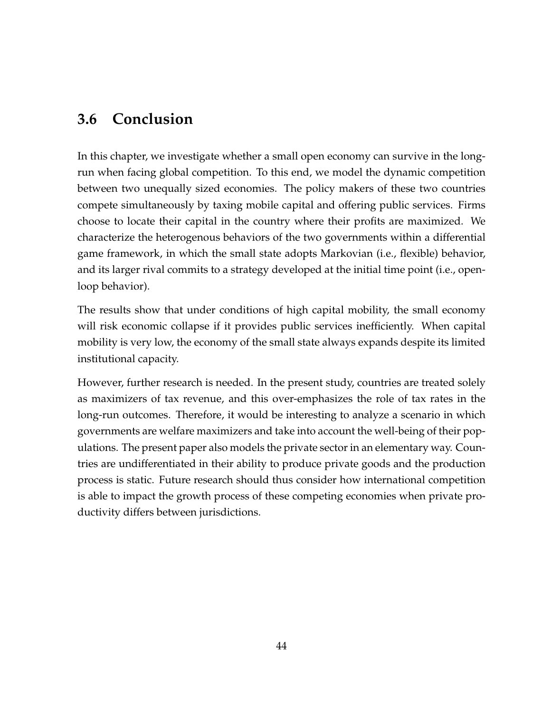# **3.6 Conclusion**

In this chapter, we investigate whether a small open economy can survive in the longrun when facing global competition. To this end, we model the dynamic competition between two unequally sized economies. The policy makers of these two countries compete simultaneously by taxing mobile capital and offering public services. Firms choose to locate their capital in the country where their profits are maximized. We characterize the heterogenous behaviors of the two governments within a differential game framework, in which the small state adopts Markovian (i.e., flexible) behavior, and its larger rival commits to a strategy developed at the initial time point (i.e., openloop behavior).

The results show that under conditions of high capital mobility, the small economy will risk economic collapse if it provides public services inefficiently. When capital mobility is very low, the economy of the small state always expands despite its limited institutional capacity.

However, further research is needed. In the present study, countries are treated solely as maximizers of tax revenue, and this over-emphasizes the role of tax rates in the long-run outcomes. Therefore, it would be interesting to analyze a scenario in which governments are welfare maximizers and take into account the well-being of their populations. The present paper also models the private sector in an elementary way. Countries are undifferentiated in their ability to produce private goods and the production process is static. Future research should thus consider how international competition is able to impact the growth process of these competing economies when private productivity differs between jurisdictions.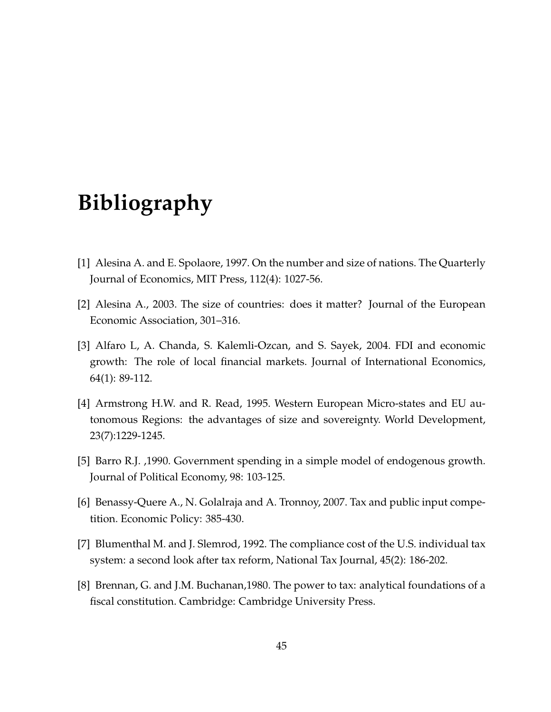# **Bibliography**

- [1] Alesina A. and E. Spolaore, 1997. On the number and size of nations. The Quarterly Journal of Economics, MIT Press, 112(4): 1027-56.
- [2] Alesina A., 2003. The size of countries: does it matter? Journal of the European Economic Association, 301–316.
- [3] Alfaro L, A. Chanda, S. Kalemli-Ozcan, and S. Sayek, 2004. FDI and economic growth: The role of local financial markets. Journal of International Economics, 64(1): 89-112.
- [4] Armstrong H.W. and R. Read, 1995. Western European Micro-states and EU autonomous Regions: the advantages of size and sovereignty. World Development, 23(7):1229-1245.
- [5] Barro R.J. ,1990. Government spending in a simple model of endogenous growth. Journal of Political Economy, 98: 103-125.
- [6] Benassy-Quere A., N. Golalraja and A. Tronnoy, 2007. Tax and public input competition. Economic Policy: 385-430.
- [7] Blumenthal M. and J. Slemrod, 1992. The compliance cost of the U.S. individual tax system: a second look after tax reform, National Tax Journal, 45(2): 186-202.
- [8] Brennan, G. and J.M. Buchanan,1980. The power to tax: analytical foundations of a fiscal constitution. Cambridge: Cambridge University Press.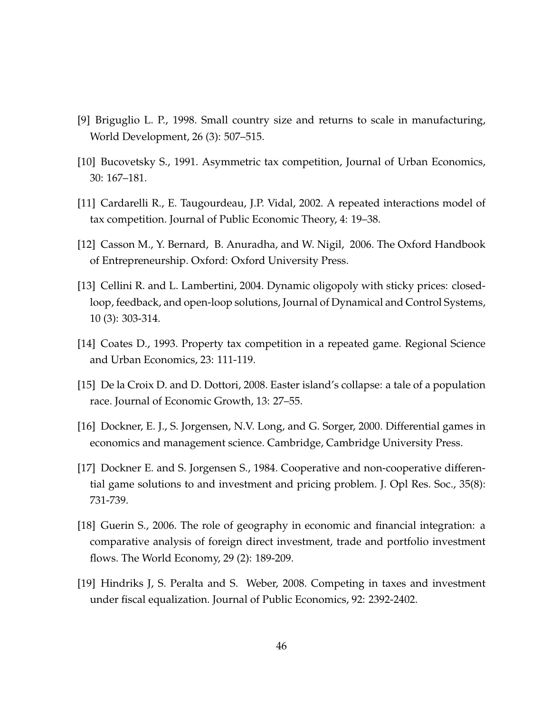- [9] Briguglio L. P., 1998. Small country size and returns to scale in manufacturing, World Development, 26 (3): 507–515.
- [10] Bucovetsky S., 1991. Asymmetric tax competition, Journal of Urban Economics, 30: 167–181.
- [11] Cardarelli R., E. Taugourdeau, J.P. Vidal, 2002. A repeated interactions model of tax competition. Journal of Public Economic Theory, 4: 19–38.
- [12] Casson M., Y. Bernard, B. Anuradha, and W. Nigil, 2006. The Oxford Handbook of Entrepreneurship. Oxford: Oxford University Press.
- [13] Cellini R. and L. Lambertini, 2004. Dynamic oligopoly with sticky prices: closedloop, feedback, and open-loop solutions, Journal of Dynamical and Control Systems, 10 (3): 303-314.
- [14] Coates D., 1993. Property tax competition in a repeated game. Regional Science and Urban Economics, 23: 111-119.
- [15] De la Croix D. and D. Dottori, 2008. Easter island's collapse: a tale of a population race. Journal of Economic Growth, 13: 27–55.
- [16] Dockner, E. J., S. Jorgensen, N.V. Long, and G. Sorger, 2000. Differential games in economics and management science. Cambridge, Cambridge University Press.
- [17] Dockner E. and S. Jorgensen S., 1984. Cooperative and non-cooperative differential game solutions to and investment and pricing problem. J. Opl Res. Soc., 35(8): 731-739.
- [18] Guerin S., 2006. The role of geography in economic and financial integration: a comparative analysis of foreign direct investment, trade and portfolio investment flows. The World Economy, 29 (2): 189-209.
- [19] Hindriks J, S. Peralta and S. Weber, 2008. Competing in taxes and investment under fiscal equalization. Journal of Public Economics, 92: 2392-2402.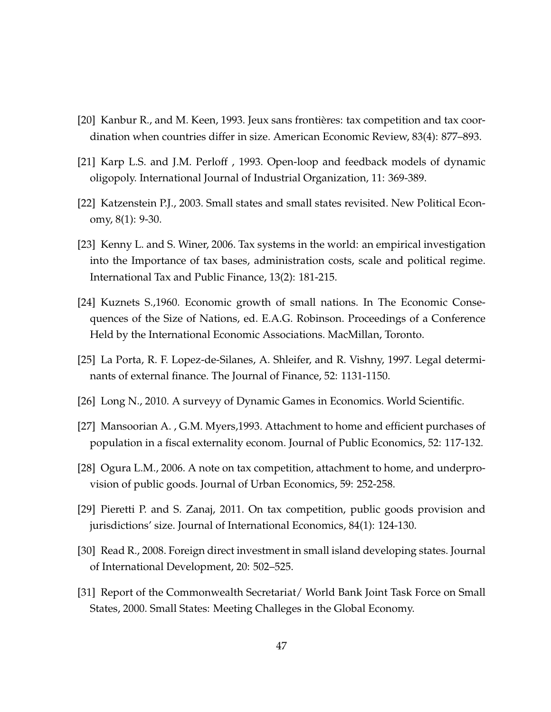- [20] Kanbur R., and M. Keen, 1993. Jeux sans frontières: tax competition and tax coordination when countries differ in size. American Economic Review, 83(4): 877–893.
- [21] Karp L.S. and J.M. Perloff , 1993. Open-loop and feedback models of dynamic oligopoly. International Journal of Industrial Organization, 11: 369-389.
- [22] Katzenstein P.J., 2003. Small states and small states revisited. New Political Economy, 8(1): 9-30.
- [23] Kenny L. and S. Winer, 2006. Tax systems in the world: an empirical investigation into the Importance of tax bases, administration costs, scale and political regime. International Tax and Public Finance, 13(2): 181-215.
- [24] Kuznets S.,1960. Economic growth of small nations. In The Economic Consequences of the Size of Nations, ed. E.A.G. Robinson. Proceedings of a Conference Held by the International Economic Associations. MacMillan, Toronto.
- [25] La Porta, R. F. Lopez-de-Silanes, A. Shleifer, and R. Vishny, 1997. Legal determinants of external finance. The Journal of Finance, 52: 1131-1150.
- [26] Long N., 2010. A surveyy of Dynamic Games in Economics. World Scientific.
- [27] Mansoorian A. , G.M. Myers,1993. Attachment to home and efficient purchases of population in a fiscal externality econom. Journal of Public Economics, 52: 117-132.
- [28] Ogura L.M., 2006. A note on tax competition, attachment to home, and underprovision of public goods. Journal of Urban Economics, 59: 252-258.
- [29] Pieretti P. and S. Zanaj, 2011. On tax competition, public goods provision and jurisdictions' size. Journal of International Economics, 84(1): 124-130.
- [30] Read R., 2008. Foreign direct investment in small island developing states. Journal of International Development, 20: 502–525.
- [31] Report of the Commonwealth Secretariat/ World Bank Joint Task Force on Small States, 2000. Small States: Meeting Challeges in the Global Economy.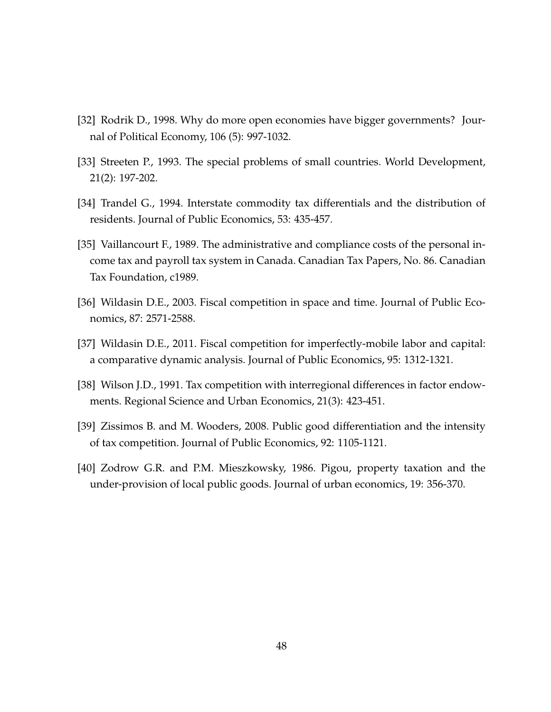- [32] Rodrik D., 1998. Why do more open economies have bigger governments? Journal of Political Economy, 106 (5): 997-1032.
- [33] Streeten P., 1993. The special problems of small countries. World Development, 21(2): 197-202.
- [34] Trandel G., 1994. Interstate commodity tax differentials and the distribution of residents. Journal of Public Economics, 53: 435-457.
- [35] Vaillancourt F., 1989. The administrative and compliance costs of the personal income tax and payroll tax system in Canada. Canadian Tax Papers, No. 86. Canadian Tax Foundation, c1989.
- [36] Wildasin D.E., 2003. Fiscal competition in space and time. Journal of Public Economics, 87: 2571-2588.
- [37] Wildasin D.E., 2011. Fiscal competition for imperfectly-mobile labor and capital: a comparative dynamic analysis. Journal of Public Economics, 95: 1312-1321.
- [38] Wilson J.D., 1991. Tax competition with interregional differences in factor endowments. Regional Science and Urban Economics, 21(3): 423-451.
- [39] Zissimos B. and M. Wooders, 2008. Public good differentiation and the intensity of tax competition. Journal of Public Economics, 92: 1105-1121.
- [40] Zodrow G.R. and P.M. Mieszkowsky, 1986. Pigou, property taxation and the under-provision of local public goods. Journal of urban economics, 19: 356-370.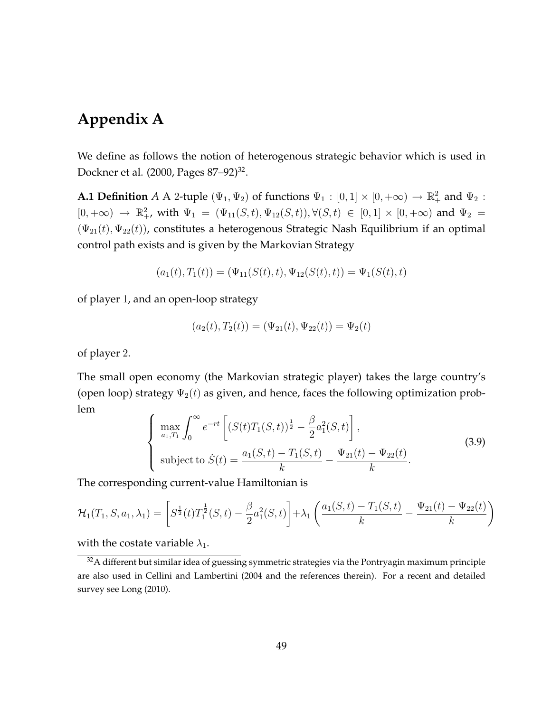# **Appendix A**

We define as follows the notion of heterogenous strategic behavior which is used in Dockner et al. (2000, Pages 87–92)<sup>32</sup>.

**A.1 Definition** *A* A 2-tuple  $(\Psi_1, \Psi_2)$  of functions  $\Psi_1 : [0, 1] \times [0, +\infty) \to \mathbb{R}^2_+$  and  $\Psi_2$ :  $[0, +\infty) \to \mathbb{R}^2_+$ , with  $\Psi_1 = (\Psi_{11}(S, t), \Psi_{12}(S, t)), \forall (S, t) \in [0, 1] \times [0, +\infty)$  and  $\Psi_2 =$  $(\Psi_{21}(t), \Psi_{22}(t))$ , constitutes a heterogenous Strategic Nash Equilibrium if an optimal control path exists and is given by the Markovian Strategy

$$
(a_1(t), T_1(t)) = (\Psi_{11}(S(t), t), \Psi_{12}(S(t), t)) = \Psi_1(S(t), t)
$$

of player 1, and an open-loop strategy

$$
(a_2(t), T_2(t)) = (\Psi_{21}(t), \Psi_{22}(t)) = \Psi_2(t)
$$

of player 2.

The small open economy (the Markovian strategic player) takes the large country's (open loop) strategy  $\Psi_2(t)$  as given, and hence, faces the following optimization problem

$$
\begin{cases}\n\max_{a_1, T_1} \int_0^\infty e^{-rt} \left[ (S(t)T_1(S, t))^{\frac{1}{2}} - \frac{\beta}{2} a_1^2(S, t) \right], \\
\text{subject to } S(t) = \frac{a_1(S, t) - T_1(S, t)}{k} - \frac{\Psi_{21}(t) - \Psi_{22}(t)}{k}.\n\end{cases}
$$
\n(3.9)

The corresponding current-value Hamiltonian is

$$
\mathcal{H}_1(T_1, S, a_1, \lambda_1) = \left[ S^{\frac{1}{2}}(t) T_1^{\frac{1}{2}}(S, t) - \frac{\beta}{2} a_1^2(S, t) \right] + \lambda_1 \left( \frac{a_1(S, t) - T_1(S, t)}{k} - \frac{\Psi_{21}(t) - \Psi_{22}(t)}{k} \right)
$$

with the costate variable  $\lambda_1$ .

 $32A$  different but similar idea of guessing symmetric strategies via the Pontryagin maximum principle are also used in Cellini and Lambertini (2004 and the references therein). For a recent and detailed survey see Long (2010).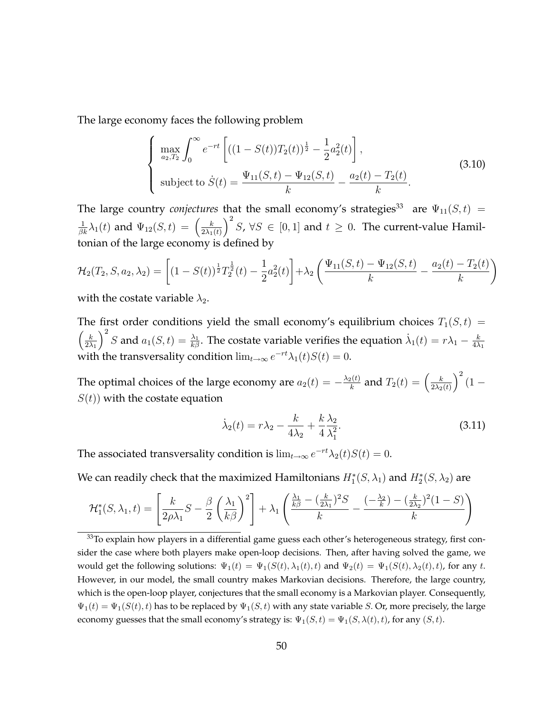The large economy faces the following problem

$$
\begin{cases}\n\max_{a_2, T_2} \int_0^\infty e^{-rt} \left[ ((1 - S(t))T_2(t))^{\frac{1}{2}} - \frac{1}{2} a_2^2(t) \right], \\
\text{subject to } \dot{S}(t) = \frac{\Psi_{11}(S, t) - \Psi_{12}(S, t)}{k} - \frac{a_2(t) - T_2(t)}{k}.\n\end{cases}
$$
\n(3.10)

The large country *conjectures* that the small economy's strategies<sup>33</sup> are  $\Psi_{11}(S, t)$  =  $\frac{1}{\beta k} \lambda_1(t)$  and  $\Psi_{12}(S,t) = \left(\frac{k}{2\lambda_1}\right)$  $2\lambda_1(t)$  $\int^2 S$ ,  $\forall S \in [0,1]$  and  $t \geq 0$ . The current-value Hamiltonian of the large economy is defined by

$$
\mathcal{H}_2(T_2, S, a_2, \lambda_2) = \left[ (1 - S(t))^{\frac{1}{2}} T_2^{\frac{1}{2}}(t) - \frac{1}{2} a_2^2(t) \right] + \lambda_2 \left( \frac{\Psi_{11}(S, t) - \Psi_{12}(S, t)}{k} - \frac{a_2(t) - T_2(t)}{k} \right)
$$

with the costate variable  $\lambda_2$ .

The first order conditions yield the small economy's equilibrium choices  $T_1(S, t)$  =  $\left( k\right)$  $2\lambda_1$  $\int^2 S$  and  $a_1(S,t) = \frac{\lambda_1}{k\beta}$ . The costate variable verifies the equation  $\dot{\lambda}_1(t) = r\lambda_1 - \frac{k_1}{4\lambda}$  $4\lambda_1$ with the transversality condition  $\lim_{t\to\infty}e^{-rt}\lambda_1(t)S(t) = 0.$ 

The optimal choices of the large economy are  $a_2(t) = -\frac{\lambda_2(t)}{k}$  $\frac{h_2(t)}{k}$  and  $T_2(t)=\Big(\frac{k}{2\lambda_2}\Big)$  $2\lambda_2(t)$  $\big)^{2} (1 S(t)$ ) with the costate equation

$$
\dot{\lambda}_2(t) = r\lambda_2 - \frac{k}{4\lambda_2} + \frac{k}{4}\frac{\lambda_2}{\lambda_1^2}.\tag{3.11}
$$

The associated transversality condition is  $\lim_{t\to\infty}e^{-rt}\lambda_2(t)S(t) = 0.$ 

We can readily check that the maximized Hamiltonians  $H_1^*(S, \lambda_1)$  and  $H_2^*(S, \lambda_2)$  are

$$
\mathcal{H}_1^*(S,\lambda_1,t) = \left[\frac{k}{2\rho\lambda_1}S - \frac{\beta}{2}\left(\frac{\lambda_1}{k\beta}\right)^2\right] + \lambda_1\left(\frac{\frac{\lambda_1}{k\beta} - \left(\frac{k}{2\lambda_1}\right)^2S}{k} - \frac{\left(-\frac{\lambda_2}{k}\right) - \left(\frac{k}{2\lambda_2}\right)^2(1-S)}{k}\right)
$$

<sup>&</sup>lt;sup>33</sup>To explain how players in a differential game guess each other's heterogeneous strategy, first consider the case where both players make open-loop decisions. Then, after having solved the game, we would get the following solutions:  $\Psi_1(t) = \Psi_1(S(t), \lambda_1(t), t)$  and  $\Psi_2(t) = \Psi_1(S(t), \lambda_2(t), t)$ , for any t. However, in our model, the small country makes Markovian decisions. Therefore, the large country, which is the open-loop player, conjectures that the small economy is a Markovian player. Consequently,  $\Psi_1(t) = \Psi_1(S(t), t)$  has to be replaced by  $\Psi_1(S, t)$  with any state variable S. Or, more precisely, the large economy guesses that the small economy's strategy is:  $\Psi_1(S, t) = \Psi_1(S, \lambda(t), t)$ , for any  $(S, t)$ .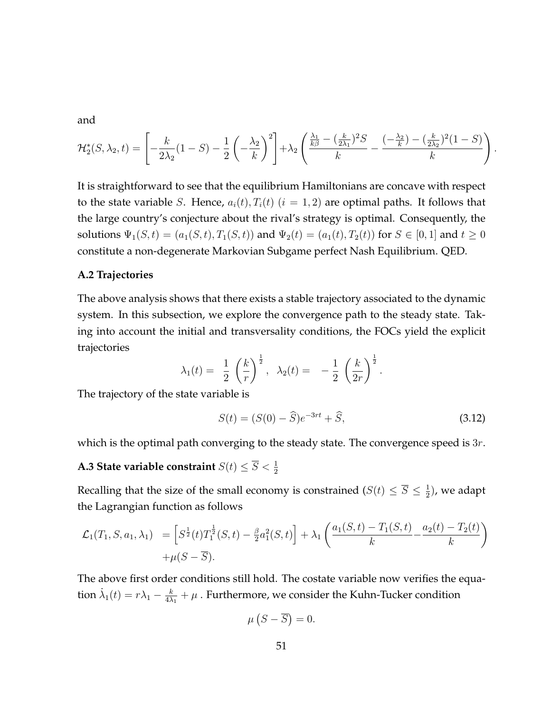and

$$
\mathcal{H}_2^*(S,\lambda_2,t) = \left[ -\frac{k}{2\lambda_2} (1-S) - \frac{1}{2} \left( -\frac{\lambda_2}{k} \right)^2 \right] + \lambda_2 \left( \frac{\frac{\lambda_1}{k\beta} - (\frac{k}{2\lambda_1})^2 S}{k} - \frac{(-\frac{\lambda_2}{k}) - (\frac{k}{2\lambda_2})^2 (1-S)}{k} \right)
$$

It is straightforward to see that the equilibrium Hamiltonians are concave with respect to the state variable S. Hence,  $a_i(t)$ ,  $T_i(t)$   $(i = 1, 2)$  are optimal paths. It follows that the large country's conjecture about the rival's strategy is optimal. Consequently, the solutions  $\Psi_1(S, t) = (a_1(S, t), T_1(S, t))$  and  $\Psi_2(t) = (a_1(t), T_2(t))$  for  $S \in [0, 1]$  and  $t \ge 0$ constitute a non-degenerate Markovian Subgame perfect Nash Equilibrium. QED.

### **A.2 Trajectories**

The above analysis shows that there exists a stable trajectory associated to the dynamic system. In this subsection, we explore the convergence path to the steady state. Taking into account the initial and transversality conditions, the FOCs yield the explicit trajectories

$$
\lambda_1(t) = \frac{1}{2} \left( \frac{k}{r} \right)^{\frac{1}{2}}, \quad \lambda_2(t) = -\frac{1}{2} \left( \frac{k}{2r} \right)^{\frac{1}{2}}.
$$

The trajectory of the state variable is

$$
S(t) = (S(0) - \hat{S})e^{-3rt} + \hat{S},
$$
\n(3.12)

:

which is the optimal path converging to the steady state. The convergence speed is  $3r$ .

# **A.3 State variable constraint**  $S(t) \leq \overline{S} < \frac{1}{2}$

Recalling that the size of the small economy is constrained  $(S(t) \leq \overline{S} \leq \frac{1}{2})$  $\frac{1}{2}$ ), we adapt the Lagrangian function as follows

$$
\mathcal{L}_1(T_1, S, a_1, \lambda_1) = \left[ S^{\frac{1}{2}}(t) T_1^{\frac{1}{2}}(S, t) - \frac{\beta}{2} a_1^2(S, t) \right] + \lambda_1 \left( \frac{a_1(S, t) - T_1(S, t)}{k} - \frac{a_2(t) - T_2(t)}{k} \right) + \mu(S - \overline{S}).
$$

The above first order conditions still hold. The costate variable now verifies the equation  $\dot{\lambda}_1(t) = r\lambda_1 - \frac{k}{4\lambda}$  $\frac{k}{4\lambda_1}+\mu$  . Furthermore, we consider the Kuhn-Tucker condition

$$
\mu\left(S-\overline{S}\right)=0.
$$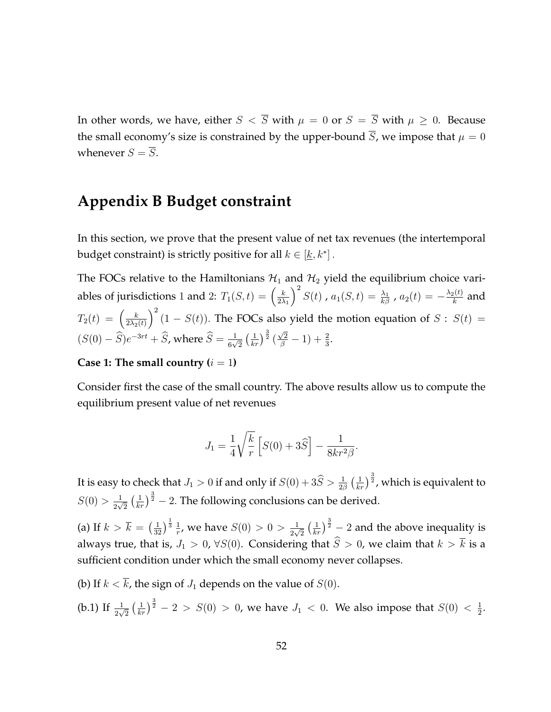In other words, we have, either  $S < \overline{S}$  with  $\mu = 0$  or  $S = \overline{S}$  with  $\mu \ge 0$ . Because the small economy's size is constrained by the upper-bound  $\overline{S}$ , we impose that  $\mu = 0$ whenever  $S = \overline{S}$ .

# **Appendix B Budget constraint**

In this section, we prove that the present value of net tax revenues (the intertemporal budget constraint) is strictly positive for all  $k \in [\underline{k}, k^*]$  .

The FOCs relative to the Hamiltonians  $\mathcal{H}_1$  and  $\mathcal{H}_2$  yield the equilibrium choice variables of jurisdictions 1 and 2:  $T_1(S,t) = \left(\frac{k}{2\lambda}\right)$  $2\lambda_1$  $\int^2 S(t)$  ,  $a_1(S,t) = \frac{\lambda_1}{k\beta}$  ,  $a_2(t) = -\frac{\lambda_2(t)}{k}$  $\frac{h^{(l)}}{k}$  and  $T_2(t) = \left(\frac{k}{2\lambda_2}\right)$  $2\lambda_2(t)$  $\int_0^2 (1 - S(t))$ . The FOCs also yield the motion equation of  $S : S(t) =$  $(S(0) - \widehat{S})e^{-3rt} + \widehat{S}$ , where  $\widehat{S} = \frac{1}{6\sqrt{3}}$  $\frac{1}{6\sqrt{2}}\left(\frac{1}{kr}\right)^{\frac{3}{2}}\left(\frac{\sqrt{2}}{\beta}-1\right)+\frac{2}{3}.$ 

### **Case 1: The small country (** $i = 1$ **)**

Consider first the case of the small country. The above results allow us to compute the equilibrium present value of net revenues

$$
J_1 = \frac{1}{4} \sqrt{\frac{k}{r}} \left[ S(0) + 3\widehat{S} \right] - \frac{1}{8kr^2\beta}.
$$

It is easy to check that  $J_1>0$  if and only if  $S(0)+3\widehat{S}>\frac{1}{2\beta}\left(\frac{1}{kr}\right)^{\frac{3}{2}}$ , which is equivalent to  $S(0) > \frac{1}{2}$  $\frac{1}{2\sqrt{2}}\left(\frac{1}{kr}\right)^{\frac{3}{2}}-2$ . The following conclusions can be derived.

(a) If  $k > \overline{k} = \left(\frac{1}{32}\right)^{\frac{1}{3}} \frac{1}{r}$  $\frac{1}{r}$ , we have  $S(0) > 0 > \frac{1}{2\sqrt{r}}$  $\frac{1}{2\sqrt{2}}\left(\frac{1}{kr}\right)^{\frac{3}{2}}-2$  and the above inequality is always true, that is,  $J_1 > 0$ ,  $\forall S(0)$ . Considering that  $\hat{S} > 0$ , we claim that  $k > \overline{k}$  is a sufficient condition under which the small economy never collapses.

(b) If  $k < \overline{k}$ , the sign of  $J_1$  depends on the value of  $S(0)$ .

(b.1) If  $\frac{1}{2\sqrt{2}} \left(\frac{1}{kr}\right)^{\frac{3}{2}} - 2 > S(0) > 0$ , we have  $J_1 < 0$ . We also impose that  $S(0) < \frac{1}{2}$  $\frac{1}{2}$ .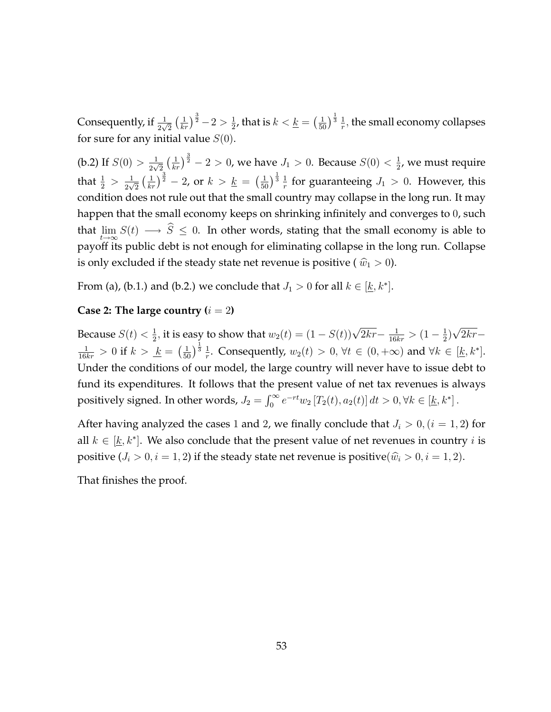Consequently, if  $\frac{1}{2\sqrt{2}}\left(\frac{1}{kr}\right)^{\frac{3}{2}}-2>\frac{1}{2}$  $\frac{1}{2}$ , that is  $k < \underline{k} = \left(\frac{1}{50}\right)^{\frac{1}{3}} \frac{1}{r}$  $\frac{1}{r}$ , the small economy collapses for sure for any initial value  $S(0)$ .

(b.2) If  $S(0) > \frac{1}{2v}$  $\frac{1}{2\sqrt{2}}\left(\frac{1}{kr}\right)^{\frac{3}{2}}-2>0$ , we have  $J_1>0$ . Because  $S(0)<\frac{1}{2}$  $\frac{1}{2}$ , we must require that  $\frac{1}{2} > \frac{1}{2\nu}$  $\frac{1}{2\sqrt{2}}\left(\frac{1}{kr}\right)^{\frac{3}{2}}-2$ , or  $k > \underline{k} = \left(\frac{1}{50}\right)^{\frac{1}{3}}\frac{1}{r}$  $\frac{1}{r}$  for guaranteeing  $J_1 > 0$ . However, this condition does not rule out that the small country may collapse in the long run. It may happen that the small economy keeps on shrinking infinitely and converges to 0, such that  $\lim_{t\to\infty}S(t) \longrightarrow S\leq 0$ . In other words, stating that the small economy is able to  $t\rightarrow \infty$ payoff its public debt is not enough for eliminating collapse in the long run. Collapse is only excluded if the steady state net revenue is positive ( $\hat{w}_1 > 0$ ).

From (a), (b.1.) and (b.2.) we conclude that  $J_1 > 0$  for all  $k \in [\underline{k}, k^*]$ .

### **Case 2: The large country (** $i = 2$ **)**

Because  $S(t) < \frac{1}{2}$  $\frac{1}{2}$ , it is easy to show that  $w_2(t) = (1 - S(t))\sqrt{2kr} - \frac{1}{16kr} > (1 - \frac{1}{2})$  $(\frac{1}{2})\sqrt{2kr}$  $\frac{1}{16kr} > 0$  if  $k > \frac{k}{k} = \left(\frac{1}{50}\right)^{\frac{1}{3}} \frac{1}{r}$  $\frac{1}{r}$ . Consequently,  $w_2(t) > 0$ ,  $\forall t \in (0, +\infty)$  and  $\forall k \in [\underline{k}, k^*]$ . Under the conditions of our model, the large country will never have to issue debt to fund its expenditures. It follows that the present value of net tax revenues is always positively signed. In other words,  $J_2 = \int_0^\infty e^{-rt} w_2 [T_2(t), a_2(t)] dt > 0, \forall k \in [\underline{k}, k^*].$ 

After having analyzed the cases 1 and 2, we finally conclude that  $J_i > 0$ , ( $i = 1, 2$ ) for all  $k \in [\underline{k}, k^*]$ . We also conclude that the present value of net revenues in country  $i$  is positive  $(J_i > 0, i = 1, 2)$  if the steady state net revenue is positive  $(\widehat{w}_i > 0, i = 1, 2)$ .

That finishes the proof.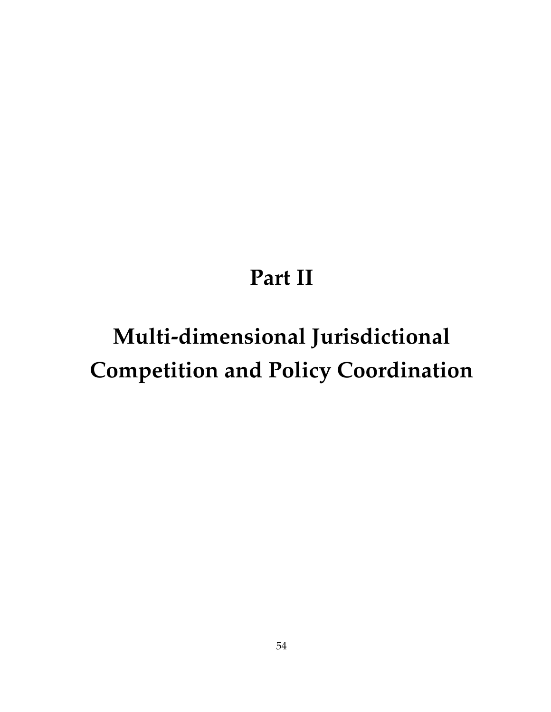# **Part II**

# **Multi-dimensional Jurisdictional Competition and Policy Coordination**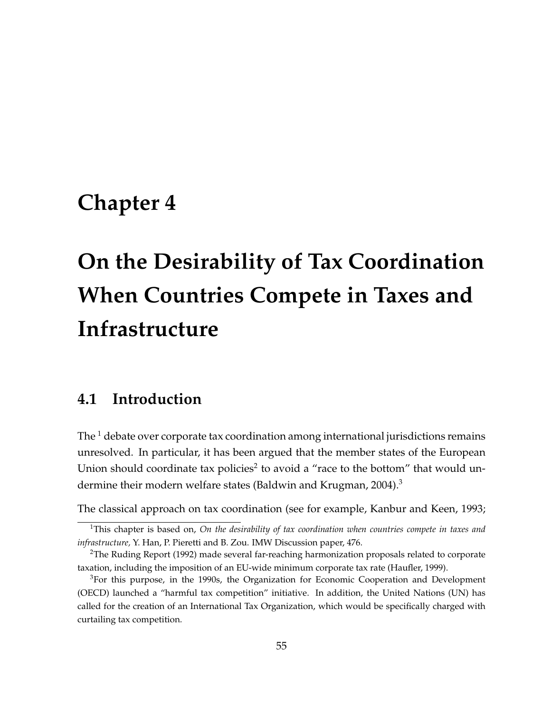# **Chapter 4**

# **On the Desirability of Tax Coordination When Countries Compete in Taxes and Infrastructure**

# **4.1 Introduction**

The  $1$  debate over corporate tax coordination among international jurisdictions remains unresolved. In particular, it has been argued that the member states of the European Union should coordinate tax policies<sup>2</sup> to avoid a "race to the bottom" that would undermine their modern welfare states (Baldwin and Krugman, 2004).<sup>3</sup>

The classical approach on tax coordination (see for example, Kanbur and Keen, 1993;

<sup>1</sup>This chapter is based on, *On the desirability of tax coordination when countries compete in taxes and infrastructure,* Y. Han, P. Pieretti and B. Zou. IMW Discussion paper, 476.

<sup>&</sup>lt;sup>2</sup>The Ruding Report (1992) made several far-reaching harmonization proposals related to corporate taxation, including the imposition of an EU-wide minimum corporate tax rate (Haufler, 1999).

<sup>3</sup>For this purpose, in the 1990s, the Organization for Economic Cooperation and Development (OECD) launched a "harmful tax competition" initiative. In addition, the United Nations (UN) has called for the creation of an International Tax Organization, which would be specifically charged with curtailing tax competition.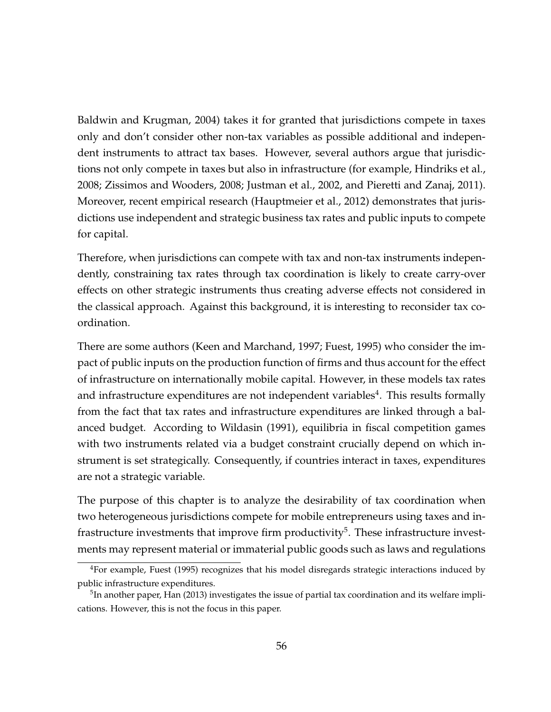Baldwin and Krugman, 2004) takes it for granted that jurisdictions compete in taxes only and don't consider other non-tax variables as possible additional and independent instruments to attract tax bases. However, several authors argue that jurisdictions not only compete in taxes but also in infrastructure (for example, Hindriks et al., 2008; Zissimos and Wooders, 2008; Justman et al., 2002, and Pieretti and Zanaj, 2011). Moreover, recent empirical research (Hauptmeier et al., 2012) demonstrates that jurisdictions use independent and strategic business tax rates and public inputs to compete for capital.

Therefore, when jurisdictions can compete with tax and non-tax instruments independently, constraining tax rates through tax coordination is likely to create carry-over effects on other strategic instruments thus creating adverse effects not considered in the classical approach. Against this background, it is interesting to reconsider tax coordination.

There are some authors (Keen and Marchand, 1997; Fuest, 1995) who consider the impact of public inputs on the production function of firms and thus account for the effect of infrastructure on internationally mobile capital. However, in these models tax rates and infrastructure expenditures are not independent variables<sup>4</sup>. This results formally from the fact that tax rates and infrastructure expenditures are linked through a balanced budget. According to Wildasin (1991), equilibria in fiscal competition games with two instruments related via a budget constraint crucially depend on which instrument is set strategically. Consequently, if countries interact in taxes, expenditures are not a strategic variable.

The purpose of this chapter is to analyze the desirability of tax coordination when two heterogeneous jurisdictions compete for mobile entrepreneurs using taxes and infrastructure investments that improve firm productivity<sup>5</sup>. These infrastructure investments may represent material or immaterial public goods such as laws and regulations

<sup>4</sup>For example, Fuest (1995) recognizes that his model disregards strategic interactions induced by public infrastructure expenditures.

 $^5$ In another paper, Han (2013) investigates the issue of partial tax coordination and its welfare implications. However, this is not the focus in this paper.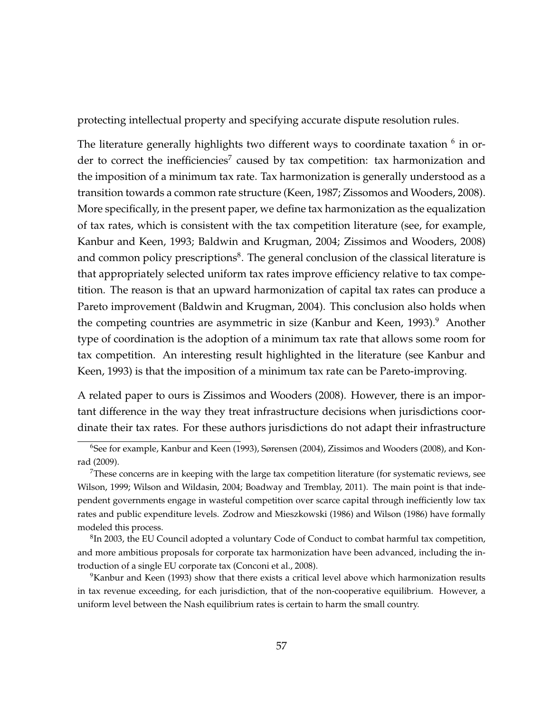protecting intellectual property and specifying accurate dispute resolution rules.

The literature generally highlights two different ways to coordinate taxation  $^6$  in order to correct the inefficiencies<sup>7</sup> caused by tax competition: tax harmonization and the imposition of a minimum tax rate. Tax harmonization is generally understood as a transition towards a common rate structure (Keen, 1987; Zissomos and Wooders, 2008). More specifically, in the present paper, we define tax harmonization as the equalization of tax rates, which is consistent with the tax competition literature (see, for example, Kanbur and Keen, 1993; Baldwin and Krugman, 2004; Zissimos and Wooders, 2008) and common policy prescriptions $^8$ . The general conclusion of the classical literature is that appropriately selected uniform tax rates improve efficiency relative to tax competition. The reason is that an upward harmonization of capital tax rates can produce a Pareto improvement (Baldwin and Krugman, 2004). This conclusion also holds when the competing countries are asymmetric in size (Kanbur and Keen, 1993).<sup>9</sup> Another type of coordination is the adoption of a minimum tax rate that allows some room for tax competition. An interesting result highlighted in the literature (see Kanbur and Keen, 1993) is that the imposition of a minimum tax rate can be Pareto-improving.

A related paper to ours is Zissimos and Wooders (2008). However, there is an important difference in the way they treat infrastructure decisions when jurisdictions coordinate their tax rates. For these authors jurisdictions do not adapt their infrastructure

 ${}^{8}$ In 2003, the EU Council adopted a voluntary Code of Conduct to combat harmful tax competition, and more ambitious proposals for corporate tax harmonization have been advanced, including the introduction of a single EU corporate tax (Conconi et al., 2008).

<sup>&</sup>lt;sup>6</sup>See for example, Kanbur and Keen (1993), Sørensen (2004), Zissimos and Wooders (2008), and Konrad (2009).

 $7$ These concerns are in keeping with the large tax competition literature (for systematic reviews, see Wilson, 1999; Wilson and Wildasin, 2004; Boadway and Tremblay, 2011). The main point is that independent governments engage in wasteful competition over scarce capital through inefficiently low tax rates and public expenditure levels. Zodrow and Mieszkowski (1986) and Wilson (1986) have formally modeled this process.

 $9$ Kanbur and Keen (1993) show that there exists a critical level above which harmonization results in tax revenue exceeding, for each jurisdiction, that of the non-cooperative equilibrium. However, a uniform level between the Nash equilibrium rates is certain to harm the small country.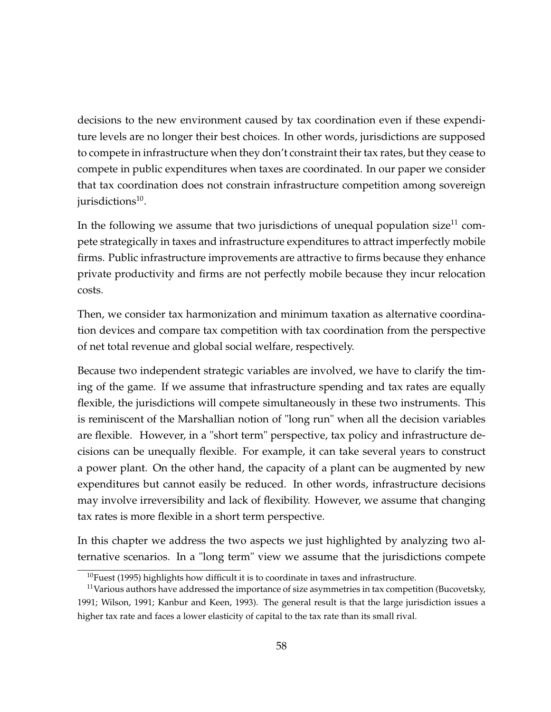decisions to the new environment caused by tax coordination even if these expenditure levels are no longer their best choices. In other words, jurisdictions are supposed to compete in infrastructure when they don't constraint their tax rates, but they cease to compete in public expenditures when taxes are coordinated. In our paper we consider that tax coordination does not constrain infrastructure competition among sovereign jurisdictions $^{\rm 10}.$ 

In the following we assume that two jurisdictions of unequal population size<sup>11</sup> compete strategically in taxes and infrastructure expenditures to attract imperfectly mobile firms. Public infrastructure improvements are attractive to firms because they enhance private productivity and firms are not perfectly mobile because they incur relocation costs.

Then, we consider tax harmonization and minimum taxation as alternative coordination devices and compare tax competition with tax coordination from the perspective of net total revenue and global social welfare, respectively.

Because two independent strategic variables are involved, we have to clarify the timing of the game. If we assume that infrastructure spending and tax rates are equally flexible, the jurisdictions will compete simultaneously in these two instruments. This is reminiscent of the Marshallian notion of "long run" when all the decision variables are flexible. However, in a "short term" perspective, tax policy and infrastructure decisions can be unequally flexible. For example, it can take several years to construct a power plant. On the other hand, the capacity of a plant can be augmented by new expenditures but cannot easily be reduced. In other words, infrastructure decisions may involve irreversibility and lack of flexibility. However, we assume that changing tax rates is more flexible in a short term perspective.

In this chapter we address the two aspects we just highlighted by analyzing two alternative scenarios. In a "long term" view we assume that the jurisdictions compete

 $10$ Fuest (1995) highlights how difficult it is to coordinate in taxes and infrastructure.

 $11$ Various authors have addressed the importance of size asymmetries in tax competition (Bucovetsky, 1991; Wilson, 1991; Kanbur and Keen, 1993). The general result is that the large jurisdiction issues a higher tax rate and faces a lower elasticity of capital to the tax rate than its small rival.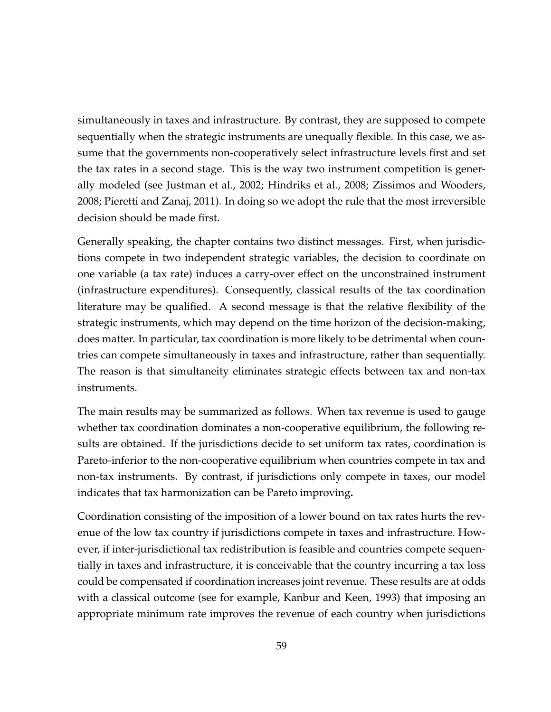simultaneously in taxes and infrastructure. By contrast, they are supposed to compete sequentially when the strategic instruments are unequally flexible. In this case, we assume that the governments non-cooperatively select infrastructure levels first and set the tax rates in a second stage. This is the way two instrument competition is generally modeled (see Justman et al., 2002; Hindriks et al., 2008; Zissimos and Wooders, 2008; Pieretti and Zanaj, 2011). In doing so we adopt the rule that the most irreversible decision should be made first.

Generally speaking, the chapter contains two distinct messages. First, when jurisdictions compete in two independent strategic variables, the decision to coordinate on one variable (a tax rate) induces a carry-over effect on the unconstrained instrument (infrastructure expenditures). Consequently, classical results of the tax coordination literature may be qualified. A second message is that the relative flexibility of the strategic instruments, which may depend on the time horizon of the decision-making, does matter. In particular, tax coordination is more likely to be detrimental when countries can compete simultaneously in taxes and infrastructure, rather than sequentially. The reason is that simultaneity eliminates strategic effects between tax and non-tax instruments.

The main results may be summarized as follows. When tax revenue is used to gauge whether tax coordination dominates a non-cooperative equilibrium, the following results are obtained. If the jurisdictions decide to set uniform tax rates, coordination is Pareto-inferior to the non-cooperative equilibrium when countries compete in tax and non-tax instruments. By contrast, if jurisdictions only compete in taxes, our model indicates that tax harmonization can be Pareto improving**.**

Coordination consisting of the imposition of a lower bound on tax rates hurts the revenue of the low tax country if jurisdictions compete in taxes and infrastructure. However, if inter-jurisdictional tax redistribution is feasible and countries compete sequentially in taxes and infrastructure, it is conceivable that the country incurring a tax loss could be compensated if coordination increases joint revenue. These results are at odds with a classical outcome (see for example, Kanbur and Keen, 1993) that imposing an appropriate minimum rate improves the revenue of each country when jurisdictions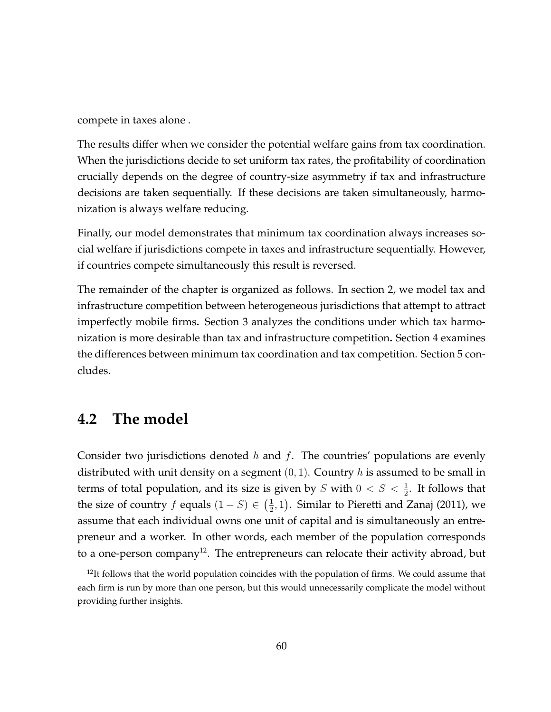compete in taxes alone .

The results differ when we consider the potential welfare gains from tax coordination. When the jurisdictions decide to set uniform tax rates, the profitability of coordination crucially depends on the degree of country-size asymmetry if tax and infrastructure decisions are taken sequentially. If these decisions are taken simultaneously, harmonization is always welfare reducing.

Finally, our model demonstrates that minimum tax coordination always increases social welfare if jurisdictions compete in taxes and infrastructure sequentially. However, if countries compete simultaneously this result is reversed.

The remainder of the chapter is organized as follows. In section 2, we model tax and infrastructure competition between heterogeneous jurisdictions that attempt to attract imperfectly mobile firms**.** Section 3 analyzes the conditions under which tax harmonization is more desirable than tax and infrastructure competition**.** Section 4 examines the differences between minimum tax coordination and tax competition. Section 5 concludes.

### **4.2 The model**

Consider two jurisdictions denoted  $h$  and  $f$ . The countries' populations are evenly distributed with unit density on a segment  $(0, 1)$ . Country h is assumed to be small in terms of total population, and its size is given by S with  $0 < S < \frac{1}{2}$ . It follows that the size of country  $f$  equals  $(1 - S) \in \left(\frac{1}{2}\right)$  $(\frac{1}{2}, 1)$ . Similar to Pieretti and Zanaj (2011), we assume that each individual owns one unit of capital and is simultaneously an entrepreneur and a worker. In other words, each member of the population corresponds to a one-person company<sup>12</sup>. The entrepreneurs can relocate their activity abroad, but

 $12$ It follows that the world population coincides with the population of firms. We could assume that each firm is run by more than one person, but this would unnecessarily complicate the model without providing further insights.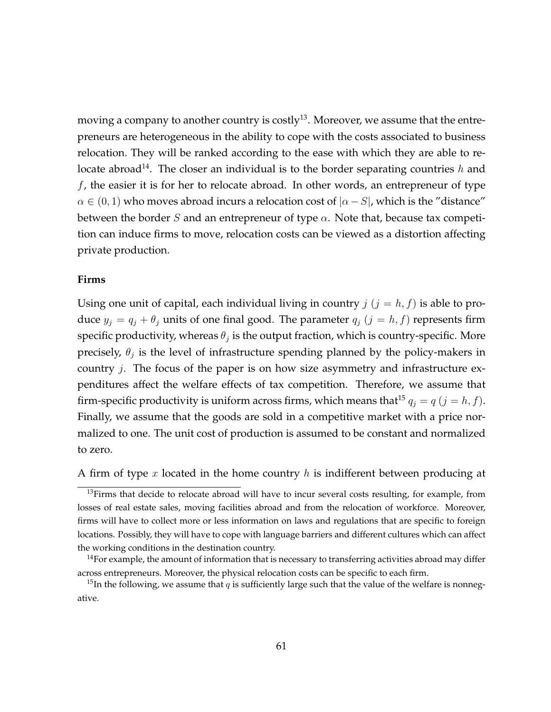moving a company to another country is costly<sup>13</sup>. Moreover, we assume that the entrepreneurs are heterogeneous in the ability to cope with the costs associated to business relocation. They will be ranked according to the ease with which they are able to relocate abroad<sup>14</sup>. The closer an individual is to the border separating countries h and  $f$ , the easier it is for her to relocate abroad. In other words, an entrepreneur of type  $\alpha \in (0, 1)$  who moves abroad incurs a relocation cost of  $|\alpha - S|$ , which is the "distance" between the border S and an entrepreneur of type  $\alpha$ . Note that, because tax competition can induce firms to move, relocation costs can be viewed as a distortion affecting private production.

### **Firms**

Using one unit of capital, each individual living in country  $j$   $(j = h, f)$  is able to produce  $y_j = q_j + \theta_j$  units of one final good. The parameter  $q_j$   $(j = h, f)$  represents firm specific productivity, whereas  $\theta_j$  is the output fraction, which is country-specific. More precisely,  $\theta_j$  is the level of infrastructure spending planned by the policy-makers in country  $j$ . The focus of the paper is on how size asymmetry and infrastructure expenditures affect the welfare effects of tax competition. Therefore, we assume that firm-specific productivity is uniform across firms, which means that<sup>15</sup>  $q_j = q$  ( $j = h, f$ ). Finally, we assume that the goods are sold in a competitive market with a price normalized to one. The unit cost of production is assumed to be constant and normalized to zero.

A firm of type  $x$  located in the home country  $h$  is indifferent between producing at

 $13$ Firms that decide to relocate abroad will have to incur several costs resulting, for example, from losses of real estate sales, moving facilities abroad and from the relocation of workforce. Moreover, firms will have to collect more or less information on laws and regulations that are specific to foreign locations. Possibly, they will have to cope with language barriers and different cultures which can affect the working conditions in the destination country.

 $14$  For example, the amount of information that is necessary to transferring activities abroad may differ across entrepreneurs. Moreover, the physical relocation costs can be specific to each firm.

<sup>&</sup>lt;sup>15</sup>In the following, we assume that q is sufficiently large such that the value of the welfare is nonnegative.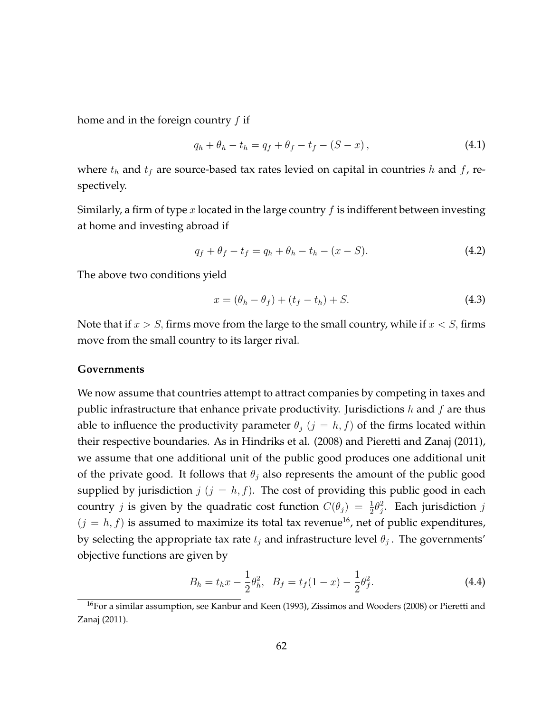home and in the foreign country  $f$  if

$$
q_h + \theta_h - t_h = q_f + \theta_f - t_f - (S - x), \qquad (4.1)
$$

where  $t_h$  and  $t_f$  are source-based tax rates levied on capital in countries h and f, respectively.

Similarly, a firm of type x located in the large country  $f$  is indifferent between investing at home and investing abroad if

$$
q_f + \theta_f - t_f = q_h + \theta_h - t_h - (x - S). \tag{4.2}
$$

The above two conditions yield

$$
x = (\theta_h - \theta_f) + (t_f - t_h) + S. \tag{4.3}
$$

Note that if  $x > S$ , firms move from the large to the small country, while if  $x < S$ , firms move from the small country to its larger rival.

### **Governments**

We now assume that countries attempt to attract companies by competing in taxes and public infrastructure that enhance private productivity. Jurisdictions  $h$  and  $f$  are thus able to influence the productivity parameter  $\theta_i$  ( $j = h, f$ ) of the firms located within their respective boundaries. As in Hindriks et al. (2008) and Pieretti and Zanaj (2011), we assume that one additional unit of the public good produces one additional unit of the private good. It follows that  $\theta_j$  also represents the amount of the public good supplied by jurisdiction  $j$   $(j = h, f)$ . The cost of providing this public good in each country *j* is given by the quadratic cost function  $C(\theta_j) = \frac{1}{2}\theta_j^2$ . Each jurisdiction *j*  $(j = h, f)$  is assumed to maximize its total tax revenue<sup>16</sup>, net of public expenditures, by selecting the appropriate tax rate  $t_j$  and infrastructure level  $\theta_j$ . The governments' objective functions are given by

$$
B_h = t_h x - \frac{1}{2} \theta_h^2, \quad B_f = t_f (1 - x) - \frac{1}{2} \theta_f^2. \tag{4.4}
$$

<sup>&</sup>lt;sup>16</sup>For a similar assumption, see Kanbur and Keen (1993), Zissimos and Wooders (2008) or Pieretti and Zanaj (2011).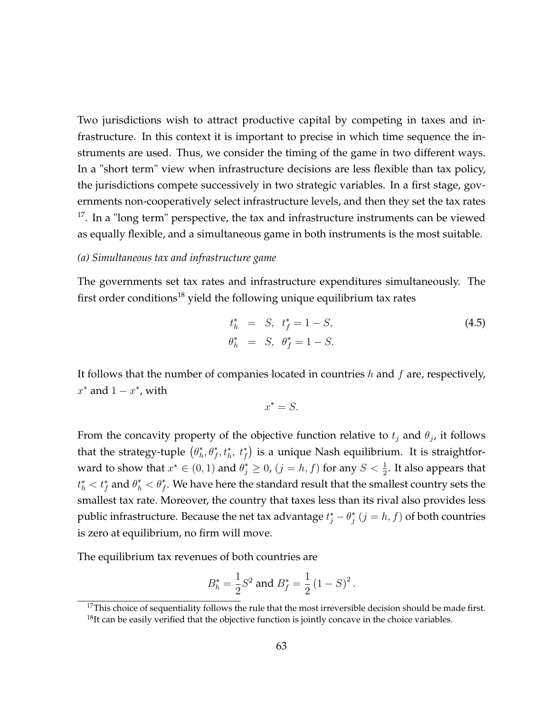Two jurisdictions wish to attract productive capital by competing in taxes and infrastructure. In this context it is important to precise in which time sequence the instruments are used. Thus, we consider the timing of the game in two different ways. In a "short term" view when infrastructure decisions are less flexible than tax policy, the jurisdictions compete successively in two strategic variables. In a first stage, governments non-cooperatively select infrastructure levels, and then they set the tax rates <sup>17</sup>. In a "long term" perspective, the tax and infrastructure instruments can be viewed as equally flexible, and a simultaneous game in both instruments is the most suitable.

### *(a) Simultaneous tax and infrastructure game*

The governments set tax rates and infrastructure expenditures simultaneously. The first order conditions<sup>18</sup> yield the following unique equilibrium tax rates

$$
t_h^* = S, \t t_f^* = 1 - S, \n\theta_h^* = S, \t \theta_f^* = 1 - S.
$$
\n(4.5)

It follows that the number of companies located in countries  $h$  and  $f$  are, respectively,  $x^*$  and  $1-x^*$ , with

$$
x^* = S.
$$

From the concavity property of the objective function relative to  $t_j$  and  $\theta_j$ , it follows that the strategy-tuple  $(\theta_h^*, \theta_f^*, t_h^*, t_f^*)$  is a unique Nash equilibrium. It is straightforward to show that  $x^* \in (0,1)$  and  $\theta_j^* \geq 0$ ,  $(j = h, f)$  for any  $S < \frac{1}{2}$ . It also appears that  $t_h^* < t_f^*$  and  $\theta_h^* < \theta_f^*.$  We have here the standard result that the smallest country sets the smallest tax rate. Moreover, the country that taxes less than its rival also provides less public infrastructure. Because the net tax advantage  $t_j^* - \theta_j^*$   $(j = h, f)$  of both countries is zero at equilibrium, no firm will move.

The equilibrium tax revenues of both countries are

$$
B_h^* = \frac{1}{2}S^2 \text{ and } B_f^* = \frac{1}{2}(1 - S)^2.
$$

 $17$ This choice of sequentiality follows the rule that the most irreversible decision should be made first.

 $18$ It can be easily verified that the objective function is jointly concave in the choice variables.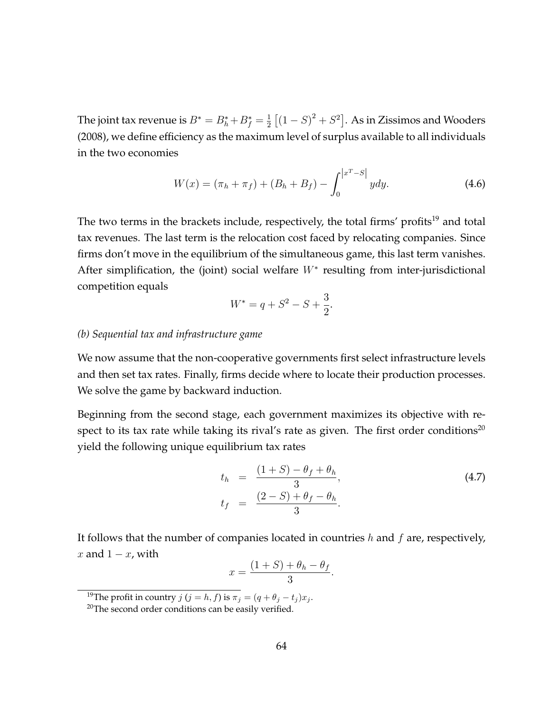The joint tax revenue is  $B^* = B_h^* + B_f^* = \frac{1}{2}$  $\frac{1}{2} \left[ (1-S)^2 + S^2 \right]$ . As in Zissimos and Wooders (2008), we define efficiency as the maximum level of surplus available to all individuals in the two economies

$$
W(x) = (\pi_h + \pi_f) + (B_h + B_f) - \int_0^{|x^T - S|} y dy.
$$
 (4.6)

The two terms in the brackets include, respectively, the total firms' profits<sup>19</sup> and total tax revenues. The last term is the relocation cost faced by relocating companies. Since firms don't move in the equilibrium of the simultaneous game, this last term vanishes. After simplification, the (joint) social welfare  $W^*$  resulting from inter-jurisdictional competition equals

$$
W^* = q + S^2 - S + \frac{3}{2}.
$$

### *(b) Sequential tax and infrastructure game*

We now assume that the non-cooperative governments first select infrastructure levels and then set tax rates. Finally, firms decide where to locate their production processes. We solve the game by backward induction.

Beginning from the second stage, each government maximizes its objective with respect to its tax rate while taking its rival's rate as given. The first order conditions<sup>20</sup> yield the following unique equilibrium tax rates

$$
t_h = \frac{(1+S) - \theta_f + \theta_h}{3},
$$
  
\n
$$
t_f = \frac{(2-S) + \theta_f - \theta_h}{3}.
$$
\n(4.7)

It follows that the number of companies located in countries  $h$  and  $f$  are, respectively, x and  $1 - x$ , with

$$
x = \frac{(1+S) + \theta_h - \theta_f}{3}.
$$

<sup>&</sup>lt;sup>19</sup>The profit in country  $j$  ( $j = h, f$ ) is  $\pi_j = (q + \theta_j - t_j)x_j$ .

<sup>&</sup>lt;sup>20</sup>The second order conditions can be easily verified.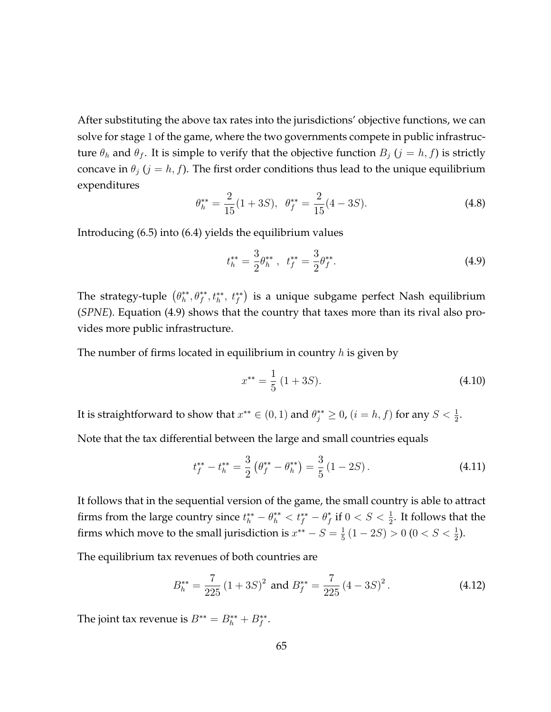After substituting the above tax rates into the jurisdictions' objective functions, we can solve for stage 1 of the game, where the two governments compete in public infrastructure  $\theta_h$  and  $\theta_f$ . It is simple to verify that the objective function  $B_j$  ( $j = h, f$ ) is strictly concave in  $\theta_i$  (j = h, f). The first order conditions thus lead to the unique equilibrium expenditures

$$
\theta_h^{**} = \frac{2}{15}(1+3S), \quad \theta_f^{**} = \frac{2}{15}(4-3S). \tag{4.8}
$$

Introducing (6.5) into (6.4) yields the equilibrium values

$$
t_h^{**} = \frac{3}{2} \theta_h^{**} , t_f^{**} = \frac{3}{2} \theta_f^{**} . \tag{4.9}
$$

The strategy-tuple  $(\theta_h^{**},\theta_f^{**},t_h^{**},t_f^{**})$  is a unique subgame perfect Nash equilibrium (*SPNE*). Equation (4.9) shows that the country that taxes more than its rival also provides more public infrastructure.

The number of firms located in equilibrium in country  $h$  is given by

$$
x^{**} = \frac{1}{5} (1 + 3S). \tag{4.10}
$$

It is straightforward to show that  $x^{**} \in (0,1)$  and  $\theta_j^{**} \ge 0$ ,  $(i = h, f)$  for any  $S < \frac{1}{2}$ .

Note that the tax differential between the large and small countries equals

$$
t_f^{**} - t_h^{**} = \frac{3}{2} \left( \theta_f^{**} - \theta_h^{**} \right) = \frac{3}{5} \left( 1 - 2S \right). \tag{4.11}
$$

It follows that in the sequential version of the game, the small country is able to attract firms from the large country since  $t_h^{**} - \theta_h^{**} < t_f^{**} - \theta_f^*$  if  $0 < S < \frac{1}{2}$ . It follows that the firms which move to the small jurisdiction is  $x^{**} - S = \frac{1}{5}$  $\frac{1}{5}(1-2S) > 0 \ (0 < S < \frac{1}{2}).$ 

The equilibrium tax revenues of both countries are

$$
B_h^{**} = \frac{7}{225} \left( 1 + 3S \right)^2 \text{ and } B_f^{**} = \frac{7}{225} \left( 4 - 3S \right)^2. \tag{4.12}
$$

The joint tax revenue is  $B^{**} = B_h^{**} + B_f^{**}.$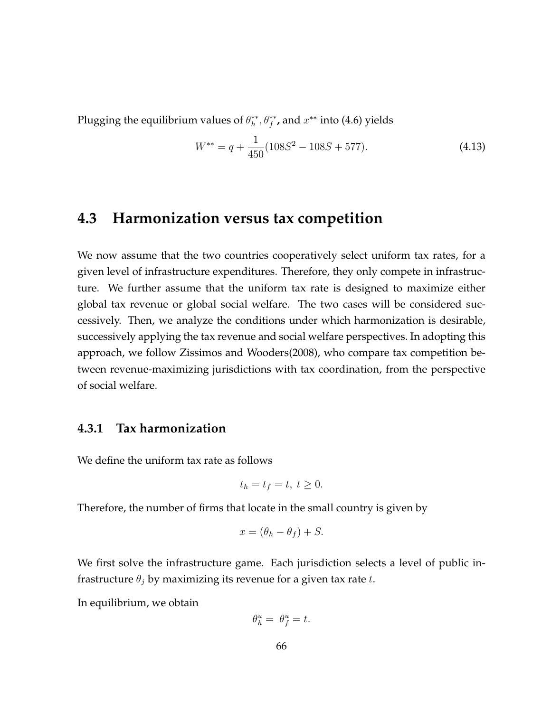Plugging the equilibrium values of  $\theta_h^{**}, \theta_f^{**}$ , and  $x^{**}$  into (4.6) yields

$$
W^{**} = q + \frac{1}{450}(108S^2 - 108S + 577). \tag{4.13}
$$

# **4.3 Harmonization versus tax competition**

We now assume that the two countries cooperatively select uniform tax rates, for a given level of infrastructure expenditures. Therefore, they only compete in infrastructure. We further assume that the uniform tax rate is designed to maximize either global tax revenue or global social welfare. The two cases will be considered successively. Then, we analyze the conditions under which harmonization is desirable, successively applying the tax revenue and social welfare perspectives. In adopting this approach, we follow Zissimos and Wooders(2008), who compare tax competition between revenue-maximizing jurisdictions with tax coordination, from the perspective of social welfare.

### **4.3.1 Tax harmonization**

We define the uniform tax rate as follows

$$
t_h = t_f = t, \ t \ge 0.
$$

Therefore, the number of firms that locate in the small country is given by

$$
x = (\theta_h - \theta_f) + S.
$$

We first solve the infrastructure game. Each jurisdiction selects a level of public infrastructure  $\theta_i$  by maximizing its revenue for a given tax rate t.

In equilibrium, we obtain

$$
\theta_h^u = \theta_f^u = t.
$$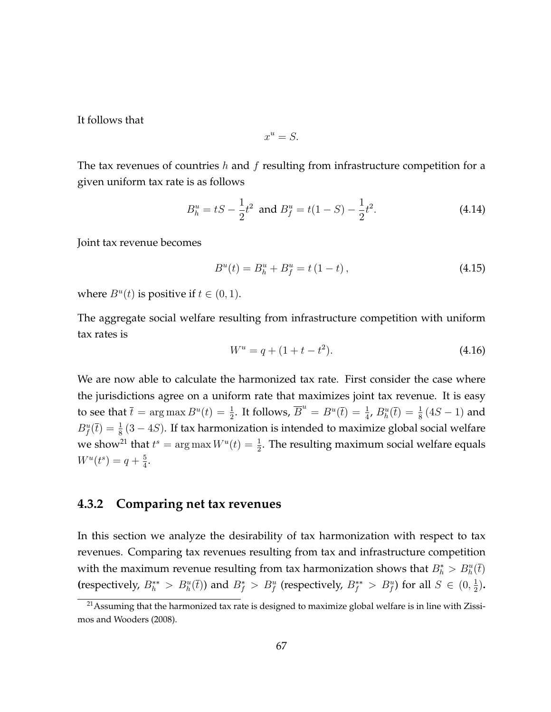It follows that

$$
x^u = S.
$$

The tax revenues of countries h and f resulting from infrastructure competition for a given uniform tax rate is as follows

$$
B_h^u = tS - \frac{1}{2}t^2 \text{ and } B_f^u = t(1 - S) - \frac{1}{2}t^2.
$$
 (4.14)

Joint tax revenue becomes

$$
B^{u}(t) = B_{h}^{u} + B_{f}^{u} = t(1 - t), \qquad (4.15)
$$

where  $B^u(t)$  is positive if  $t \in (0, 1)$ .

The aggregate social welfare resulting from infrastructure competition with uniform tax rates is

$$
W^u = q + (1 + t - t^2). \tag{4.16}
$$

We are now able to calculate the harmonized tax rate. First consider the case where the jurisdictions agree on a uniform rate that maximizes joint tax revenue. It is easy to see that  $\bar{t} = \arg \max B^u(t) = \frac{1}{2}$ . It follows,  $\overline{B}^u = B^u(\bar{t}) = \frac{1}{4}$ ,  $B_h^u(\bar{t}) = \frac{1}{8}(4S - 1)$  and  $B_f^u(\bar{t})=\frac{1}{8}(3-4S)$ . If tax harmonization is intended to maximize global social welfare we show<sup>21</sup> that  $t^s = \arg \max W^u(t) = \frac{1}{2}$ . The resulting maximum social welfare equals  $W^{u}(t^{s}) = q + \frac{5}{4}$  $\frac{5}{4}$ .

### **4.3.2 Comparing net tax revenues**

In this section we analyze the desirability of tax harmonization with respect to tax revenues. Comparing tax revenues resulting from tax and infrastructure competition with the maximum revenue resulting from tax harmonization shows that  $B_h^* > B_h^u(\bar{t})$ (respectively,  $B_h^{**} > B_h^u(\bar{t})$ ) and  $B_f^* > B_f^u$  (respectively,  $B_f^{**} > B_f^u$ ) for all  $S \in (0, \frac{1}{2})$  $\frac{1}{2}$ ).

<sup>&</sup>lt;sup>21</sup> Assuming that the harmonized tax rate is designed to maximize global welfare is in line with Zissimos and Wooders (2008).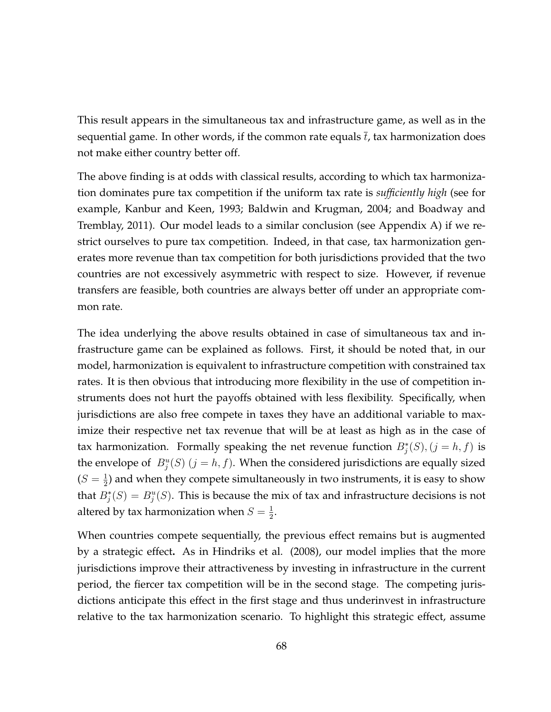This result appears in the simultaneous tax and infrastructure game, as well as in the sequential game. In other words, if the common rate equals  $\bar{t}$ , tax harmonization does not make either country better off.

The above finding is at odds with classical results, according to which tax harmonization dominates pure tax competition if the uniform tax rate is *sufficiently high* (see for example, Kanbur and Keen, 1993; Baldwin and Krugman, 2004; and Boadway and Tremblay, 2011). Our model leads to a similar conclusion (see Appendix A) if we restrict ourselves to pure tax competition. Indeed, in that case, tax harmonization generates more revenue than tax competition for both jurisdictions provided that the two countries are not excessively asymmetric with respect to size. However, if revenue transfers are feasible, both countries are always better off under an appropriate common rate.

The idea underlying the above results obtained in case of simultaneous tax and infrastructure game can be explained as follows. First, it should be noted that, in our model, harmonization is equivalent to infrastructure competition with constrained tax rates. It is then obvious that introducing more flexibility in the use of competition instruments does not hurt the payoffs obtained with less flexibility. Specifically, when jurisdictions are also free compete in taxes they have an additional variable to maximize their respective net tax revenue that will be at least as high as in the case of tax harmonization. Formally speaking the net revenue function  $B_j^*(S)$ ,  $(j = h, f)$  is the envelope of  $B_j^u(S)$   $(j = h, f)$ . When the considered jurisdictions are equally sized  $(S = \frac{1}{2})$  $\frac{1}{2}$ ) and when they compete simultaneously in two instruments, it is easy to show that  $B_j^*(S) = B_j^u(S)$ . This is because the mix of tax and infrastructure decisions is not altered by tax harmonization when  $S=\frac{1}{2}$  $\frac{1}{2}$ .

When countries compete sequentially, the previous effect remains but is augmented by a strategic effect**.** As in Hindriks et al. (2008), our model implies that the more jurisdictions improve their attractiveness by investing in infrastructure in the current period, the fiercer tax competition will be in the second stage. The competing jurisdictions anticipate this effect in the first stage and thus underinvest in infrastructure relative to the tax harmonization scenario. To highlight this strategic effect, assume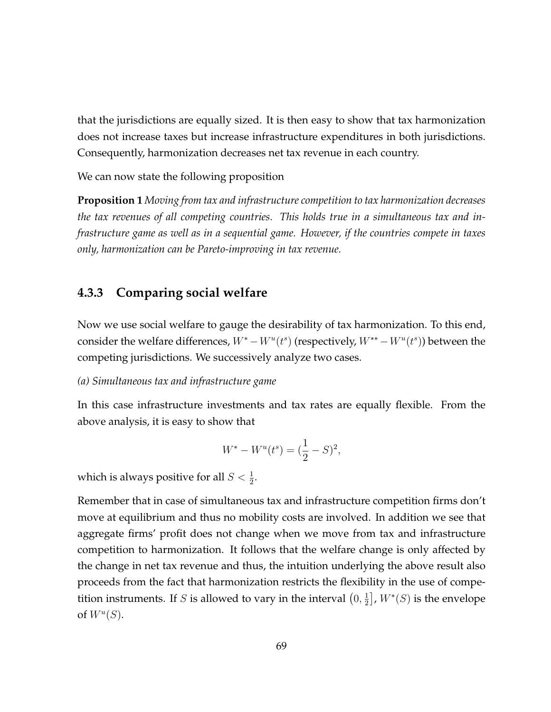that the jurisdictions are equally sized. It is then easy to show that tax harmonization does not increase taxes but increase infrastructure expenditures in both jurisdictions. Consequently, harmonization decreases net tax revenue in each country.

We can now state the following proposition

**Proposition 1** *Moving from tax and infrastructure competition to tax harmonization decreases the tax revenues of all competing countries. This holds true in a simultaneous tax and infrastructure game as well as in a sequential game. However, if the countries compete in taxes only, harmonization can be Pareto-improving in tax revenue.*

## **4.3.3 Comparing social welfare**

Now we use social welfare to gauge the desirability of tax harmonization. To this end, consider the welfare differences,  $W^* - W^u(t^s)$  (respectively,  $W^{**} - W^u(t^s)$ ) between the competing jurisdictions. We successively analyze two cases.

*(a) Simultaneous tax and infrastructure game*

In this case infrastructure investments and tax rates are equally flexible. From the above analysis, it is easy to show that

$$
W^* - W^u(t^s) = (\frac{1}{2} - S)^2,
$$

which is always positive for all  $S < \frac{1}{2}$ .

Remember that in case of simultaneous tax and infrastructure competition firms don't move at equilibrium and thus no mobility costs are involved. In addition we see that aggregate firms' profit does not change when we move from tax and infrastructure competition to harmonization. It follows that the welfare change is only affected by the change in net tax revenue and thus, the intuition underlying the above result also proceeds from the fact that harmonization restricts the flexibility in the use of competition instruments. If S is allowed to vary in the interval  $(0, \frac{1}{2})$  $\left[\frac{1}{2}\right]$ ,  $W^*(S)$  is the envelope of  $W^u(S)$ .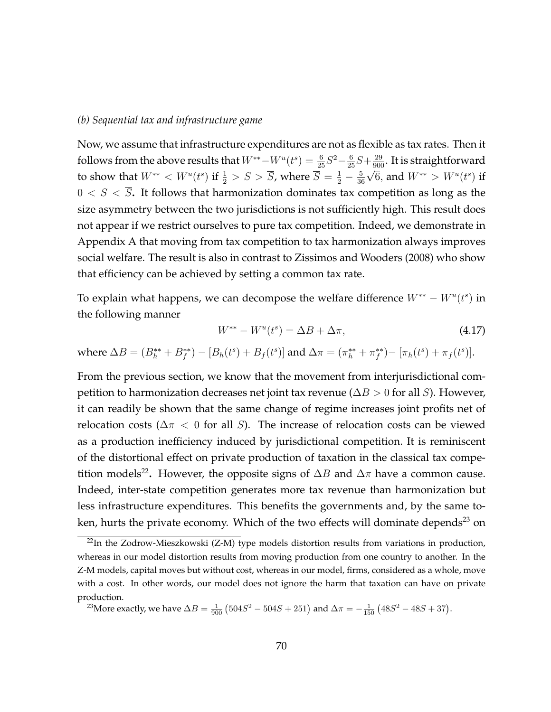#### *(b) Sequential tax and infrastructure game*

Now, we assume that infrastructure expenditures are not as flexible as tax rates. Then it follows from the above results that  $W^{**}-W^u(t^s)=\frac{6}{25}S^2-\frac{6}{25}S+\frac{29}{900}.$  It is straightforward to show that  $W^{**} < W^u(t^s)$  if  $\frac{1}{2} > S > \overline{S}$ , where  $\overline{S} = \frac{1}{2} - \frac{5}{36}$ 36  $\sqrt{6}$ , and  $W^{**} > W^{u}(t^{s})$  if  $0 < S < \overline{S}$ . It follows that harmonization dominates tax competition as long as the size asymmetry between the two jurisdictions is not sufficiently high. This result does not appear if we restrict ourselves to pure tax competition. Indeed, we demonstrate in Appendix A that moving from tax competition to tax harmonization always improves social welfare. The result is also in contrast to Zissimos and Wooders (2008) who show that efficiency can be achieved by setting a common tax rate.

To explain what happens, we can decompose the welfare difference  $W^{**} - W^u(t^s)$  in the following manner

$$
W^{**} - W^u(t^s) = \Delta B + \Delta \pi,
$$
\n(4.17)

where  $\Delta B = (B_{h}^{**} + B_{f}^{**}) - [B_{h}(t^{s}) + B_{f}(t^{s})]$  and  $\Delta \pi = (\pi_{h}^{**} + \pi_{f}^{**}) - [\pi_{h}(t^{s}) + \pi_{f}(t^{s})]$ .

From the previous section, we know that the movement from interjurisdictional competition to harmonization decreases net joint tax revenue ( $\Delta B > 0$  for all S). However, it can readily be shown that the same change of regime increases joint profits net of relocation costs ( $\Delta \pi$  < 0 for all *S*). The increase of relocation costs can be viewed as a production inefficiency induced by jurisdictional competition. It is reminiscent of the distortional effect on private production of taxation in the classical tax competition models<sup>22</sup>. However, the opposite signs of  $\Delta B$  and  $\Delta \pi$  have a common cause. Indeed, inter-state competition generates more tax revenue than harmonization but less infrastructure expenditures. This benefits the governments and, by the same token, hurts the private economy. Which of the two effects will dominate depends<sup>23</sup> on

<sup>23</sup>More exactly, we have  $\Delta B = \frac{1}{900} (504S^2 - 504S + 251)$  and  $\Delta \pi = -\frac{1}{150} (48S^2 - 48S + 37)$ .

<sup>&</sup>lt;sup>22</sup>In the Zodrow-Mieszkowski (Z-M) type models distortion results from variations in production, whereas in our model distortion results from moving production from one country to another. In the Z-M models, capital moves but without cost, whereas in our model, firms, considered as a whole, move with a cost. In other words, our model does not ignore the harm that taxation can have on private production.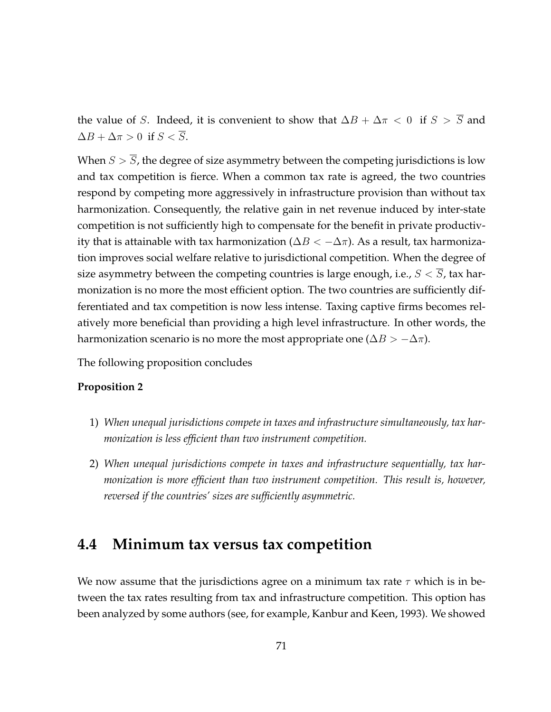the value of S. Indeed, it is convenient to show that  $\Delta B + \Delta \pi < 0$  if  $S > \overline{S}$  and  $\Delta B + \Delta \pi > 0$  if  $S < \overline{S}$ .

When  $S > \overline{S}$ , the degree of size asymmetry between the competing jurisdictions is low and tax competition is fierce. When a common tax rate is agreed, the two countries respond by competing more aggressively in infrastructure provision than without tax harmonization. Consequently, the relative gain in net revenue induced by inter-state competition is not sufficiently high to compensate for the benefit in private productivity that is attainable with tax harmonization ( $\Delta B < -\Delta \pi$ ). As a result, tax harmonization improves social welfare relative to jurisdictional competition. When the degree of size asymmetry between the competing countries is large enough, i.e.,  $S < S$ , tax harmonization is no more the most efficient option. The two countries are sufficiently differentiated and tax competition is now less intense. Taxing captive firms becomes relatively more beneficial than providing a high level infrastructure. In other words, the harmonization scenario is no more the most appropriate one ( $\Delta B > -\Delta \pi$ ).

The following proposition concludes

#### **Proposition 2**

- 1) *When unequal jurisdictions compete in taxes and infrastructure simultaneously, tax harmonization is less efficient than two instrument competition.*
- 2) *When unequal jurisdictions compete in taxes and infrastructure sequentially, tax harmonization is more efficient than two instrument competition. This result is, however, reversed if the countries' sizes are sufficiently asymmetric.*

## **4.4 Minimum tax versus tax competition**

We now assume that the jurisdictions agree on a minimum tax rate  $\tau$  which is in between the tax rates resulting from tax and infrastructure competition. This option has been analyzed by some authors (see, for example, Kanbur and Keen, 1993). We showed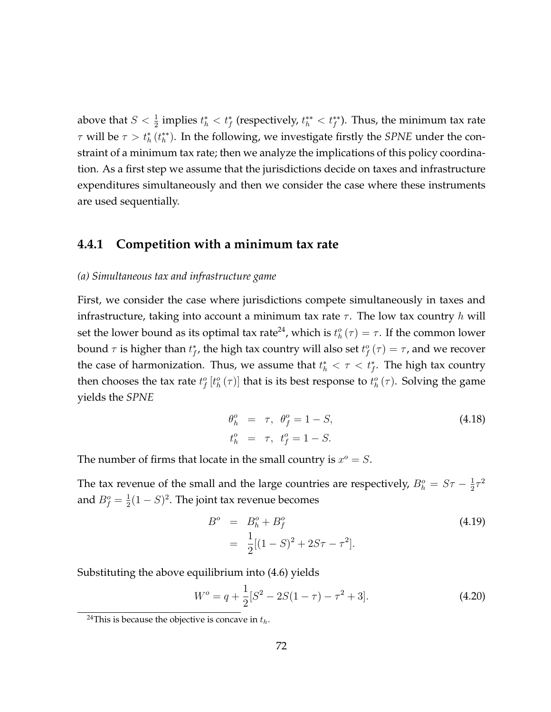above that  $S < \frac{1}{2}$  implies  $t_h^* < t_f^*$  (respectively,  $t_h^{**} < t_f^{**}$ ). Thus, the minimum tax rate  $\tau$  will be  $\tau > t^*_h(t^{**}_h)$ . In the following, we investigate firstly the *SPNE* under the constraint of a minimum tax rate; then we analyze the implications of this policy coordination. As a first step we assume that the jurisdictions decide on taxes and infrastructure expenditures simultaneously and then we consider the case where these instruments are used sequentially.

## **4.4.1 Competition with a minimum tax rate**

#### *(a) Simultaneous tax and infrastructure game*

First, we consider the case where jurisdictions compete simultaneously in taxes and infrastructure, taking into account a minimum tax rate  $\tau$ . The low tax country h will set the lower bound as its optimal tax rate<sup>24</sup>, which is  $t_h^o(\tau) = \tau$ . If the common lower bound  $\tau$  is higher than  $t_f^*$ , the high tax country will also set  $t_f^o(\tau) = \tau$ , and we recover the case of harmonization. Thus, we assume that  $t_h^* < \tau < t_f^*$ . The high tax country then chooses the tax rate  $t_f^o[t_h^o(\tau)]$  that is its best response to  $t_h^o(\tau)$ . Solving the game yields the *SPNE*

$$
\begin{aligned}\n\theta_h^o &= \tau, \ \theta_f^o = 1 - S, \\
t_h^o &= \tau, \ t_f^o = 1 - S.\n\end{aligned}\n\tag{4.18}
$$

The number of firms that locate in the small country is  $x^o = S$ .

The tax revenue of the small and the large countries are respectively,  $B_h^o = S\tau - \frac{1}{2}$  $rac{1}{2}\tau^2$ and  $B_f^o=\frac{1}{2}$  $\frac{1}{2}(1-S)^2$ . The joint tax revenue becomes

$$
B^o = B_h^o + B_f^o
$$
  
=  $\frac{1}{2}[(1 - S)^2 + 2S\tau - \tau^2].$  (4.19)

Substituting the above equilibrium into (4.6) yields

$$
W^o = q + \frac{1}{2}[S^2 - 2S(1 - \tau) - \tau^2 + 3].
$$
\n(4.20)

<sup>&</sup>lt;sup>24</sup>This is because the objective is concave in  $t<sub>h</sub>$ .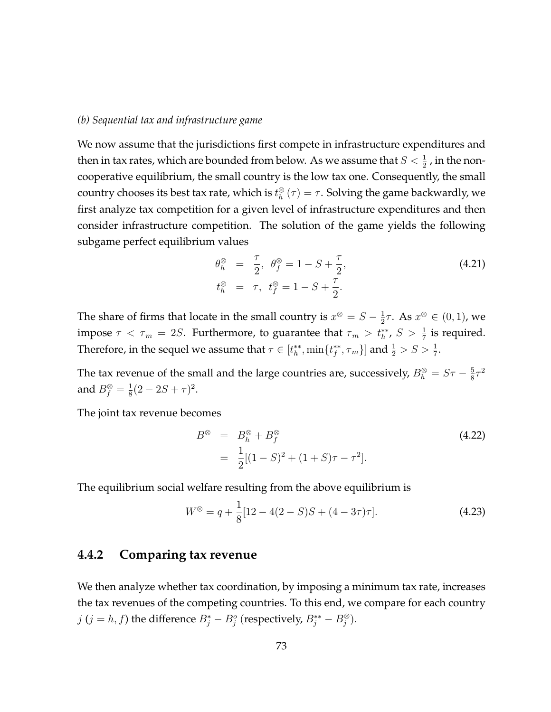#### *(b) Sequential tax and infrastructure game*

We now assume that the jurisdictions first compete in infrastructure expenditures and then in tax rates, which are bounded from below. As we assume that  $S < \frac{1}{2}$  , in the noncooperative equilibrium, the small country is the low tax one. Consequently, the small country chooses its best tax rate, which is  $t_h^{\otimes}(\tau)=\tau.$  Solving the game backwardly, we first analyze tax competition for a given level of infrastructure expenditures and then consider infrastructure competition. The solution of the game yields the following subgame perfect equilibrium values

$$
\theta_h^{\otimes} = \frac{\tau}{2}, \ \theta_f^{\otimes} = 1 - S + \frac{\tau}{2}, \nt_h^{\otimes} = \tau, \ t_f^{\otimes} = 1 - S + \frac{\tau}{2}.
$$
\n(4.21)

The share of firms that locate in the small country is  $x^{\otimes} = S - \frac{1}{2}$  $\frac{1}{2}\tau$ . As  $x^{\otimes} \in (0,1)$ , we impose  $\tau < \tau_m = 2S$ . Furthermore, to guarantee that  $\tau_m > t_h^{**}$ ,  $S > \frac{1}{7}$  is required. Therefore, in the sequel we assume that  $\tau \in [t_h^{**}, \min\{t_f^{**}, \tau_m\}]$  and  $\frac{1}{2} > S > \frac{1}{7}$ .

The tax revenue of the small and the large countries are, successively,  $B_h^{\otimes} = S\tau - \frac{5}{8}$  $\frac{5}{8}\tau^2$ and  $B_f^{\otimes} = \frac{1}{8}$  $\frac{1}{8}(2-2S+\tau)^2$ .

The joint tax revenue becomes

$$
B^{\otimes} = B_h^{\otimes} + B_f^{\otimes}
$$
  
=  $\frac{1}{2}[(1 - S)^2 + (1 + S)\tau - \tau^2].$  (4.22)

The equilibrium social welfare resulting from the above equilibrium is

$$
W^{\otimes} = q + \frac{1}{8} [12 - 4(2 - S)S + (4 - 3\tau)\tau]. \tag{4.23}
$$

## **4.4.2 Comparing tax revenue**

We then analyze whether tax coordination, by imposing a minimum tax rate, increases the tax revenues of the competing countries. To this end, we compare for each country  $j$   $(j = h, f)$  the difference  $B_j^* - B_j^o$  (respectively,  $B_j^{**} - B_j^{\otimes}$ ).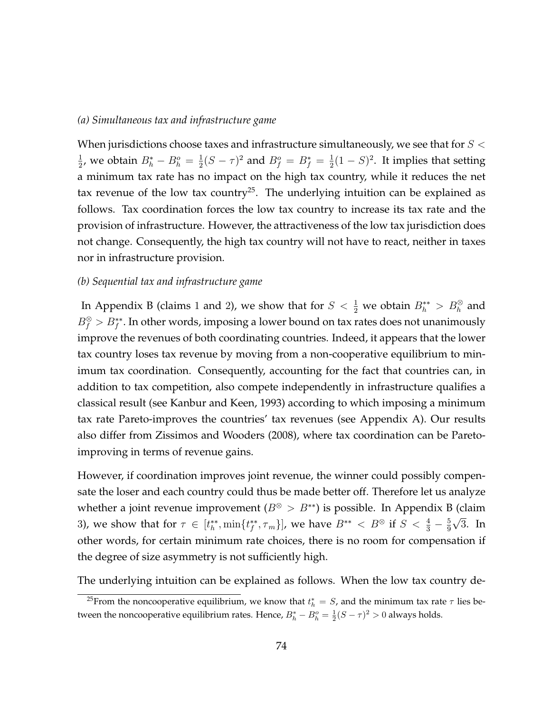#### *(a) Simultaneous tax and infrastructure game*

When jurisdictions choose taxes and infrastructure simultaneously, we see that for  $S <$ 1  $\frac{1}{2}$ , we obtain  $B_h^* - B_h^o = \frac{1}{2}$  $\frac{1}{2}(S-\tau)^2$  and  $B_f^o = B_f^* = \frac{1}{2}$  $\frac{1}{2}(1-S)^2$ . It implies that setting a minimum tax rate has no impact on the high tax country, while it reduces the net tax revenue of the low tax country<sup>25</sup>. The underlying intuition can be explained as follows. Tax coordination forces the low tax country to increase its tax rate and the provision of infrastructure. However, the attractiveness of the low tax jurisdiction does not change. Consequently, the high tax country will not have to react, neither in taxes nor in infrastructure provision.

#### *(b) Sequential tax and infrastructure game*

In Appendix B (claims 1 and 2), we show that for  $S < \frac{1}{2}$  we obtain  $B_h^{**} > B_h^{\otimes}$  and  $B_f^{\otimes}>B_f^{**}.$  In other words, imposing a lower bound on tax rates does not unanimously improve the revenues of both coordinating countries. Indeed, it appears that the lower tax country loses tax revenue by moving from a non-cooperative equilibrium to minimum tax coordination. Consequently, accounting for the fact that countries can, in addition to tax competition, also compete independently in infrastructure qualifies a classical result (see Kanbur and Keen, 1993) according to which imposing a minimum tax rate Pareto-improves the countries' tax revenues (see Appendix A). Our results also differ from Zissimos and Wooders (2008), where tax coordination can be Paretoimproving in terms of revenue gains.

However, if coordination improves joint revenue, the winner could possibly compensate the loser and each country could thus be made better off. Therefore let us analyze whether a joint revenue improvement ( $B^{\otimes} > B^{**}$ ) is possible. In Appendix B (claim 3), we show that for  $\tau \in [t_h^{**}, \min\{t_f^{**}, \tau_m\}]$ , we have  $B^{**} < B^{\otimes}$  if  $S < \frac{4}{3} - \frac{5}{9}$ 9  $\sqrt{3}$ . In other words, for certain minimum rate choices, there is no room for compensation if the degree of size asymmetry is not sufficiently high.

The underlying intuition can be explained as follows. When the low tax country de-

<sup>&</sup>lt;sup>25</sup> From the noncooperative equilibrium, we know that  $t_h^* = S$ , and the minimum tax rate  $\tau$  lies between the noncooperative equilibrium rates. Hence,  $B_h^* - B_h^o = \frac{1}{2}(S - \tau)^2 > 0$  always holds.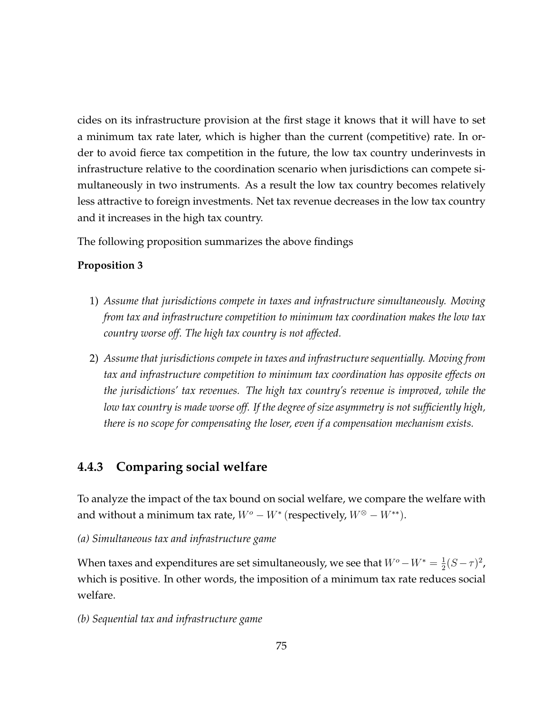cides on its infrastructure provision at the first stage it knows that it will have to set a minimum tax rate later, which is higher than the current (competitive) rate. In order to avoid fierce tax competition in the future, the low tax country underinvests in infrastructure relative to the coordination scenario when jurisdictions can compete simultaneously in two instruments. As a result the low tax country becomes relatively less attractive to foreign investments. Net tax revenue decreases in the low tax country and it increases in the high tax country.

The following proposition summarizes the above findings

#### **Proposition 3**

- 1) *Assume that jurisdictions compete in taxes and infrastructure simultaneously. Moving from tax and infrastructure competition to minimum tax coordination makes the low tax country worse off. The high tax country is not affected.*
- 2) *Assume that jurisdictions compete in taxes and infrastructure sequentially. Moving from tax and infrastructure competition to minimum tax coordination has opposite effects on the jurisdictions' tax revenues. The high tax country's revenue is improved, while the low tax country is made worse off. If the degree of size asymmetry is not sufficiently high, there is no scope for compensating the loser, even if a compensation mechanism exists.*

## **4.4.3 Comparing social welfare**

To analyze the impact of the tax bound on social welfare, we compare the welfare with and without a minimum tax rate,  $W^o - W^*$  (respectively,  $W^{\otimes} - W^{**}$ ).

*(a) Simultaneous tax and infrastructure game*

When taxes and expenditures are set simultaneously, we see that  $W^o - W^* = \frac{1}{2}$  $\frac{1}{2}(S-\tau)^2$ , which is positive. In other words, the imposition of a minimum tax rate reduces social welfare.

*(b) Sequential tax and infrastructure game*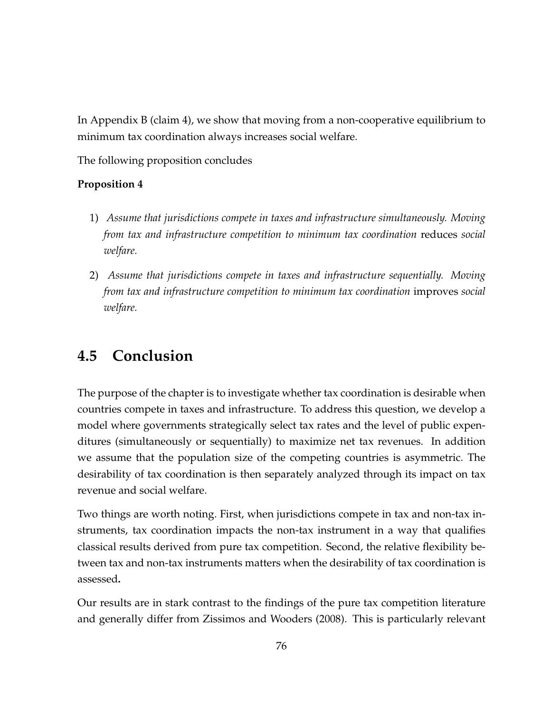In Appendix B (claim 4), we show that moving from a non-cooperative equilibrium to minimum tax coordination always increases social welfare.

The following proposition concludes

## **Proposition 4**

- 1) *Assume that jurisdictions compete in taxes and infrastructure simultaneously. Moving from tax and infrastructure competition to minimum tax coordination* reduces *social welfare.*
- 2) *Assume that jurisdictions compete in taxes and infrastructure sequentially. Moving from tax and infrastructure competition to minimum tax coordination* improves *social welfare.*

## **4.5 Conclusion**

The purpose of the chapter is to investigate whether tax coordination is desirable when countries compete in taxes and infrastructure. To address this question, we develop a model where governments strategically select tax rates and the level of public expenditures (simultaneously or sequentially) to maximize net tax revenues. In addition we assume that the population size of the competing countries is asymmetric. The desirability of tax coordination is then separately analyzed through its impact on tax revenue and social welfare.

Two things are worth noting. First, when jurisdictions compete in tax and non-tax instruments, tax coordination impacts the non-tax instrument in a way that qualifies classical results derived from pure tax competition. Second, the relative flexibility between tax and non-tax instruments matters when the desirability of tax coordination is assessed**.**

Our results are in stark contrast to the findings of the pure tax competition literature and generally differ from Zissimos and Wooders (2008). This is particularly relevant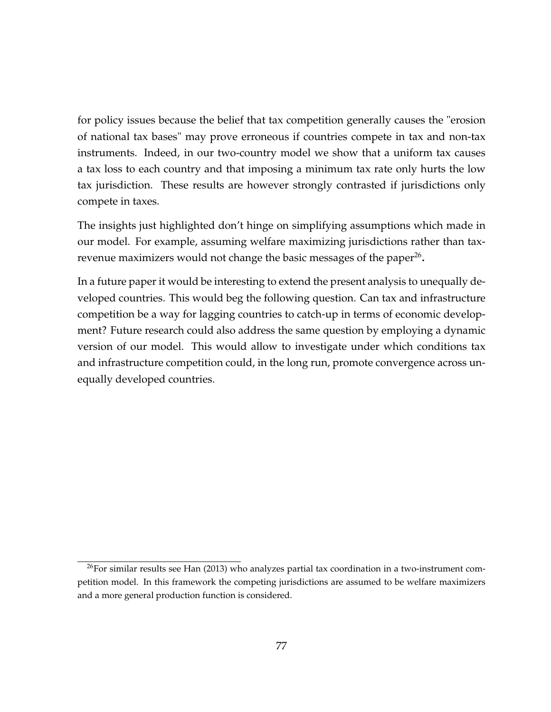for policy issues because the belief that tax competition generally causes the "erosion of national tax bases" may prove erroneous if countries compete in tax and non-tax instruments. Indeed, in our two-country model we show that a uniform tax causes a tax loss to each country and that imposing a minimum tax rate only hurts the low tax jurisdiction. These results are however strongly contrasted if jurisdictions only compete in taxes.

The insights just highlighted don't hinge on simplifying assumptions which made in our model. For example, assuming welfare maximizing jurisdictions rather than taxrevenue maximizers would not change the basic messages of the paper<sup>26</sup>.

In a future paper it would be interesting to extend the present analysis to unequally developed countries. This would beg the following question. Can tax and infrastructure competition be a way for lagging countries to catch-up in terms of economic development? Future research could also address the same question by employing a dynamic version of our model. This would allow to investigate under which conditions tax and infrastructure competition could, in the long run, promote convergence across unequally developed countries.

 $26$ For similar results see Han (2013) who analyzes partial tax coordination in a two-instrument competition model. In this framework the competing jurisdictions are assumed to be welfare maximizers and a more general production function is considered.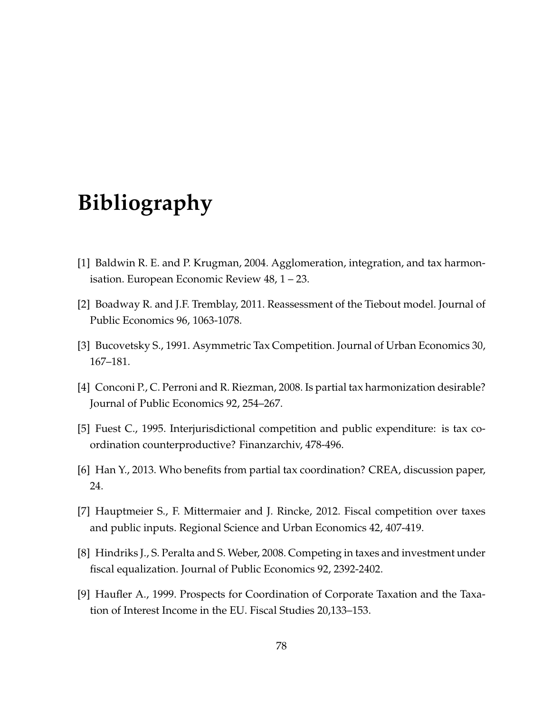# **Bibliography**

- [1] Baldwin R. E. and P. Krugman, 2004. Agglomeration, integration, and tax harmonisation. European Economic Review 48, 1 – 23.
- [2] Boadway R. and J.F. Tremblay, 2011. Reassessment of the Tiebout model. Journal of Public Economics 96, 1063-1078.
- [3] Bucovetsky S., 1991. Asymmetric Tax Competition. Journal of Urban Economics 30, 167–181.
- [4] Conconi P., C. Perroni and R. Riezman, 2008. Is partial tax harmonization desirable? Journal of Public Economics 92, 254–267.
- [5] Fuest C., 1995. Interjurisdictional competition and public expenditure: is tax coordination counterproductive? Finanzarchiv, 478-496.
- [6] Han Y., 2013. Who benefits from partial tax coordination? CREA, discussion paper, 24.
- [7] Hauptmeier S., F. Mittermaier and J. Rincke, 2012. Fiscal competition over taxes and public inputs. Regional Science and Urban Economics 42, 407-419.
- [8] Hindriks J., S. Peralta and S. Weber, 2008. Competing in taxes and investment under fiscal equalization. Journal of Public Economics 92, 2392-2402.
- [9] Haufler A., 1999. Prospects for Coordination of Corporate Taxation and the Taxation of Interest Income in the EU. Fiscal Studies 20,133–153.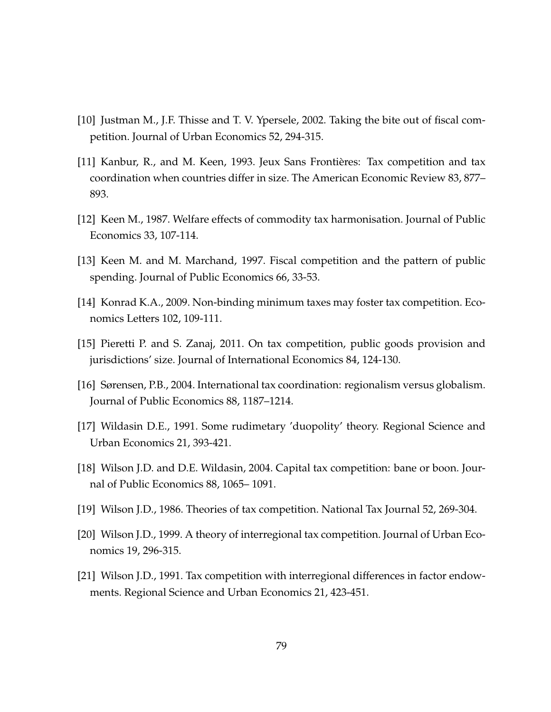- [10] Justman M., J.F. Thisse and T. V. Ypersele, 2002. Taking the bite out of fiscal competition. Journal of Urban Economics 52, 294-315.
- [11] Kanbur, R., and M. Keen, 1993. Jeux Sans Frontières: Tax competition and tax coordination when countries differ in size. The American Economic Review 83, 877– 893.
- [12] Keen M., 1987. Welfare effects of commodity tax harmonisation. Journal of Public Economics 33, 107-114.
- [13] Keen M. and M. Marchand, 1997. Fiscal competition and the pattern of public spending. Journal of Public Economics 66, 33-53.
- [14] Konrad K.A., 2009. Non-binding minimum taxes may foster tax competition. Economics Letters 102, 109-111.
- [15] Pieretti P. and S. Zanaj, 2011. On tax competition, public goods provision and jurisdictions' size. Journal of International Economics 84, 124-130.
- [16] Sørensen, P.B., 2004. International tax coordination: regionalism versus globalism. Journal of Public Economics 88, 1187–1214.
- [17] Wildasin D.E., 1991. Some rudimetary 'duopolity' theory. Regional Science and Urban Economics 21, 393-421.
- [18] Wilson J.D. and D.E. Wildasin, 2004. Capital tax competition: bane or boon. Journal of Public Economics 88, 1065– 1091.
- [19] Wilson J.D., 1986. Theories of tax competition. National Tax Journal 52, 269-304.
- [20] Wilson J.D., 1999. A theory of interregional tax competition. Journal of Urban Economics 19, 296-315.
- [21] Wilson J.D., 1991. Tax competition with interregional differences in factor endowments. Regional Science and Urban Economics 21, 423-451.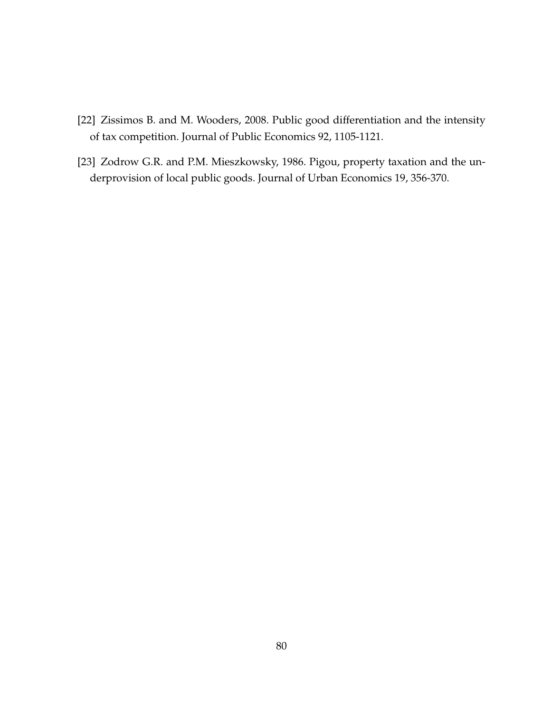- [22] Zissimos B. and M. Wooders, 2008. Public good differentiation and the intensity of tax competition. Journal of Public Economics 92, 1105-1121.
- [23] Zodrow G.R. and P.M. Mieszkowsky, 1986. Pigou, property taxation and the underprovision of local public goods. Journal of Urban Economics 19, 356-370.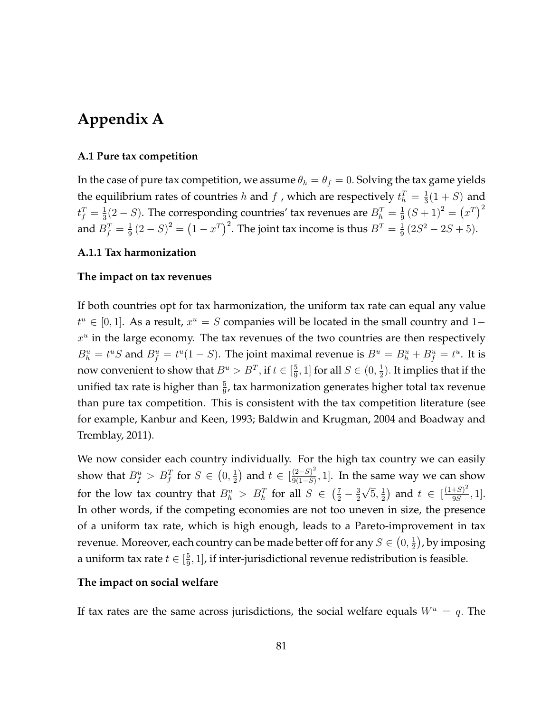## **Appendix A**

#### **A.1 Pure tax competition**

In the case of pure tax competition, we assume  $\theta_h = \theta_f = 0$ . Solving the tax game yields the equilibrium rates of countries h and f, which are respectively  $t_h^T = \frac{1}{3}$  $\frac{1}{3}(1+S)$  and  $t^T_f=\frac{1}{3}$  $\frac{1}{3}(2-S)$ . The corresponding countries' tax revenues are  $B_h^T = \frac{1}{9}$  $\frac{1}{9}(S+1)^2 = (x^T)^2$ and  $B_f^T=\frac{1}{9}$  $\frac{1}{9} (2 - S)^2 = (1 - x^T)^2$ . The joint tax income is thus  $B^T = \frac{1}{9}$  $\frac{1}{9}(2S^2-2S+5).$ 

#### **A.1.1 Tax harmonization**

#### **The impact on tax revenues**

If both countries opt for tax harmonization, the uniform tax rate can equal any value  $t^u \in [0, 1]$ . As a result,  $x^u = S$  companies will be located in the small country and 1 $x^u$  in the large economy. The tax revenues of the two countries are then respectively  $B_h^u = t^u S$  and  $B_f^u = t^u (1 - S)$ . The joint maximal revenue is  $B^u = B_h^u + B_f^u = t^u$ . It is now convenient to show that  $B^u > B^T$ , if  $t \in [\frac{5}{9}]$  $\frac{5}{9}$ , 1] for all  $S \in (0, \frac{1}{2})$  $\frac{1}{2}$ ). It implies that if the unified tax rate is higher than  $\frac{5}{9}$ , tax harmonization generates higher total tax revenue than pure tax competition. This is consistent with the tax competition literature (see for example, Kanbur and Keen, 1993; Baldwin and Krugman, 2004 and Boadway and Tremblay, 2011).

We now consider each country individually. For the high tax country we can easily show that  $B_f^u > B_f^T$  for  $S \in \left(0, \frac{1}{2}\right)$  $(\frac{1}{2})$  and  $t \in [\frac{(2-S)^2}{9(1-S)}]$  $\frac{(2-5)}{9(1-S)}$ , 1]. In the same way we can show for the low tax country that  $B_h^u > B_h^T$  for all  $S \in \left(\frac{7}{2} - \frac{3}{2}\right)$ 2  $\sqrt{5}, \frac{1}{2}$  $(\frac{1}{2})$  and  $t \in [\frac{(1+S)^2}{9S}]$  $\frac{+Sj}{9S}, 1].$ In other words, if the competing economies are not too uneven in size, the presence of a uniform tax rate, which is high enough, leads to a Pareto-improvement in tax revenue. Moreover, each country can be made better off for any  $S\in \big(0,\frac{1}{2}\big)$  $(\frac{1}{2})$ , by imposing a uniform tax rate  $t \in [\frac{5}{9}]$  $\frac{5}{9}$ , 1], if inter-jurisdictional revenue redistribution is feasible.

#### **The impact on social welfare**

If tax rates are the same across jurisdictions, the social welfare equals  $W^u = q$ . The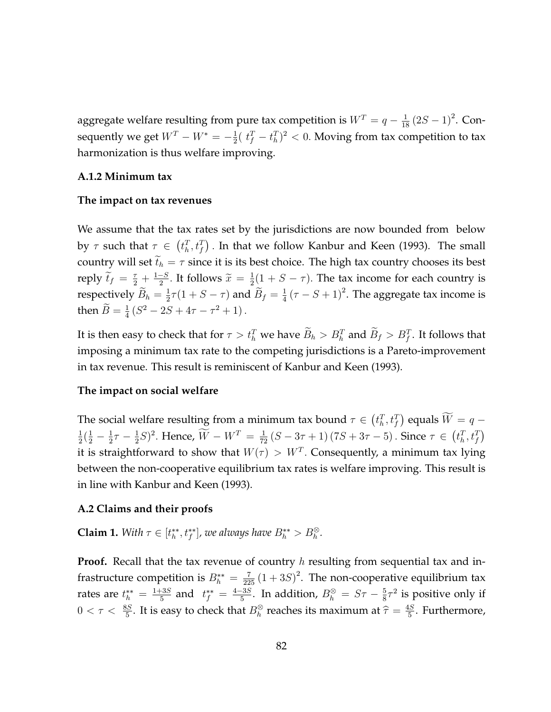aggregate welfare resulting from pure tax competition is  $W^{T} = q - \frac{1}{18} (2S - 1)^{2}$ . Consequently we get  $W^T - W^* = -\frac{1}{2}$  $\frac{1}{2}$ ( $t_f^T - t_h^T$ )<sup>2</sup> < 0. Moving from tax competition to tax harmonization is thus welfare improving.

#### **A.1.2 Minimum tax**

#### **The impact on tax revenues**

We assume that the tax rates set by the jurisdictions are now bounded from below by  $\tau$  such that  $\tau \in (t_h^T, t_f^T)$ . In that we follow Kanbur and Keen (1993). The small country will set  $\tilde{t}_h = \tau$  since it is its best choice. The high tax country chooses its best reply  $\widetilde{t}_f = \frac{\tau}{2} + \frac{1-S}{2}$ . It follows  $\widetilde{x} = \frac{1}{2}$  $\frac{1}{2}(1 + S - \tau)$ . The tax income for each country is respectively  $\widetilde{B}_h = \frac{1}{2}$  $\frac{1}{2}\tau(1+S-\tau)$  and  $\widetilde{B}_f=\frac{1}{4}$  $\frac{1}{4}(\tau - S + 1)^2$ . The aggregate tax income is then  $\widetilde{B} = \frac{1}{4}$  $\frac{1}{4}(S^2-2S+4\tau-\tau^2+1).$ 

It is then easy to check that for  $\tau > t_h^T$  we have  $\widetilde{B}_h > B_h^T$  and  $\widetilde{B}_f > B_f^T$ . It follows that imposing a minimum tax rate to the competing jurisdictions is a Pareto-improvement in tax revenue. This result is reminiscent of Kanbur and Keen (1993).

#### **The impact on social welfare**

The social welfare resulting from a minimum tax bound  $\tau \in \left(t_h^T, t_f^T\right)$  equals  $\widetilde{W} = q$  – 1  $rac{1}{2}(\frac{1}{2}-\frac{1}{2})$  $\frac{1}{2}\tau - \frac{1}{2}$  $(\frac{1}{2}S)^2$ . Hence,  $\widetilde{W} - W^T = \frac{1}{72}(S - 3\tau + 1)(7S + 3\tau - 5)$ . Since  $\tau \in (t_h^T, t_f^T)$ it is straightforward to show that  $W(\tau) > W^T$ . Consequently, a minimum tax lying between the non-cooperative equilibrium tax rates is welfare improving. This result is in line with Kanbur and Keen (1993).

#### **A.2 Claims and their proofs**

**Claim 1.** With  $\tau \in [t_h^{**}, t_f^{**}]$ , we always have  $B_h^{**} > B_h^{\otimes}$ .

**Proof.** Recall that the tax revenue of country h resulting from sequential tax and infrastructure competition is  $B_h^{**} = \frac{7}{225} (1 + 3S)^2$ . The non-cooperative equilibrium tax rates are  $t_h^{**} = \frac{1+3S}{5}$  $\frac{f_{3S}}{5}$  and  $t_f^{**} = \frac{4-3S}{5}$ . In addition,  $B_h^{\otimes} = S\tau - \frac{5}{8}$  $\frac{5}{8}\tau^2$  is positive only if  $0 < \tau < \frac{8S}{5}$ . It is easy to check that  $B_h^{\otimes}$  reaches its maximum at  $\widehat{\tau} = \frac{4S}{5}$  $\frac{15}{5}$ . Furthermore,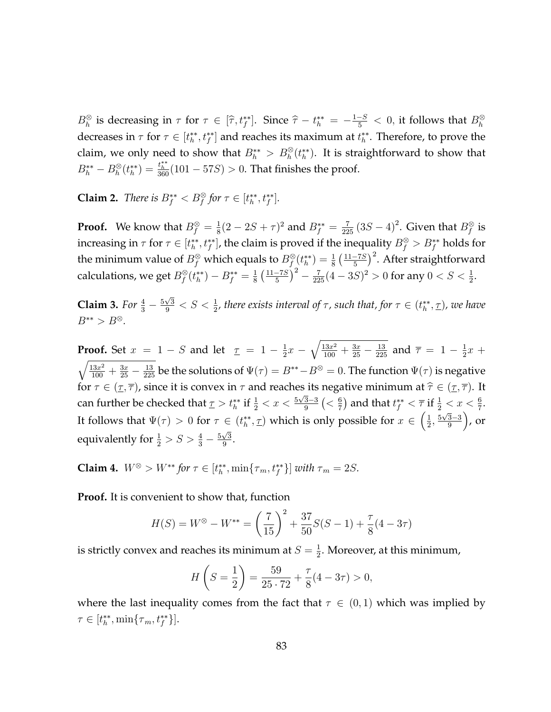$B_h^{\otimes}$  is decreasing in  $\tau$  for  $\tau \in [\hat{\tau}, t_f^{**}]$ . Since  $\hat{\tau} - t_h^{**} = -\frac{1-S}{5} < 0$ , it follows that  $B_h^{\otimes}$ decreases in  $\tau$  for  $\tau \in [t_h^{**}, t_f^{**}]$  and reaches its maximum at  $t_h^{**}$ . Therefore, to prove the claim, we only need to show that  $B_h^{**} > B_h^{\otimes}(t_h^{**})$ . It is straightforward to show that  $B_h^{**} - B_h^{\otimes}(t_h^{**}) = \frac{t_h^{**}}{360}(101 - 57S) > 0$ . That finishes the proof.

**Claim 2.** *There is*  $B_f^{**} < B_f^{\otimes}$  for  $\tau \in [t_h^{**}, t_f^{**}]$ .

**Proof.** We know that  $B_f^{\otimes} = \frac{1}{8}$  $\frac{1}{8}(2-2S+\tau)^2$  and  $B^{**}_{f}=\frac{7}{225}(3S-4)^2$ . Given that  $B^\otimes_f$  is increasing in  $\tau$  for  $\tau \in [t_h^{**}, t_f^{**}]$ , the claim is proved if the inequality  $B_f^{\otimes} > B_f^{**}$  holds for the minimum value of  $B_f^{\otimes}$  which equals to  $B_f^{\otimes}(t_h^{**})=\frac{1}{8}\left(\frac{11-7S}{5}\right)^2$ . After straightforward calculations, we get  $B^{\otimes}_f(t^{**}_h) - B^{**}_f = \frac{1}{8}$  $\frac{1}{8} \left( \frac{11 - 7S}{5} \right)^2 - \frac{7}{225} (4 - 3S)^2 > 0$  for any  $0 < S < \frac{1}{2}$ .

**Claim 3.** For  $\frac{4}{3} - \frac{5\sqrt{3}}{9} < S < \frac{1}{2}$ , there exists interval of  $\tau$ , such that, for  $\tau \in (t_h^{**}, \tau)$ , we have  $B^{**} > B^{\otimes}.$ 

**Proof.** Set  $x = 1 - S$  and let  $\tau = 1 - \frac{1}{2}$  $\frac{1}{2}x - \sqrt{\frac{13x^2}{100} + \frac{3x}{25} - \frac{13}{225}}$  and  $\overline{\tau} = 1 - \frac{1}{2}$  $rac{1}{2}x +$  $\sqrt{\frac{13x^2}{100} + \frac{3x}{25} - \frac{13}{225}}$  be the solutions of  $\Psi(\tau) = B^{**} - B^{\otimes} = 0$ . The function  $\Psi(\tau)$  is negative for  $\tau \in (\underline{\tau}, \overline{\tau})$ , since it is convex in  $\tau$  and reaches its negative minimum at  $\hat{\tau} \in (\underline{\tau}, \overline{\tau})$ . It can further be checked that  $\underline{\tau}>t_h^{**}$  if  $\frac{1}{2}< x < \frac{5\sqrt{3}-3}{9}$   $(< \frac{6}{7}$  $(\frac{6}{7})$  and that  $t_f^{**} < \overline{\tau}$  if  $\frac{1}{2} < x < \frac{6}{7}$ . It follows that  $\Psi(\tau) > 0$  for  $\tau \in (t_h^{**}, \tau)$  which is only possible for  $x \in (\frac{1}{2})$  $\frac{1}{2}, \frac{5\sqrt{3}-3}{9}$  $\Big)$ , or equivalently for  $\frac{1}{2} > S > \frac{4}{3} - \frac{5\sqrt{3}}{9}$  $\frac{\sqrt{3}}{9}$ .

**Claim 4.**  $W^{\otimes} > W^{**}$  for  $\tau \in [t_h^{**}, \min\{\tau_m, t_f^{**}\}]$  with  $\tau_m = 2S$ .

**Proof.** It is convenient to show that, function

$$
H(S) = W^{\otimes} - W^{**} = \left(\frac{7}{15}\right)^2 + \frac{37}{50}S(S-1) + \frac{7}{8}(4-3\tau)
$$

is strictly convex and reaches its minimum at  $S=\frac{1}{2}$  $\frac{1}{2}$ . Moreover, at this minimum,

$$
H\left(S = \frac{1}{2}\right) = \frac{59}{25 \cdot 72} + \frac{7}{8}(4 - 3\tau) > 0,
$$

where the last inequality comes from the fact that  $\tau \in (0,1)$  which was implied by  $\tau \in [t_h^{**}, \min\{\tau_m, t_f^{**}\}].$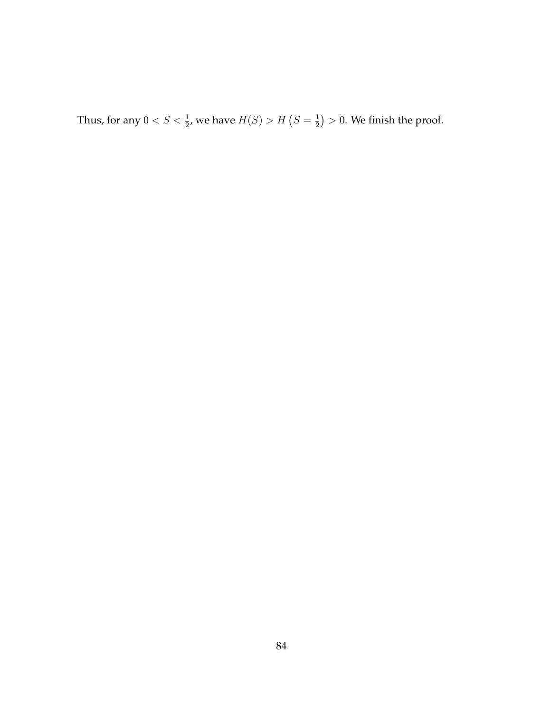Thus, for any  $0 < S < \frac{1}{2}$ , we have  $H(S) > H\left(S = \frac{1}{2}\right)$  $(\frac{1}{2}) > 0$ . We finish the proof.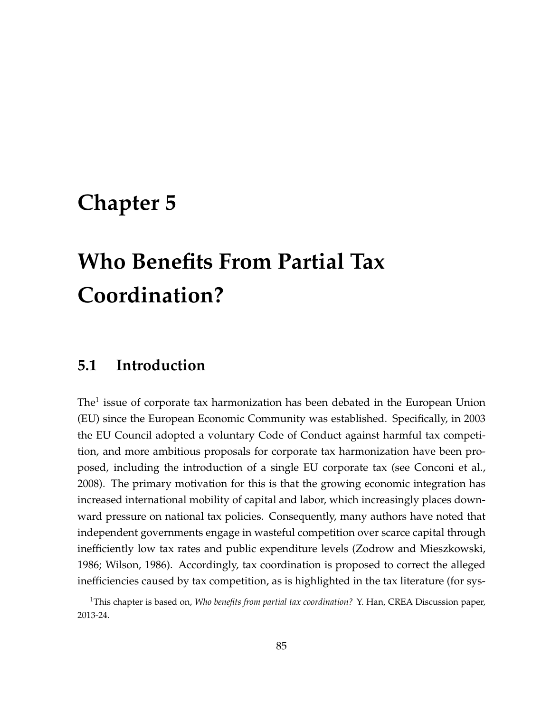## **Chapter 5**

# **Who Benefits From Partial Tax Coordination?**

## **5.1 Introduction**

The<sup>1</sup> issue of corporate tax harmonization has been debated in the European Union (EU) since the European Economic Community was established. Specifically, in 2003 the EU Council adopted a voluntary Code of Conduct against harmful tax competition, and more ambitious proposals for corporate tax harmonization have been proposed, including the introduction of a single EU corporate tax (see Conconi et al., 2008). The primary motivation for this is that the growing economic integration has increased international mobility of capital and labor, which increasingly places downward pressure on national tax policies. Consequently, many authors have noted that independent governments engage in wasteful competition over scarce capital through inefficiently low tax rates and public expenditure levels (Zodrow and Mieszkowski, 1986; Wilson, 1986). Accordingly, tax coordination is proposed to correct the alleged inefficiencies caused by tax competition, as is highlighted in the tax literature (for sys-

<sup>&</sup>lt;sup>1</sup>This chapter is based on, *Who benefits from partial tax coordination?* Y. Han, CREA Discussion paper, 2013-24.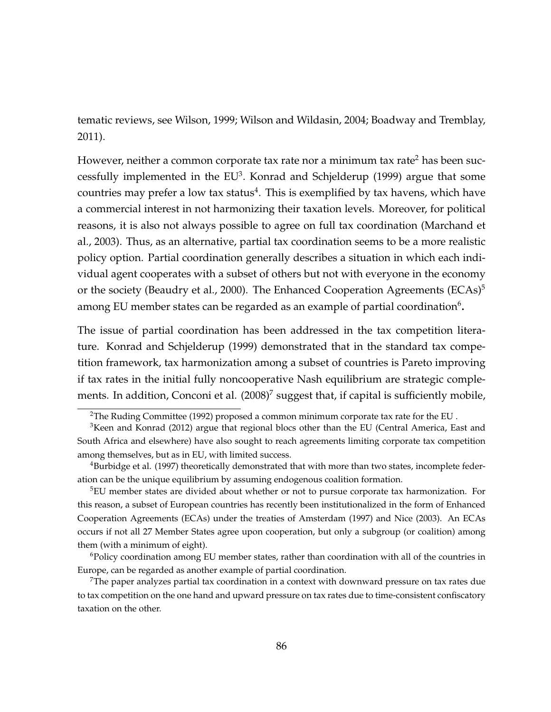tematic reviews, see Wilson, 1999; Wilson and Wildasin, 2004; Boadway and Tremblay, 2011).

However, neither a common corporate tax rate nor a minimum tax rate<sup>2</sup> has been successfully implemented in the  $EU^3$ . Konrad and Schjelderup (1999) argue that some countries may prefer a low tax status<sup>4</sup>. This is exemplified by tax havens, which have a commercial interest in not harmonizing their taxation levels. Moreover, for political reasons, it is also not always possible to agree on full tax coordination (Marchand et al., 2003). Thus, as an alternative, partial tax coordination seems to be a more realistic policy option. Partial coordination generally describes a situation in which each individual agent cooperates with a subset of others but not with everyone in the economy or the society (Beaudry et al., 2000). The Enhanced Cooperation Agreements (ECAs)<sup>5</sup> among EU member states can be regarded as an example of partial coordination<sup>6</sup>.

The issue of partial coordination has been addressed in the tax competition literature. Konrad and Schjelderup (1999) demonstrated that in the standard tax competition framework, tax harmonization among a subset of countries is Pareto improving if tax rates in the initial fully noncooperative Nash equilibrium are strategic complements. In addition, Conconi et al.  $(2008)^7$  suggest that, if capital is sufficiently mobile,

<sup>2</sup>The Ruding Committee (1992) proposed a common minimum corporate tax rate for the EU .

 $3$ Keen and Konrad (2012) argue that regional blocs other than the EU (Central America, East and South Africa and elsewhere) have also sought to reach agreements limiting corporate tax competition among themselves, but as in EU, with limited success.

<sup>4</sup>Burbidge et al. (1997) theoretically demonstrated that with more than two states, incomplete federation can be the unique equilibrium by assuming endogenous coalition formation.

 ${}^{5}$ EU member states are divided about whether or not to pursue corporate tax harmonization. For this reason, a subset of European countries has recently been institutionalized in the form of Enhanced Cooperation Agreements (ECAs) under the treaties of Amsterdam (1997) and Nice (2003). An ECAs occurs if not all 27 Member States agree upon cooperation, but only a subgroup (or coalition) among them (with a minimum of eight).

<sup>6</sup>Policy coordination among EU member states, rather than coordination with all of the countries in Europe, can be regarded as another example of partial coordination.

 $7$ The paper analyzes partial tax coordination in a context with downward pressure on tax rates due to tax competition on the one hand and upward pressure on tax rates due to time-consistent confiscatory taxation on the other.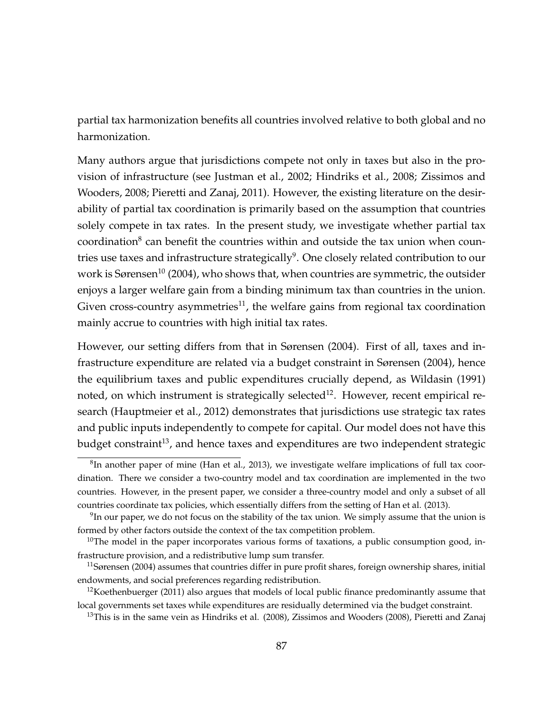partial tax harmonization benefits all countries involved relative to both global and no harmonization.

Many authors argue that jurisdictions compete not only in taxes but also in the provision of infrastructure (see Justman et al., 2002; Hindriks et al., 2008; Zissimos and Wooders, 2008; Pieretti and Zanaj, 2011). However, the existing literature on the desirability of partial tax coordination is primarily based on the assumption that countries solely compete in tax rates. In the present study, we investigate whether partial tax coordination<sup>8</sup> can benefit the countries within and outside the tax union when countries use taxes and infrastructure strategically $9$ . One closely related contribution to our work is Sørensen<sup>10</sup> (2004), who shows that, when countries are symmetric, the outsider enjoys a larger welfare gain from a binding minimum tax than countries in the union. Given cross-country asymmetries<sup>11</sup>, the welfare gains from regional tax coordination mainly accrue to countries with high initial tax rates.

However, our setting differs from that in Sørensen (2004). First of all, taxes and infrastructure expenditure are related via a budget constraint in Sørensen (2004), hence the equilibrium taxes and public expenditures crucially depend, as Wildasin (1991) noted, on which instrument is strategically selected<sup>12</sup>. However, recent empirical research (Hauptmeier et al., 2012) demonstrates that jurisdictions use strategic tax rates and public inputs independently to compete for capital. Our model does not have this budget constraint $13$ , and hence taxes and expenditures are two independent strategic

 ${}^{8}$ In another paper of mine (Han et al., 2013), we investigate welfare implications of full tax coordination. There we consider a two-country model and tax coordination are implemented in the two countries. However, in the present paper, we consider a three-country model and only a subset of all countries coordinate tax policies, which essentially differs from the setting of Han et al. (2013).

 $9$ In our paper, we do not focus on the stability of the tax union. We simply assume that the union is formed by other factors outside the context of the tax competition problem.

 $10$ The model in the paper incorporates various forms of taxations, a public consumption good, infrastructure provision, and a redistributive lump sum transfer.

 $11$ Sørensen (2004) assumes that countries differ in pure profit shares, foreign ownership shares, initial endowments, and social preferences regarding redistribution.

 $12$ Koethenbuerger (2011) also argues that models of local public finance predominantly assume that local governments set taxes while expenditures are residually determined via the budget constraint.

 $13$ This is in the same vein as Hindriks et al. (2008), Zissimos and Wooders (2008), Pieretti and Zanaj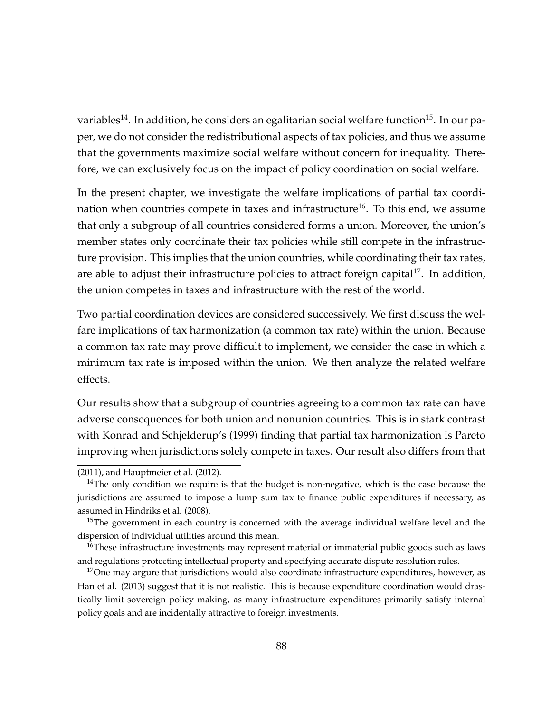variables<sup>14</sup>. In addition, he considers an egalitarian social welfare function<sup>15</sup>. In our paper, we do not consider the redistributional aspects of tax policies, and thus we assume that the governments maximize social welfare without concern for inequality. Therefore, we can exclusively focus on the impact of policy coordination on social welfare.

In the present chapter, we investigate the welfare implications of partial tax coordination when countries compete in taxes and infrastructure<sup>16</sup>. To this end, we assume that only a subgroup of all countries considered forms a union. Moreover, the union's member states only coordinate their tax policies while still compete in the infrastructure provision. This implies that the union countries, while coordinating their tax rates, are able to adjust their infrastructure policies to attract foreign capital<sup>17</sup>. In addition, the union competes in taxes and infrastructure with the rest of the world.

Two partial coordination devices are considered successively. We first discuss the welfare implications of tax harmonization (a common tax rate) within the union. Because a common tax rate may prove difficult to implement, we consider the case in which a minimum tax rate is imposed within the union. We then analyze the related welfare effects.

Our results show that a subgroup of countries agreeing to a common tax rate can have adverse consequences for both union and nonunion countries. This is in stark contrast with Konrad and Schjelderup's (1999) finding that partial tax harmonization is Pareto improving when jurisdictions solely compete in taxes. Our result also differs from that

<sup>(2011),</sup> and Hauptmeier et al. (2012).

 $14$ The only condition we require is that the budget is non-negative, which is the case because the jurisdictions are assumed to impose a lump sum tax to finance public expenditures if necessary, as assumed in Hindriks et al. (2008).

<sup>&</sup>lt;sup>15</sup>The government in each country is concerned with the average individual welfare level and the dispersion of individual utilities around this mean.

<sup>&</sup>lt;sup>16</sup>These infrastructure investments may represent material or immaterial public goods such as laws and regulations protecting intellectual property and specifying accurate dispute resolution rules.

 $17$ One may argure that jurisdictions would also coordinate infrastructure expenditures, however, as Han et al. (2013) suggest that it is not realistic. This is because expenditure coordination would drastically limit sovereign policy making, as many infrastructure expenditures primarily satisfy internal policy goals and are incidentally attractive to foreign investments.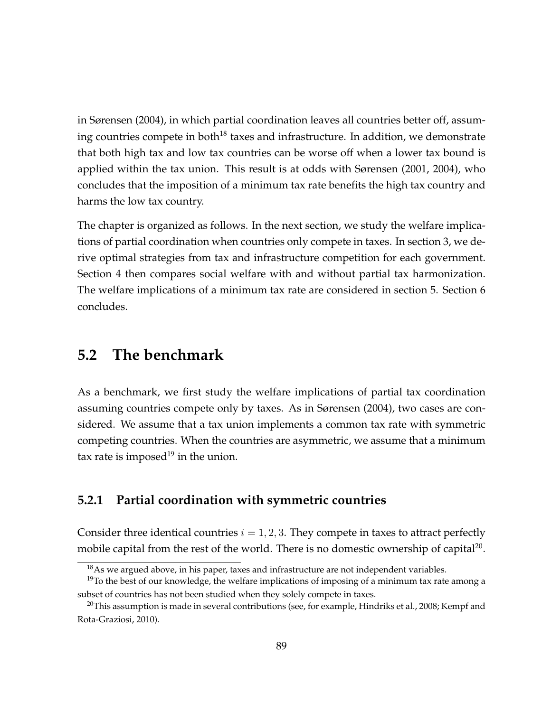in Sørensen (2004), in which partial coordination leaves all countries better off, assuming countries compete in both $^{18}$  taxes and infrastructure. In addition, we demonstrate that both high tax and low tax countries can be worse off when a lower tax bound is applied within the tax union. This result is at odds with Sørensen (2001, 2004), who concludes that the imposition of a minimum tax rate benefits the high tax country and harms the low tax country.

The chapter is organized as follows. In the next section, we study the welfare implications of partial coordination when countries only compete in taxes. In section 3, we derive optimal strategies from tax and infrastructure competition for each government. Section 4 then compares social welfare with and without partial tax harmonization. The welfare implications of a minimum tax rate are considered in section 5. Section 6 concludes.

## **5.2 The benchmark**

As a benchmark, we first study the welfare implications of partial tax coordination assuming countries compete only by taxes. As in Sørensen (2004), two cases are considered. We assume that a tax union implements a common tax rate with symmetric competing countries. When the countries are asymmetric, we assume that a minimum tax rate is imposed<sup>19</sup> in the union.

## **5.2.1 Partial coordination with symmetric countries**

Consider three identical countries  $i = 1, 2, 3$ . They compete in taxes to attract perfectly mobile capital from the rest of the world. There is no domestic ownership of capital $^{20}$ .

<sup>&</sup>lt;sup>18</sup>As we argued above, in his paper, taxes and infrastructure are not independent variables.

 $19$ To the best of our knowledge, the welfare implications of imposing of a minimum tax rate among a subset of countries has not been studied when they solely compete in taxes.

<sup>&</sup>lt;sup>20</sup>This assumption is made in several contributions (see, for example, Hindriks et al., 2008; Kempf and Rota-Graziosi, 2010).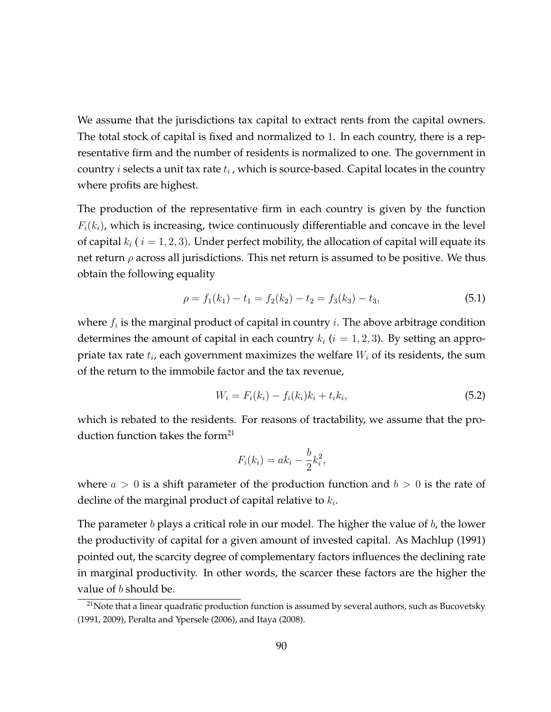We assume that the jurisdictions tax capital to extract rents from the capital owners. The total stock of capital is fixed and normalized to 1. In each country, there is a representative firm and the number of residents is normalized to one. The government in country  $i$  selects a unit tax rate  $t_i$  , which is source-based. Capital locates in the country where profits are highest.

The production of the representative firm in each country is given by the function  $F_i(k_i)$ , which is increasing, twice continuously differentiable and concave in the level of capital  $k_i$  (  $i = 1, 2, 3$ ). Under perfect mobility, the allocation of capital will equate its net return  $\rho$  across all jurisdictions. This net return is assumed to be positive. We thus obtain the following equality

$$
\rho = f_1(k_1) - t_1 = f_2(k_2) - t_2 = f_3(k_3) - t_3,\tag{5.1}
$$

where  $f_i$  is the marginal product of capital in country  $i$ . The above arbitrage condition determines the amount of capital in each country  $k_i$  ( $i = 1, 2, 3$ ). By setting an appropriate tax rate  $t_i$ , each government maximizes the welfare  $W_i$  of its residents, the sum of the return to the immobile factor and the tax revenue,

$$
W_i = F_i(k_i) - f_i(k_i)k_i + t_ik_i,
$$
\n(5.2)

which is rebated to the residents. For reasons of tractability, we assume that the production function takes the form $21$ 

$$
F_i(k_i) = ak_i - \frac{b}{2}k_i^2,
$$

where  $a > 0$  is a shift parameter of the production function and  $b > 0$  is the rate of decline of the marginal product of capital relative to  $k_i$ .

The parameter b plays a critical role in our model. The higher the value of b, the lower the productivity of capital for a given amount of invested capital. As Machlup (1991) pointed out, the scarcity degree of complementary factors influences the declining rate in marginal productivity. In other words, the scarcer these factors are the higher the value of *b* should be.

 $21$ Note that a linear quadratic production function is assumed by several authors, such as Bucovetsky (1991, 2009), Peralta and Ypersele (2006), and Itaya (2008).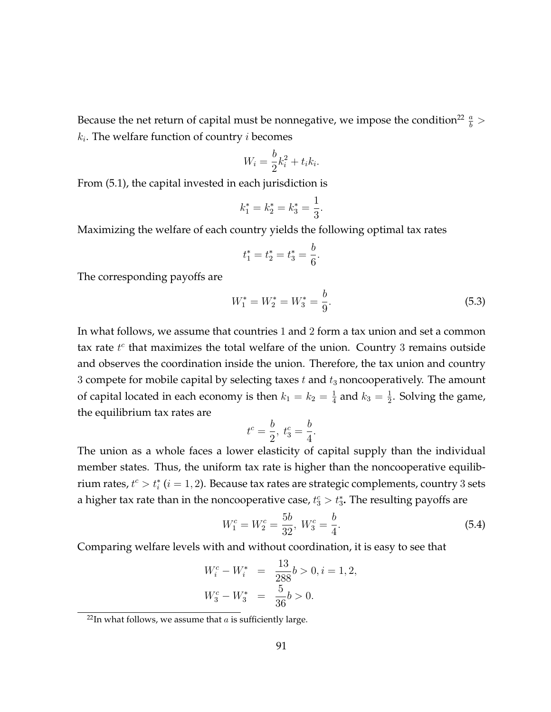Because the net return of capital must be nonnegative, we impose the condition<sup>22</sup>  $\frac{a}{b}$  >  $k_i$ . The welfare function of country  $i$  becomes

$$
W_i = \frac{b}{2}k_i^2 + t_i k_i.
$$

From (5.1), the capital invested in each jurisdiction is

$$
k_1^* = k_2^* = k_3^* = \frac{1}{3}.
$$

Maximizing the welfare of each country yields the following optimal tax rates

$$
t_1^* = t_2^* = t_3^* = \frac{b}{6}.
$$

The corresponding payoffs are

$$
W_1^* = W_2^* = W_3^* = \frac{b}{9}.\tag{5.3}
$$

In what follows, we assume that countries 1 and 2 form a tax union and set a common tax rate  $t^c$  that maximizes the total welfare of the union. Country 3 remains outside and observes the coordination inside the union. Therefore, the tax union and country 3 compete for mobile capital by selecting taxes  $t$  and  $t_3$  noncooperatively. The amount of capital located in each economy is then  $k_1 = k_2 = \frac{1}{4}$  $\frac{1}{4}$  and  $k_3=\frac{1}{2}$  $\frac{1}{2}$ . Solving the game, the equilibrium tax rates are

$$
t^c = \frac{b}{2}, \ t_3^c = \frac{b}{4}.
$$

The union as a whole faces a lower elasticity of capital supply than the individual member states. Thus, the uniform tax rate is higher than the noncooperative equilibrium rates,  $t^c > t_i^*$   $(i = 1, 2)$ . Because tax rates are strategic complements, country 3 sets a higher tax rate than in the noncooperative case,  $t_3^c > t_3^*$ . The resulting payoffs are

$$
W_1^c = W_2^c = \frac{5b}{32}, \ W_3^c = \frac{b}{4}.\tag{5.4}
$$

Comparing welfare levels with and without coordination, it is easy to see that

$$
W_i^c - W_i^* = \frac{13}{288}b > 0, i = 1, 2,
$$
  

$$
W_3^c - W_3^* = \frac{5}{36}b > 0.
$$

 $22$ In what follows, we assume that  $a$  is sufficiently large.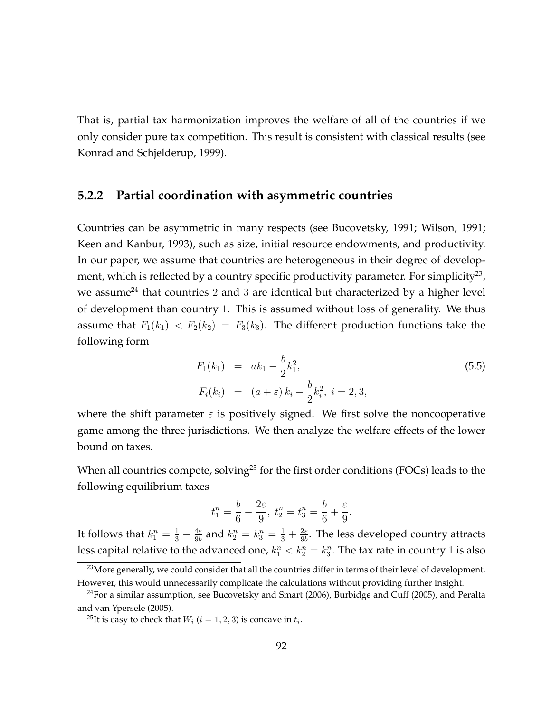That is, partial tax harmonization improves the welfare of all of the countries if we only consider pure tax competition. This result is consistent with classical results (see Konrad and Schjelderup, 1999).

## **5.2.2 Partial coordination with asymmetric countries**

Countries can be asymmetric in many respects (see Bucovetsky, 1991; Wilson, 1991; Keen and Kanbur, 1993), such as size, initial resource endowments, and productivity. In our paper, we assume that countries are heterogeneous in their degree of development, which is reflected by a country specific productivity parameter. For simplicity $^{23}$ , we assume<sup>24</sup> that countries 2 and 3 are identical but characterized by a higher level of development than country 1. This is assumed without loss of generality. We thus assume that  $F_1(k_1) < F_2(k_2) = F_3(k_3)$ . The different production functions take the following form

$$
F_1(k_1) = ak_1 - \frac{b}{2}k_1^2,
$$
  
\n
$$
F_i(k_i) = (a + \varepsilon)k_i - \frac{b}{2}k_i^2, i = 2, 3,
$$
\n(5.5)

where the shift parameter  $\varepsilon$  is positively signed. We first solve the noncooperative game among the three jurisdictions. We then analyze the welfare effects of the lower bound on taxes.

When all countries compete, solving<sup>25</sup> for the first order conditions (FOCs) leads to the following equilibrium taxes

$$
t_1^n = \frac{b}{6} - \frac{2\varepsilon}{9}, \; t_2^n = t_3^n = \frac{b}{6} + \frac{\varepsilon}{9}.
$$

It follows that  $k_1^n = \frac{1}{3} - \frac{4\varepsilon}{9b}$  $\frac{4\varepsilon}{9b}$  and  $k_2^n = k_3^n = \frac{1}{3} + \frac{2\varepsilon}{9b}$  $\frac{2\varepsilon}{9b}$ . The less developed country attracts less capital relative to the advanced one,  $k_1^n < k_2^n = k_3^n$ . The tax rate in country 1 is also

<sup>&</sup>lt;sup>23</sup> More generally, we could consider that all the countries differ in terms of their level of development. However, this would unnecessarily complicate the calculations without providing further insight.

 $^{24}$ For a similar assumption, see Bucovetsky and Smart (2006), Burbidge and Cuff (2005), and Peralta and van Ypersele (2005).

 $^{25}$ It is easy to check that  $W_i$   $(i=1,2,3)$  is concave in  $t_i$ .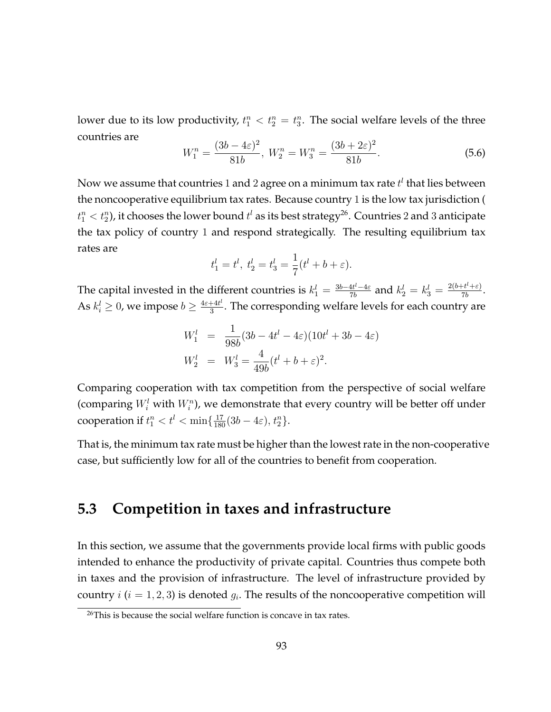lower due to its low productivity,  $t_1^n < t_2^n = t_3^n$ . The social welfare levels of the three countries are

$$
W_1^n = \frac{(3b - 4\varepsilon)^2}{81b}, \ W_2^n = W_3^n = \frac{(3b + 2\varepsilon)^2}{81b}.
$$
 (5.6)

Now we assume that countries 1 and 2 agree on a minimum tax rate  $t^l$  that lies between the noncooperative equilibrium tax rates. Because country 1 is the low tax jurisdiction (  $t_1^n < t_2^n$ ), it chooses the lower bound  $t^l$  as its best strategy $^{26}$ . Countries  $2$  and  $3$  anticipate the tax policy of country 1 and respond strategically. The resulting equilibrium tax rates are

$$
t_1^l = t^l, t_2^l = t_3^l = \frac{1}{7}(t^l + b + \varepsilon).
$$

The capital invested in the different countries is  $k_1^l = \frac{3b-4t^l-4\varepsilon}{7b}$  and  $k_2^l = k_3^l = \frac{2(b+t^l+\varepsilon)}{7b}$  $rac{(-t^2+\varepsilon)}{7b}$ . As  $k_i^l \geq 0$ , we impose  $b \geq \frac{4\varepsilon + 4t^l}{3}$  $\frac{1+4t^2}{3}$ . The corresponding welfare levels for each country are

$$
W_1^l = \frac{1}{98b}(3b - 4t^l - 4\varepsilon)(10t^l + 3b - 4\varepsilon)
$$
  

$$
W_2^l = W_3^l = \frac{4}{49b}(t^l + b + \varepsilon)^2.
$$

Comparing cooperation with tax competition from the perspective of social welfare (comparing  $W_i^l$  with  $W_i^n$ ), we demonstrate that every country will be better off under cooperation if  $t_1^n < t^l < \min\{\frac{17}{180}(3b-4\varepsilon), t_2^n\}.$ 

That is, the minimum tax rate must be higher than the lowest rate in the non-cooperative case, but sufficiently low for all of the countries to benefit from cooperation.

## **5.3 Competition in taxes and infrastructure**

In this section, we assume that the governments provide local firms with public goods intended to enhance the productivity of private capital. Countries thus compete both in taxes and the provision of infrastructure. The level of infrastructure provided by country  $i$   $(i = 1, 2, 3)$  is denoted  $g_i$ . The results of the noncooperative competition will

<sup>&</sup>lt;sup>26</sup>This is because the social welfare function is concave in tax rates.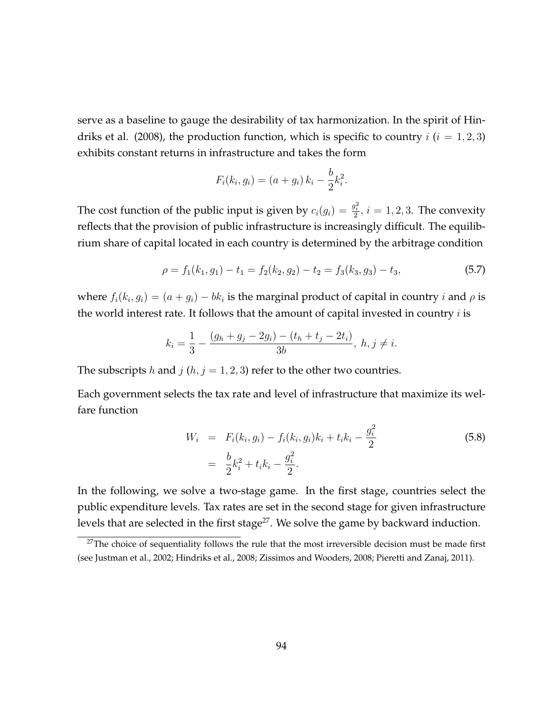serve as a baseline to gauge the desirability of tax harmonization. In the spirit of Hindriks et al. (2008), the production function, which is specific to country  $i$  ( $i = 1, 2, 3$ ) exhibits constant returns in infrastructure and takes the form

$$
F_i(k_i, g_i) = (a + g_i) k_i - \frac{b}{2} k_i^2.
$$

The cost function of the public input is given by  $c_i(g_i) = \frac{g_i^2}{2},\,i=1,2,3.$  The convexity reflects that the provision of public infrastructure is increasingly difficult. The equilibrium share of capital located in each country is determined by the arbitrage condition

$$
\rho = f_1(k_1, g_1) - t_1 = f_2(k_2, g_2) - t_2 = f_3(k_3, g_3) - t_3,
$$
\n(5.7)

where  $f_i(k_i, g_i) = (a + g_i) - bk_i$  is the marginal product of capital in country  $i$  and  $\rho$  is the world interest rate. It follows that the amount of capital invested in country  $i$  is

$$
k_i = \frac{1}{3} - \frac{(g_h + g_j - 2g_i) - (t_h + t_j - 2t_i)}{3b}, \ h, j \neq i.
$$

The subscripts h and  $j$  ( $h$ ,  $j = 1, 2, 3$ ) refer to the other two countries.

Each government selects the tax rate and level of infrastructure that maximize its welfare function

$$
W_i = F_i(k_i, g_i) - f_i(k_i, g_i)k_i + t_ik_i - \frac{g_i^2}{2}
$$
\n
$$
= \frac{b}{2}k_i^2 + t_ik_i - \frac{g_i^2}{2}.
$$
\n(5.8)

In the following, we solve a two-stage game. In the first stage, countries select the public expenditure levels. Tax rates are set in the second stage for given infrastructure levels that are selected in the first stage<sup>27</sup>. We solve the game by backward induction.

 $27$ The choice of sequentiality follows the rule that the most irreversible decision must be made first (see Justman et al., 2002; Hindriks et al., 2008; Zissimos and Wooders, 2008; Pieretti and Zanaj, 2011).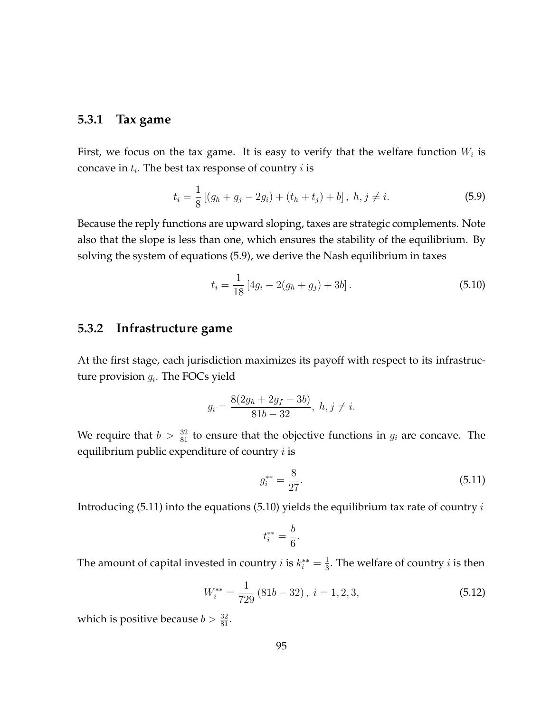## **5.3.1 Tax game**

First, we focus on the tax game. It is easy to verify that the welfare function  $W_i$  is concave in  $t_i$ . The best tax response of country  $i$  is

$$
t_i = \frac{1}{8} \left[ (g_h + g_j - 2g_i) + (t_h + t_j) + b \right], \ h, j \neq i. \tag{5.9}
$$

Because the reply functions are upward sloping, taxes are strategic complements. Note also that the slope is less than one, which ensures the stability of the equilibrium. By solving the system of equations (5.9), we derive the Nash equilibrium in taxes

$$
t_i = \frac{1}{18} \left[ 4g_i - 2(g_h + g_j) + 3b \right]. \tag{5.10}
$$

## **5.3.2 Infrastructure game**

At the first stage, each jurisdiction maximizes its payoff with respect to its infrastructure provision  $g_i$ . The FOCs yield

$$
g_i = \frac{8(2g_h + 2g_f - 3b)}{81b - 32}, \ h, j \neq i.
$$

We require that  $b > \frac{32}{81}$  to ensure that the objective functions in  $g_i$  are concave. The equilibrium public expenditure of country  $i$  is

$$
g_i^{**} = \frac{8}{27}.\tag{5.11}
$$

Introducing (5.11) into the equations (5.10) yields the equilibrium tax rate of country  $i$ 

$$
t_i^{**} = \frac{b}{6}.
$$

The amount of capital invested in country *i* is  $k_i^{**} = \frac{1}{3}$  $\frac{1}{3}$ . The welfare of country *i* is then

$$
W_i^{**} = \frac{1}{729} (81b - 32), \ i = 1, 2, 3,
$$
 (5.12)

which is positive because  $b > \frac{32}{81}$ .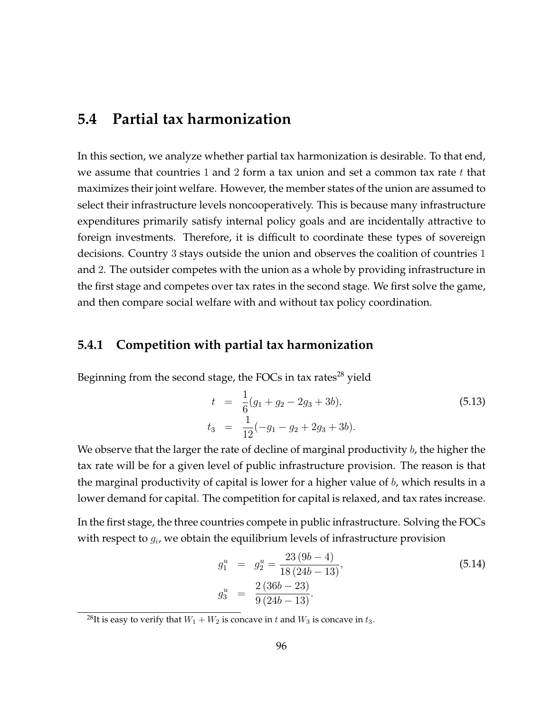## **5.4 Partial tax harmonization**

In this section, we analyze whether partial tax harmonization is desirable. To that end, we assume that countries 1 and 2 form a tax union and set a common tax rate  $t$  that maximizes their joint welfare. However, the member states of the union are assumed to select their infrastructure levels noncooperatively. This is because many infrastructure expenditures primarily satisfy internal policy goals and are incidentally attractive to foreign investments. Therefore, it is difficult to coordinate these types of sovereign decisions. Country 3 stays outside the union and observes the coalition of countries 1 and 2. The outsider competes with the union as a whole by providing infrastructure in the first stage and competes over tax rates in the second stage. We first solve the game, and then compare social welfare with and without tax policy coordination.

#### **5.4.1 Competition with partial tax harmonization**

Beginning from the second stage, the FOCs in tax rates $^{28}$  yield

$$
t = \frac{1}{6}(g_1 + g_2 - 2g_3 + 3b),
$$
  
\n
$$
t_3 = \frac{1}{12}(-g_1 - g_2 + 2g_3 + 3b).
$$
\n(5.13)

We observe that the larger the rate of decline of marginal productivity  $b$ , the higher the tax rate will be for a given level of public infrastructure provision. The reason is that the marginal productivity of capital is lower for a higher value of  $b$ , which results in a lower demand for capital. The competition for capital is relaxed, and tax rates increase.

In the first stage, the three countries compete in public infrastructure. Solving the FOCs with respect to  $g_i$ , we obtain the equilibrium levels of infrastructure provision

$$
g_1^u = g_2^u = \frac{23 (9b - 4)}{18 (24b - 13)},
$$
  
\n
$$
g_3^u = \frac{2 (36b - 23)}{9 (24b - 13)}.
$$
\n(5.14)

<sup>&</sup>lt;sup>28</sup>It is easy to verify that  $W_1 + W_2$  is concave in t and  $W_3$  is concave in  $t_3$ .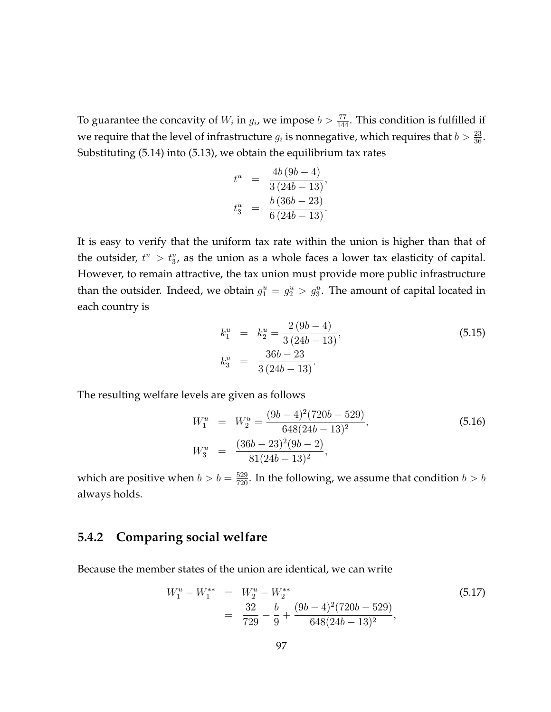To guarantee the concavity of  $W_i$  in  $g_i$ , we impose  $b > \frac{77}{144}$ . This condition is fulfilled if we require that the level of infrastructure  $g_i$  is nonnegative, which requires that  $b > \frac{23}{36}$ . Substituting (5.14) into (5.13), we obtain the equilibrium tax rates

$$
t^{u} = \frac{4b(9b - 4)}{3(24b - 13)},
$$
  

$$
t_{3}^{u} = \frac{b(36b - 23)}{6(24b - 13)}.
$$

It is easy to verify that the uniform tax rate within the union is higher than that of the outsider,  $t^u > t_3^u$ , as the union as a whole faces a lower tax elasticity of capital. However, to remain attractive, the tax union must provide more public infrastructure than the outsider. Indeed, we obtain  $g_1^u = g_2^u > g_3^u$ . The amount of capital located in each country is

$$
k_1^u = k_2^u = \frac{2(9b-4)}{3(24b-13)},
$$
  
\n
$$
k_3^u = \frac{36b-23}{3(24b-13)}.
$$
\n(5.15)

The resulting welfare levels are given as follows

$$
W_1^u = W_2^u = \frac{(9b - 4)^2 (720b - 529)}{648(24b - 13)^2},
$$
  
\n
$$
W_3^u = \frac{(36b - 23)^2 (9b - 2)}{81(24b - 13)^2},
$$
\n(5.16)

which are positive when  $b > \underline{b} = \frac{529}{720}$ . In the following, we assume that condition  $b > \underline{b}$ always holds.

## **5.4.2 Comparing social welfare**

Because the member states of the union are identical, we can write

$$
W_1^u - W_1^{**} = W_2^u - W_2^{**}
$$
  
= 
$$
\frac{32}{729} - \frac{b}{9} + \frac{(9b - 4)^2 (720b - 529)}{648(24b - 13)^2},
$$
 (5.17)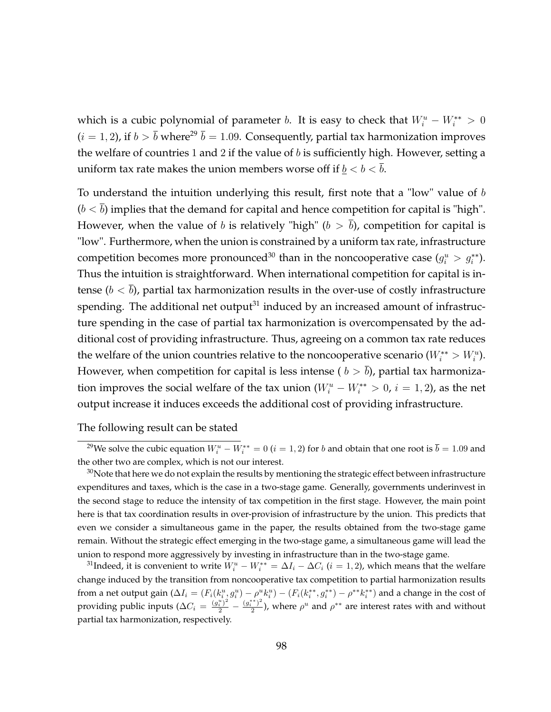which is a cubic polynomial of parameter b. It is easy to check that  $W_i^u - W_i^{**} > 0$  $(i = 1, 2)$ , if  $b > \bar{b}$  where<sup>29</sup>  $\bar{b} = 1.09$ . Consequently, partial tax harmonization improves the welfare of countries 1 and 2 if the value of  $b$  is sufficiently high. However, setting a uniform tax rate makes the union members worse off if  $\underline{b} < b < b$ .

To understand the intuition underlying this result, first note that a "low" value of b  $(b < \overline{b})$  implies that the demand for capital and hence competition for capital is "high". However, when the value of b is relatively "high" ( $b > \bar{b}$ ), competition for capital is "low". Furthermore, when the union is constrained by a uniform tax rate, infrastructure competition becomes more pronounced<sup>30</sup> than in the noncooperative case  $(g_i^u > g_i^{**})$ . Thus the intuition is straightforward. When international competition for capital is intense ( $b < b$ ), partial tax harmonization results in the over-use of costly infrastructure spending. The additional net output $31$  induced by an increased amount of infrastructure spending in the case of partial tax harmonization is overcompensated by the additional cost of providing infrastructure. Thus, agreeing on a common tax rate reduces the welfare of the union countries relative to the noncooperative scenario  $(W_i^{**} > W_i^u)$ . However, when competition for capital is less intense ( $b > \bar{b}$ ), partial tax harmonization improves the social welfare of the tax union  $(W_i^u - W_i^{**} > 0, i = 1, 2)$ , as the net output increase it induces exceeds the additional cost of providing infrastructure.

The following result can be stated

<sup>&</sup>lt;sup>29</sup>We solve the cubic equation  $W_i^u - W_i^{**} = 0$   $(i = 1, 2)$  for b and obtain that one root is  $\bar{b} = 1.09$  and the other two are complex, which is not our interest.

 $30$ Note that here we do not explain the results by mentioning the strategic effect between infrastructure expenditures and taxes, which is the case in a two-stage game. Generally, governments underinvest in the second stage to reduce the intensity of tax competition in the first stage. However, the main point here is that tax coordination results in over-provision of infrastructure by the union. This predicts that even we consider a simultaneous game in the paper, the results obtained from the two-stage game remain. Without the strategic effect emerging in the two-stage game, a simultaneous game will lead the union to respond more aggressively by investing in infrastructure than in the two-stage game.

<sup>&</sup>lt;sup>31</sup>Indeed, it is convenient to write  $W_i^u - W_i^{**} = \Delta I_i - \Delta C_i$  ( $i = 1, 2$ ), which means that the welfare change induced by the transition from noncooperative tax competition to partial harmonization results from a net output gain  $(\Delta I_i = (F_i(k_i^u, g_i^u) - \rho^u k_i^u) - (F_i(k_i^{**}, g_i^{**}) - \rho^{**} k_i^{**})$  and a change in the cost of providing public inputs  $(\Delta C_i = \frac{(g_i^u)^2}{2})$  $\frac{(a_i^*)^2}{2} - \frac{(g_i^*)^2}{2}$  $\frac{1}{2}$ ), where  $\rho^u$  and  $\rho^{**}$  are interest rates with and without partial tax harmonization, respectively.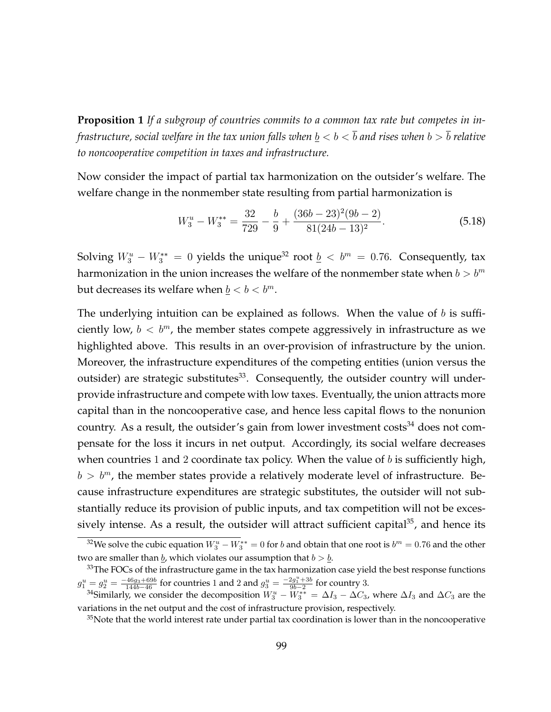**Proposition 1** *If a subgroup of countries commits to a common tax rate but competes in infrastructure, social welfare in the tax union falls when*  $\underline{b} < b < \overline{b}$  and rises when  $b > \overline{b}$  relative *to noncooperative competition in taxes and infrastructure.*

Now consider the impact of partial tax harmonization on the outsider's welfare. The welfare change in the nonmember state resulting from partial harmonization is

$$
W_3^u - W_3^{**} = \frac{32}{729} - \frac{b}{9} + \frac{(36b - 23)^2 (9b - 2)}{81 (24b - 13)^2}.
$$
 (5.18)

Solving  $W_3^u - W_3^{**} = 0$  yields the unique<sup>32</sup> root  $\underline{b} < b^m = 0.76$ . Consequently, tax harmonization in the union increases the welfare of the nonmember state when  $b > b^m$ but decreases its welfare when  $\underline{b} < b < b^m$ .

The underlying intuition can be explained as follows. When the value of  $b$  is sufficiently low,  $b < b^m$ , the member states compete aggressively in infrastructure as we highlighted above. This results in an over-provision of infrastructure by the union. Moreover, the infrastructure expenditures of the competing entities (union versus the outsider) are strategic substitutes<sup>33</sup>. Consequently, the outsider country will underprovide infrastructure and compete with low taxes. Eventually, the union attracts more capital than in the noncooperative case, and hence less capital flows to the nonunion country. As a result, the outsider's gain from lower investment  $costs<sup>34</sup>$  does not compensate for the loss it incurs in net output. Accordingly, its social welfare decreases when countries 1 and 2 coordinate tax policy. When the value of  $b$  is sufficiently high,  $b > b<sup>m</sup>$ , the member states provide a relatively moderate level of infrastructure. Because infrastructure expenditures are strategic substitutes, the outsider will not substantially reduce its provision of public inputs, and tax competition will not be excessively intense. As a result, the outsider will attract sufficient capital<sup>35</sup>, and hence its

<sup>&</sup>lt;sup>32</sup>We solve the cubic equation  $W_3^u - W_3^{**} = 0$  for *b* and obtain that one root is  $b^m = 0.76$  and the other two are smaller than  $\underline{b}$ , which violates our assumption that  $b > \underline{b}$ .

<sup>&</sup>lt;sup>33</sup>The FOCs of the infrastructure game in the tax harmonization case yield the best response functions  $g_1^u = g_2^u = \frac{-46g_3 + 69b}{144b - 46}$  for countries 1 and 2 and  $g_3^u = \frac{-2g_1^u + 3b}{9b - 2}$  $\frac{2g_1+3g}{9b-2}$  for country 3.

<sup>&</sup>lt;sup>34</sup>Similarly, we consider the decomposition  $W_3^u - W_3^{**} = \Delta I_3 - \Delta C_3$ , where  $\Delta I_3$  and  $\Delta C_3$  are the variations in the net output and the cost of infrastructure provision, respectively.

 $35$ Note that the world interest rate under partial tax coordination is lower than in the noncooperative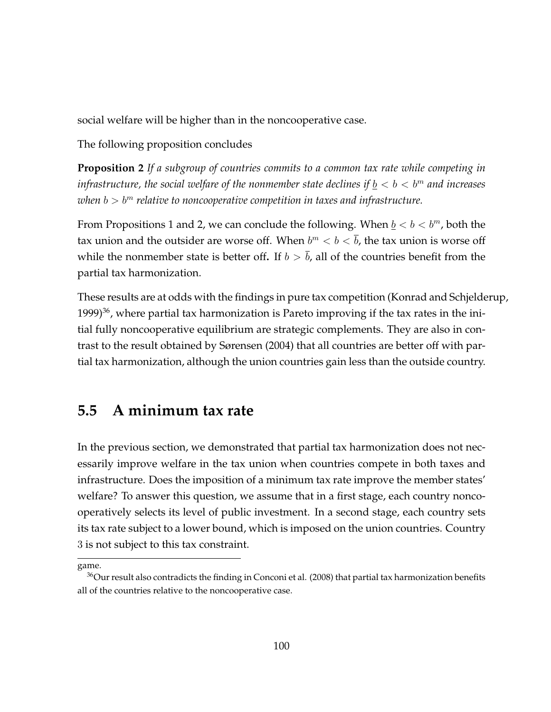social welfare will be higher than in the noncooperative case.

The following proposition concludes

**Proposition 2** *If a subgroup of countries commits to a common tax rate while competing in infrastructure, the social welfare of the nonmember state declines if*  $b < b < b^m$  *and increases when*  $b > b^m$  *relative* to noncooperative competition in taxes and infrastructure.

From Propositions 1 and 2, we can conclude the following. When  $\underline{b} < b < b^m$ , both the tax union and the outsider are worse off. When  $b^m < b < \overline{b}$ , the tax union is worse off while the nonmember state is better off. If  $b > \overline{b}$ , all of the countries benefit from the partial tax harmonization.

These results are at odds with the findings in pure tax competition (Konrad and Schjelderup,  $1999$ <sup>36</sup>, where partial tax harmonization is Pareto improving if the tax rates in the initial fully noncooperative equilibrium are strategic complements. They are also in contrast to the result obtained by Sørensen (2004) that all countries are better off with partial tax harmonization, although the union countries gain less than the outside country.

## **5.5 A minimum tax rate**

In the previous section, we demonstrated that partial tax harmonization does not necessarily improve welfare in the tax union when countries compete in both taxes and infrastructure. Does the imposition of a minimum tax rate improve the member states' welfare? To answer this question, we assume that in a first stage, each country noncooperatively selects its level of public investment. In a second stage, each country sets its tax rate subject to a lower bound, which is imposed on the union countries. Country 3 is not subject to this tax constraint.

game.

 $36$ Our result also contradicts the finding in Conconi et al. (2008) that partial tax harmonization benefits all of the countries relative to the noncooperative case.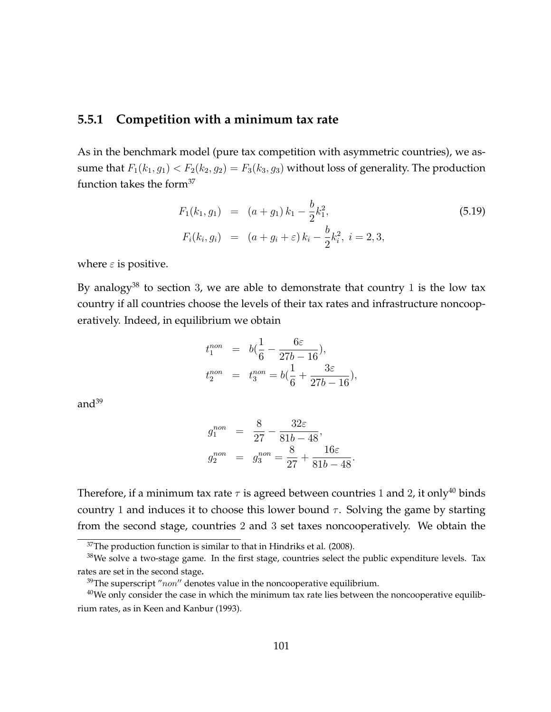## **5.5.1 Competition with a minimum tax rate**

As in the benchmark model (pure tax competition with asymmetric countries), we assume that  $F_1(k_1, g_1) < F_2(k_2, g_2) = F_3(k_3, g_3)$  without loss of generality. The production function takes the form $37$ 

$$
F_1(k_1, g_1) = (a + g_1) k_1 - \frac{b}{2} k_1^2,
$$
  
\n
$$
F_i(k_i, g_i) = (a + g_i + \varepsilon) k_i - \frac{b}{2} k_i^2, i = 2, 3,
$$
\n(5.19)

where  $\varepsilon$  is positive.

By analogy<sup>38</sup> to section 3, we are able to demonstrate that country 1 is the low tax country if all countries choose the levels of their tax rates and infrastructure noncooperatively. Indeed, in equilibrium we obtain

$$
t_1^{nom} = b(\frac{1}{6} - \frac{6\varepsilon}{27b - 16}),
$$
  
\n
$$
t_2^{nom} = t_3^{nom} = b(\frac{1}{6} + \frac{3\varepsilon}{27b - 16}),
$$

and $39$ 

$$
g_1^{non} = \frac{8}{27} - \frac{32\varepsilon}{81b - 48},
$$
  

$$
g_2^{non} = g_3^{non} = \frac{8}{27} + \frac{16\varepsilon}{81b - 48}.
$$

Therefore, if a minimum tax rate  $\tau$  is agreed between countries 1 and 2, it only<sup>40</sup> binds country 1 and induces it to choose this lower bound  $\tau$ . Solving the game by starting from the second stage, countries 2 and 3 set taxes noncooperatively. We obtain the

 $37$ The production function is similar to that in Hindriks et al. (2008).

 $38$ We solve a two-stage game. In the first stage, countries select the public expenditure levels. Tax rates are set in the second stage**.**

 $39$ The superscript "non" denotes value in the noncooperative equilibrium.

 $40$ We only consider the case in which the minimum tax rate lies between the noncooperative equilibrium rates, as in Keen and Kanbur (1993).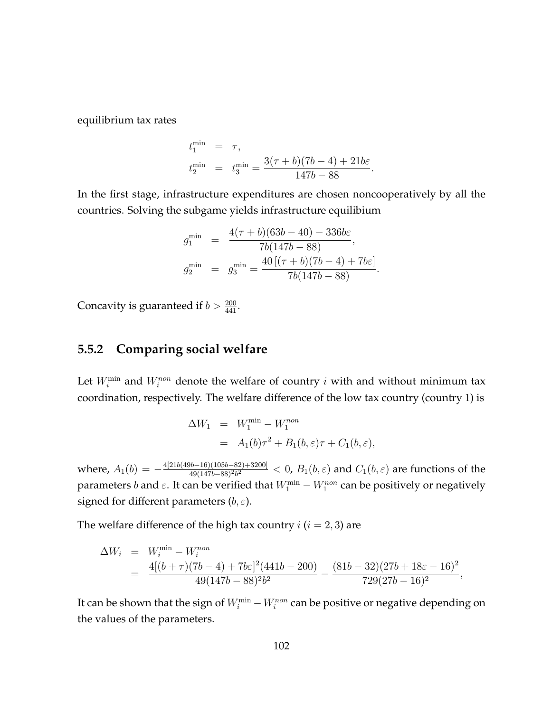equilibrium tax rates

$$
t_1^{\min} = \tau,
$$
  
\n
$$
t_2^{\min} = t_3^{\min} = \frac{3(\tau + b)(7b - 4) + 21b\varepsilon}{147b - 88}.
$$

In the first stage, infrastructure expenditures are chosen noncooperatively by all the countries. Solving the subgame yields infrastructure equilibium

$$
g_1^{\min} = \frac{4(\tau + b)(63b - 40) - 336b\varepsilon}{7b(147b - 88)},
$$
  
\n
$$
g_2^{\min} = g_3^{\min} = \frac{40\left[ (\tau + b)(7b - 4) + 7b\varepsilon \right]}{7b(147b - 88)}.
$$

Concavity is guaranteed if  $b > \frac{200}{441}$ .

## **5.5.2 Comparing social welfare**

Let  $W_i^{\min}$  and  $W_i^{non}$  denote the welfare of country i with and without minimum tax coordination, respectively. The welfare difference of the low tax country (country 1) is

$$
\Delta W_1 = W_1^{\min} - W_1^{non}
$$
  
=  $A_1(b)\tau^2 + B_1(b,\varepsilon)\tau + C_1(b,\varepsilon),$ 

where,  $A_1(b) = -\frac{4[21b(49b-16)(105b-82)+3200]}{49(147b-88)^2b^2} < 0$ ,  $B_1(b,\varepsilon)$  and  $C_1(b,\varepsilon)$  are functions of the parameters  $b$  and  $\varepsilon$ . It can be verified that  $W^{\min}_1 - W^{non}_1$  can be positively or negatively signed for different parameters  $(b, \varepsilon)$ .

The welfare difference of the high tax country  $i$  ( $i = 2, 3$ ) are

$$
\Delta W_i = W_i^{\min} - W_i^{\min}
$$
  
= 
$$
\frac{4[(b+\tau)(7b-4) + 7b\varepsilon]^2 (441b - 200)}{49(147b - 88)^2 b^2} - \frac{(81b - 32)(27b + 18\varepsilon - 16)^2}{729(27b - 16)^2},
$$

It can be shown that the sign of  $W_i^{\min}-W_i^{non}$  can be positive or negative depending on the values of the parameters.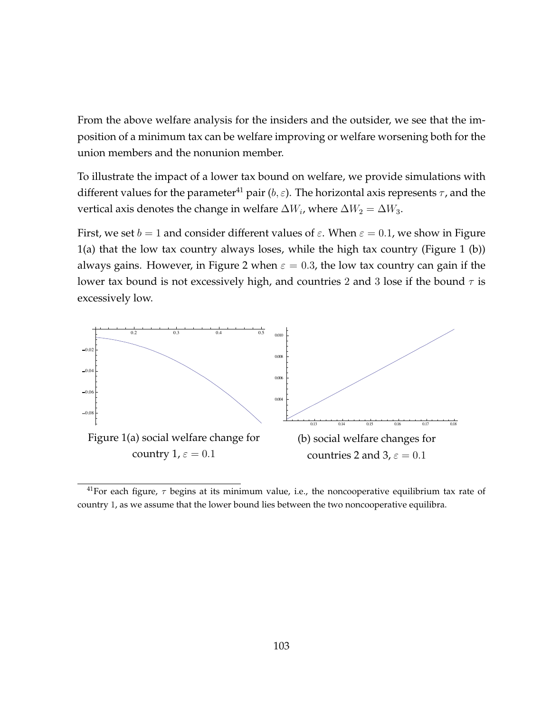From the above welfare analysis for the insiders and the outsider, we see that the imposition of a minimum tax can be welfare improving or welfare worsening both for the union members and the nonunion member.

To illustrate the impact of a lower tax bound on welfare, we provide simulations with different values for the parameter<sup>41</sup> pair ( $b, \varepsilon$ ). The horizontal axis represents  $\tau$ , and the vertical axis denotes the change in welfare  $\Delta W_i$ , where  $\Delta W_2 = \Delta W_3$ .

First, we set  $b = 1$  and consider different values of  $\varepsilon$ . When  $\varepsilon = 0.1$ , we show in Figure 1(a) that the low tax country always loses, while the high tax country (Figure 1 (b)) always gains. However, in Figure 2 when  $\varepsilon = 0.3$ , the low tax country can gain if the lower tax bound is not excessively high, and countries 2 and 3 lose if the bound  $\tau$  is excessively low.



<sup>&</sup>lt;sup>41</sup>For each figure,  $\tau$  begins at its minimum value, i.e., the noncooperative equilibrium tax rate of country 1, as we assume that the lower bound lies between the two noncooperative equilibra.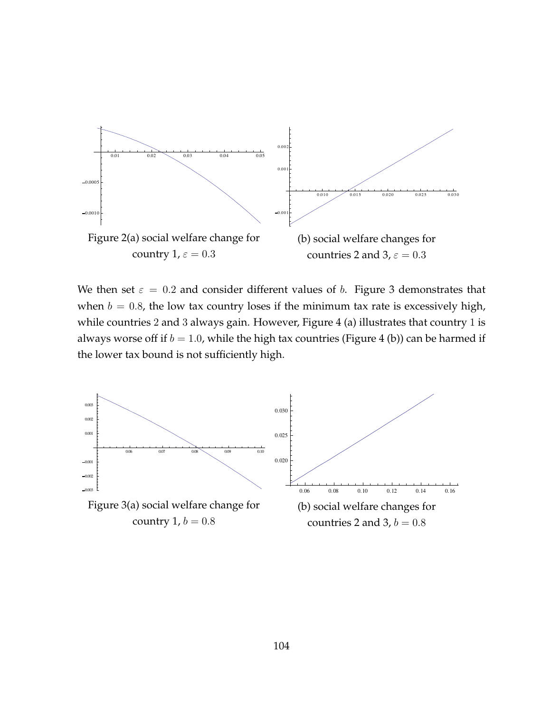

We then set  $\varepsilon = 0.2$  and consider different values of b. Figure 3 demonstrates that when  $b = 0.8$ , the low tax country loses if the minimum tax rate is excessively high, while countries 2 and 3 always gain. However, Figure 4 (a) illustrates that country 1 is always worse off if  $b = 1.0$ , while the high tax countries (Figure 4 (b)) can be harmed if the lower tax bound is not sufficiently high.

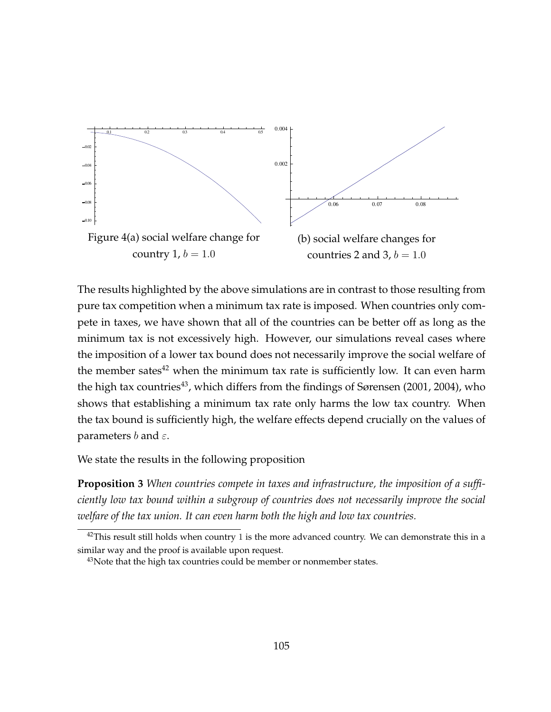

The results highlighted by the above simulations are in contrast to those resulting from pure tax competition when a minimum tax rate is imposed*.* When countries only compete in taxes, we have shown that all of the countries can be better off as long as the minimum tax is not excessively high. However, our simulations reveal cases where the imposition of a lower tax bound does not necessarily improve the social welfare of the member sates $42$  when the minimum tax rate is sufficiently low. It can even harm the high tax countries<sup>43</sup>, which differs from the findings of Sørensen (2001, 2004), who shows that establishing a minimum tax rate only harms the low tax country. When the tax bound is sufficiently high, the welfare effects depend crucially on the values of parameters b and  $\varepsilon$ .

We state the results in the following proposition

**Proposition 3** *When countries compete in taxes and infrastructure, the imposition of a sufficiently low tax bound within a subgroup of countries does not necessarily improve the social welfare of the tax union. It can even harm both the high and low tax countries.*

 $42$ This result still holds when country 1 is the more advanced country. We can demonstrate this in a similar way and the proof is available upon request.

 $43$ Note that the high tax countries could be member or nonmember states.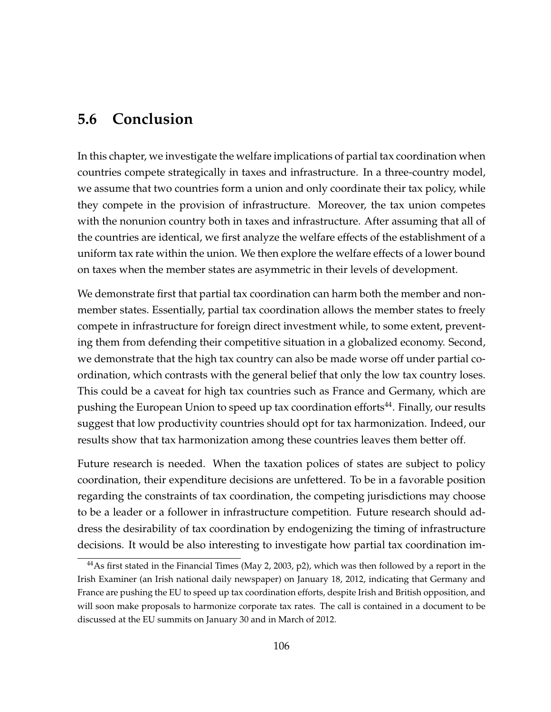## **5.6 Conclusion**

In this chapter, we investigate the welfare implications of partial tax coordination when countries compete strategically in taxes and infrastructure. In a three-country model, we assume that two countries form a union and only coordinate their tax policy, while they compete in the provision of infrastructure. Moreover, the tax union competes with the nonunion country both in taxes and infrastructure. After assuming that all of the countries are identical, we first analyze the welfare effects of the establishment of a uniform tax rate within the union. We then explore the welfare effects of a lower bound on taxes when the member states are asymmetric in their levels of development.

We demonstrate first that partial tax coordination can harm both the member and nonmember states. Essentially, partial tax coordination allows the member states to freely compete in infrastructure for foreign direct investment while, to some extent, preventing them from defending their competitive situation in a globalized economy. Second, we demonstrate that the high tax country can also be made worse off under partial coordination, which contrasts with the general belief that only the low tax country loses. This could be a caveat for high tax countries such as France and Germany, which are pushing the European Union to speed up tax coordination efforts<sup>44</sup>. Finally, our results suggest that low productivity countries should opt for tax harmonization. Indeed, our results show that tax harmonization among these countries leaves them better off.

Future research is needed. When the taxation polices of states are subject to policy coordination, their expenditure decisions are unfettered. To be in a favorable position regarding the constraints of tax coordination, the competing jurisdictions may choose to be a leader or a follower in infrastructure competition. Future research should address the desirability of tax coordination by endogenizing the timing of infrastructure decisions. It would be also interesting to investigate how partial tax coordination im-

<sup>&</sup>lt;sup>44</sup>As first stated in the Financial Times (May 2, 2003, p2), which was then followed by a report in the Irish Examiner (an Irish national daily newspaper) on January 18, 2012, indicating that Germany and France are pushing the EU to speed up tax coordination efforts, despite Irish and British opposition, and will soon make proposals to harmonize corporate tax rates. The call is contained in a document to be discussed at the EU summits on January 30 and in March of 2012.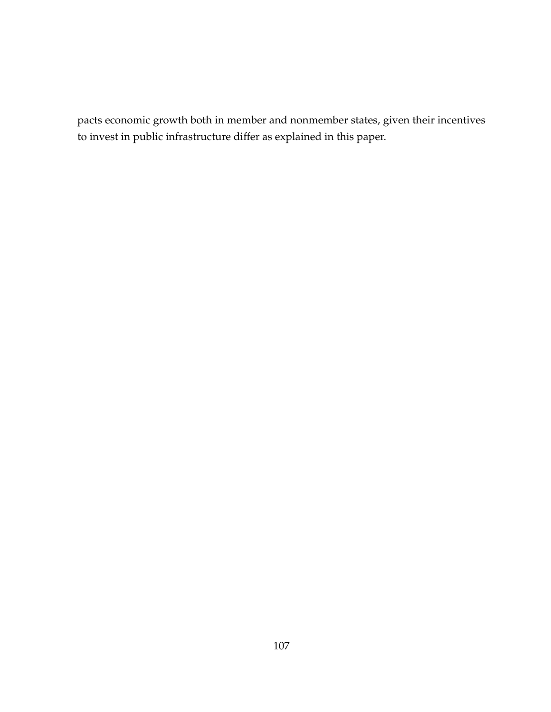pacts economic growth both in member and nonmember states, given their incentives to invest in public infrastructure differ as explained in this paper.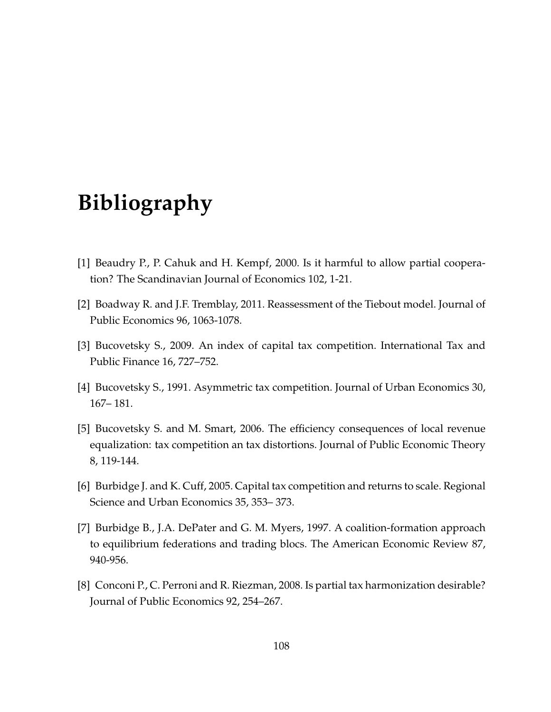# **Bibliography**

- [1] Beaudry P., P. Cahuk and H. Kempf, 2000. Is it harmful to allow partial cooperation? The Scandinavian Journal of Economics 102, 1-21.
- [2] Boadway R. and J.F. Tremblay, 2011. Reassessment of the Tiebout model. Journal of Public Economics 96, 1063-1078.
- [3] Bucovetsky S., 2009. An index of capital tax competition. International Tax and Public Finance 16, 727–752.
- [4] Bucovetsky S., 1991. Asymmetric tax competition. Journal of Urban Economics 30, 167– 181.
- [5] Bucovetsky S. and M. Smart, 2006. The efficiency consequences of local revenue equalization: tax competition an tax distortions. Journal of Public Economic Theory 8, 119-144.
- [6] Burbidge J. and K. Cuff, 2005. Capital tax competition and returns to scale. Regional Science and Urban Economics 35, 353– 373.
- [7] Burbidge B., J.A. DePater and G. M. Myers, 1997. A coalition-formation approach to equilibrium federations and trading blocs. The American Economic Review 87, 940-956.
- [8] Conconi P., C. Perroni and R. Riezman, 2008. Is partial tax harmonization desirable? Journal of Public Economics 92, 254–267.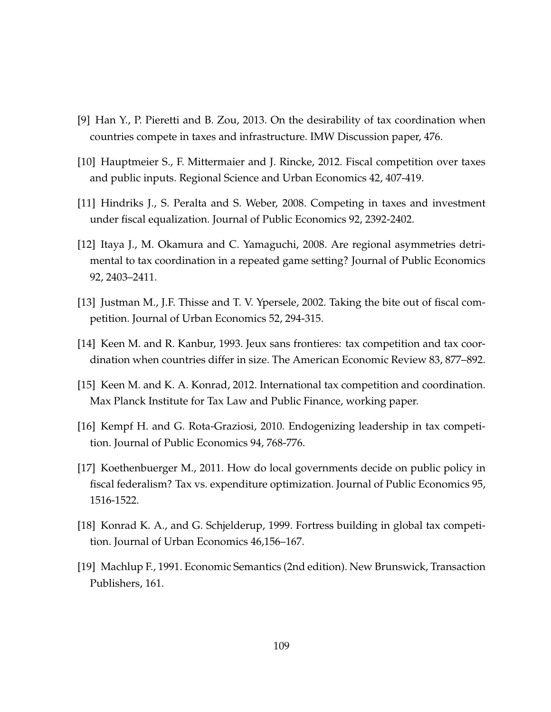- [9] Han Y., P. Pieretti and B. Zou, 2013. On the desirability of tax coordination when countries compete in taxes and infrastructure. IMW Discussion paper, 476.
- [10] Hauptmeier S., F. Mittermaier and J. Rincke, 2012. Fiscal competition over taxes and public inputs. Regional Science and Urban Economics 42, 407-419.
- [11] Hindriks J., S. Peralta and S. Weber, 2008. Competing in taxes and investment under fiscal equalization. Journal of Public Economics 92, 2392-2402.
- [12] Itaya J., M. Okamura and C. Yamaguchi, 2008. Are regional asymmetries detrimental to tax coordination in a repeated game setting? Journal of Public Economics 92, 2403–2411.
- [13] Justman M., J.F. Thisse and T. V. Ypersele, 2002. Taking the bite out of fiscal competition. Journal of Urban Economics 52, 294-315.
- [14] Keen M. and R. Kanbur, 1993. Jeux sans frontieres: tax competition and tax coordination when countries differ in size. The American Economic Review 83, 877–892.
- [15] Keen M. and K. A. Konrad, 2012. International tax competition and coordination. Max Planck Institute for Tax Law and Public Finance, working paper.
- [16] Kempf H. and G. Rota-Graziosi, 2010. Endogenizing leadership in tax competition. Journal of Public Economics 94, 768-776.
- [17] Koethenbuerger M., 2011. How do local governments decide on public policy in fiscal federalism? Tax vs. expenditure optimization. Journal of Public Economics 95, 1516-1522.
- [18] Konrad K. A., and G. Schjelderup, 1999. Fortress building in global tax competition. Journal of Urban Economics 46,156–167.
- [19] Machlup F., 1991. Economic Semantics (2nd edition). New Brunswick, Transaction Publishers, 161.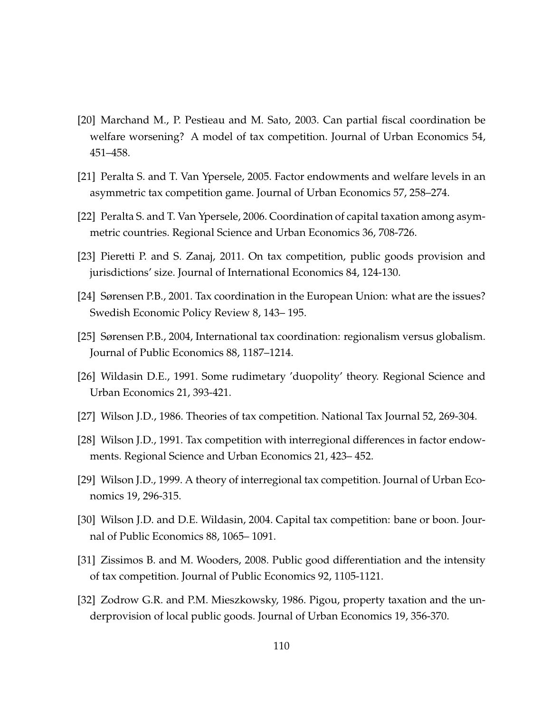- [20] Marchand M., P. Pestieau and M. Sato, 2003. Can partial fiscal coordination be welfare worsening? A model of tax competition. Journal of Urban Economics 54, 451–458.
- [21] Peralta S. and T. Van Ypersele, 2005. Factor endowments and welfare levels in an asymmetric tax competition game. Journal of Urban Economics 57, 258–274.
- [22] Peralta S. and T. Van Ypersele, 2006. Coordination of capital taxation among asymmetric countries. Regional Science and Urban Economics 36, 708-726.
- [23] Pieretti P. and S. Zanaj, 2011. On tax competition, public goods provision and jurisdictions' size. Journal of International Economics 84, 124-130.
- [24] Sørensen P.B., 2001. Tax coordination in the European Union: what are the issues? Swedish Economic Policy Review 8, 143– 195.
- [25] Sørensen P.B., 2004, International tax coordination: regionalism versus globalism. Journal of Public Economics 88, 1187–1214.
- [26] Wildasin D.E., 1991. Some rudimetary 'duopolity' theory. Regional Science and Urban Economics 21, 393-421.
- [27] Wilson J.D., 1986. Theories of tax competition. National Tax Journal 52, 269-304.
- [28] Wilson J.D., 1991. Tax competition with interregional differences in factor endowments. Regional Science and Urban Economics 21, 423– 452.
- [29] Wilson J.D., 1999. A theory of interregional tax competition. Journal of Urban Economics 19, 296-315.
- [30] Wilson J.D. and D.E. Wildasin, 2004. Capital tax competition: bane or boon. Journal of Public Economics 88, 1065– 1091.
- [31] Zissimos B. and M. Wooders, 2008. Public good differentiation and the intensity of tax competition. Journal of Public Economics 92, 1105-1121.
- [32] Zodrow G.R. and P.M. Mieszkowsky, 1986. Pigou, property taxation and the underprovision of local public goods. Journal of Urban Economics 19, 356-370.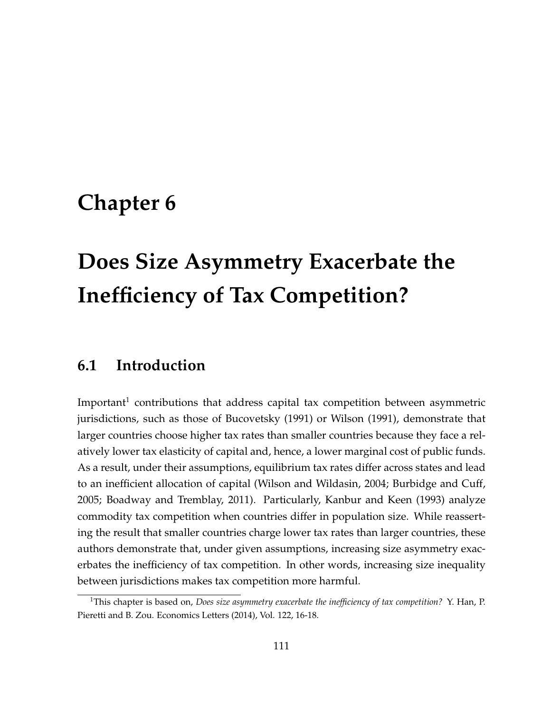## **Chapter 6**

# **Does Size Asymmetry Exacerbate the Inefficiency of Tax Competition?**

## **6.1 Introduction**

Important<sup>1</sup> contributions that address capital tax competition between asymmetric jurisdictions, such as those of Bucovetsky (1991) or Wilson (1991), demonstrate that larger countries choose higher tax rates than smaller countries because they face a relatively lower tax elasticity of capital and, hence, a lower marginal cost of public funds. As a result, under their assumptions, equilibrium tax rates differ across states and lead to an inefficient allocation of capital (Wilson and Wildasin, 2004; Burbidge and Cuff, 2005; Boadway and Tremblay, 2011). Particularly, Kanbur and Keen (1993) analyze commodity tax competition when countries differ in population size. While reasserting the result that smaller countries charge lower tax rates than larger countries, these authors demonstrate that, under given assumptions, increasing size asymmetry exacerbates the inefficiency of tax competition. In other words, increasing size inequality between jurisdictions makes tax competition more harmful.

<sup>1</sup>This chapter is based on, *Does size asymmetry exacerbate the inefficiency of tax competition?* Y. Han, P. Pieretti and B. Zou. Economics Letters (2014), Vol. 122, 16-18.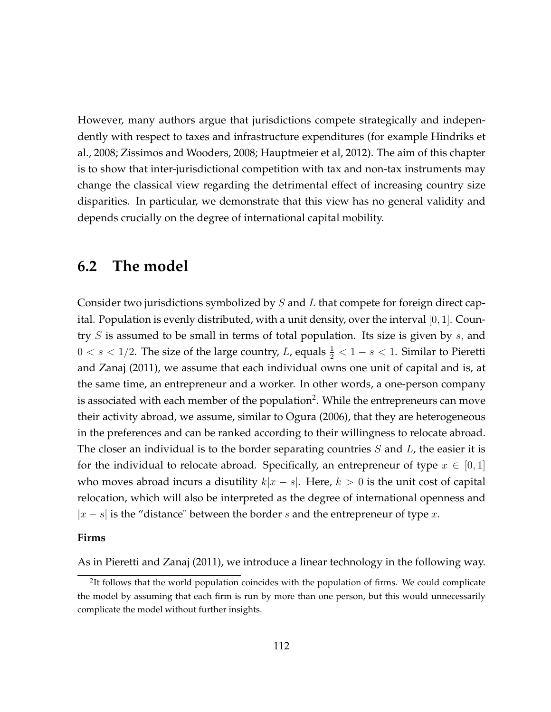However, many authors argue that jurisdictions compete strategically and independently with respect to taxes and infrastructure expenditures (for example Hindriks et al., 2008; Zissimos and Wooders, 2008; Hauptmeier et al, 2012). The aim of this chapter is to show that inter-jurisdictional competition with tax and non-tax instruments may change the classical view regarding the detrimental effect of increasing country size disparities. In particular, we demonstrate that this view has no general validity and depends crucially on the degree of international capital mobility.

### **6.2 The model**

Consider two jurisdictions symbolized by  $S$  and  $L$  that compete for foreign direct capital. Population is evenly distributed, with a unit density, over the interval  $[0, 1]$ . Country  $S$  is assumed to be small in terms of total population. Its size is given by  $s$ , and  $0 < s < 1/2$ . The size of the large country, L, equals  $\frac{1}{2} < 1 - s < 1$ . Similar to Pieretti and Zanaj (2011), we assume that each individual owns one unit of capital and is, at the same time, an entrepreneur and a worker. In other words, a one-person company is associated with each member of the population $^2.$  While the entrepreneurs can move their activity abroad, we assume, similar to Ogura (2006), that they are heterogeneous in the preferences and can be ranked according to their willingness to relocate abroad. The closer an individual is to the border separating countries  $S$  and  $L$ , the easier it is for the individual to relocate abroad. Specifically, an entrepreneur of type  $x \in [0, 1]$ who moves abroad incurs a disutility  $k|x - s|$ . Here,  $k > 0$  is the unit cost of capital relocation, which will also be interpreted as the degree of international openness and  $|x - s|$  is the "distance" between the border s and the entrepreneur of type x.

#### **Firms**

As in Pieretti and Zanaj (2011), we introduce a linear technology in the following way.

<sup>&</sup>lt;sup>2</sup>It follows that the world population coincides with the population of firms. We could complicate the model by assuming that each firm is run by more than one person, but this would unnecessarily complicate the model without further insights.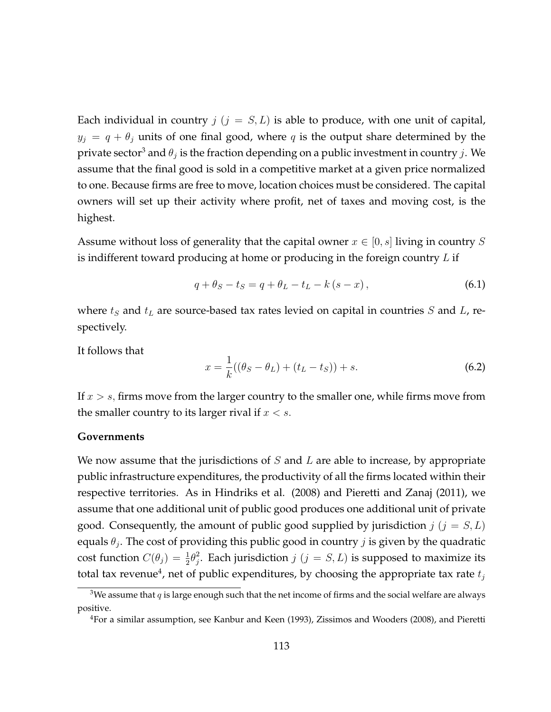Each individual in country  $j$  ( $j = S, L$ ) is able to produce, with one unit of capital,  $y_j = q + \theta_j$  units of one final good, where q is the output share determined by the private sector $^3$  and  $\theta_j$  is the fraction depending on a public investment in country  $j.$  We assume that the final good is sold in a competitive market at a given price normalized to one. Because firms are free to move, location choices must be considered. The capital owners will set up their activity where profit, net of taxes and moving cost, is the highest.

Assume without loss of generality that the capital owner  $x \in [0, s]$  living in country S is indifferent toward producing at home or producing in the foreign country  $L$  if

$$
q + \theta_S - t_S = q + \theta_L - t_L - k(s - x), \qquad (6.1)
$$

where  $t<sub>S</sub>$  and  $t<sub>L</sub>$  are source-based tax rates levied on capital in countries S and L, respectively.

It follows that

$$
x = \frac{1}{k}((\theta_S - \theta_L) + (t_L - t_S)) + s.
$$
 (6.2)

If  $x > s$ , firms move from the larger country to the smaller one, while firms move from the smaller country to its larger rival if  $x < s$ .

#### **Governments**

We now assume that the jurisdictions of  $S$  and  $L$  are able to increase, by appropriate public infrastructure expenditures, the productivity of all the firms located within their respective territories. As in Hindriks et al. (2008) and Pieretti and Zanaj (2011), we assume that one additional unit of public good produces one additional unit of private good. Consequently, the amount of public good supplied by jurisdiction  $j$  ( $j = S, L$ ) equals  $\theta_j$ . The cost of providing this public good in country  $j$  is given by the quadratic cost function  $C(\theta_j) = \frac{1}{2}\theta_j^2$ . Each jurisdiction  $j$   $(j = S, L)$  is supposed to maximize its total tax revenue<sup>4</sup>, net of public expenditures, by choosing the appropriate tax rate  $t_j$ 

<sup>&</sup>lt;sup>3</sup>We assume that q is large enough such that the net income of firms and the social welfare are always positive.

<sup>4</sup>For a similar assumption, see Kanbur and Keen (1993), Zissimos and Wooders (2008), and Pieretti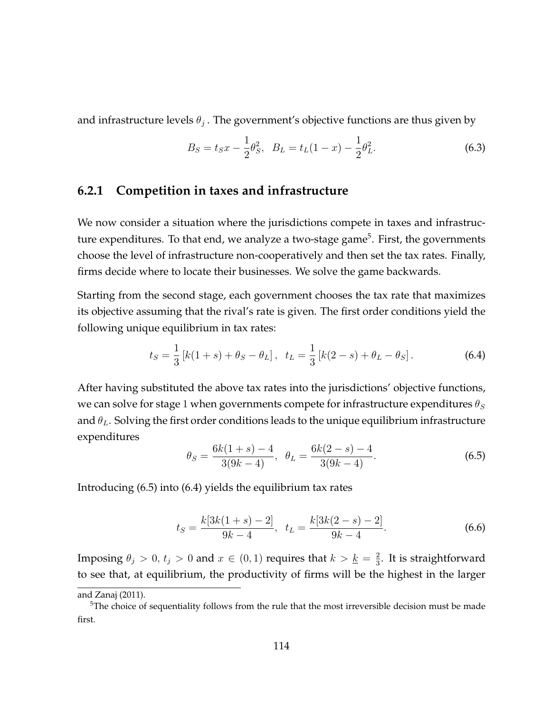and infrastructure levels  $\theta_j$  . The government's objective functions are thus given by

$$
B_S = t_S x - \frac{1}{2} \theta_S^2, \quad B_L = t_L (1 - x) - \frac{1}{2} \theta_L^2. \tag{6.3}
$$

#### **6.2.1 Competition in taxes and infrastructure**

We now consider a situation where the jurisdictions compete in taxes and infrastructure expenditures. To that end, we analyze a two-stage game<sup>5</sup>. First, the governments choose the level of infrastructure non-cooperatively and then set the tax rates. Finally, firms decide where to locate their businesses. We solve the game backwards.

Starting from the second stage, each government chooses the tax rate that maximizes its objective assuming that the rival's rate is given. The first order conditions yield the following unique equilibrium in tax rates:

$$
t_S = \frac{1}{3} [k(1+s) + \theta_S - \theta_L], \quad t_L = \frac{1}{3} [k(2-s) + \theta_L - \theta_S]. \tag{6.4}
$$

After having substituted the above tax rates into the jurisdictions' objective functions, we can solve for stage 1 when governments compete for infrastructure expenditures  $\theta_S$ and  $\theta_L$ . Solving the first order conditions leads to the unique equilibrium infrastructure expenditures

$$
\theta_S = \frac{6k(1+s) - 4}{3(9k-4)}, \ \ \theta_L = \frac{6k(2-s) - 4}{3(9k-4)}.
$$
\n(6.5)

Introducing (6.5) into (6.4) yields the equilibrium tax rates

$$
t_S = \frac{k[3k(1+s)-2]}{9k-4}, \ \ t_L = \frac{k[3k(2-s)-2]}{9k-4}.
$$
\n
$$
(6.6)
$$

Imposing  $\theta_j > 0$ ,  $t_j > 0$  and  $x \in (0,1)$  requires that  $k > \underline{k} = \frac{2}{3}$  $\frac{2}{3}$ . It is straightforward to see that, at equilibrium, the productivity of firms will be the highest in the larger

and Zanaj (2011).

 $5$ The choice of sequentiality follows from the rule that the most irreversible decision must be made first.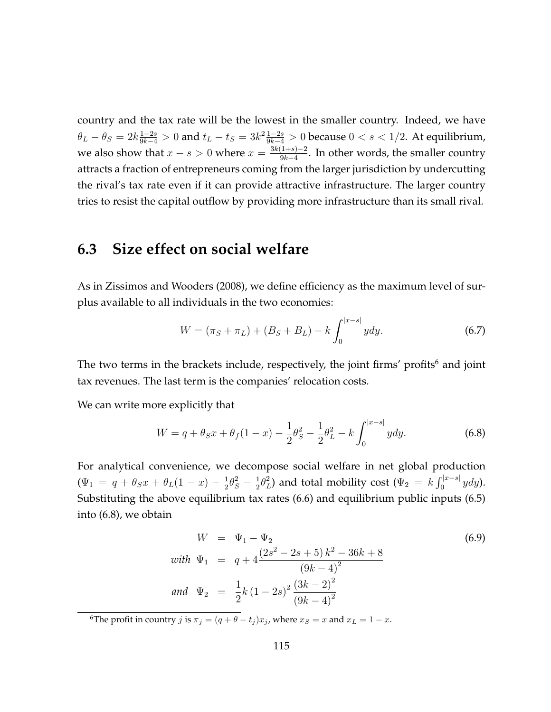country and the tax rate will be the lowest in the smaller country. Indeed, we have  $\theta_L - \theta_S = 2k \frac{1-2s}{9k-4} > 0$  and  $t_L - t_S = 3k^2 \frac{1-2s}{9k-4} > 0$  because  $0 < s < 1/2$ . At equilibrium, we also show that  $x - s > 0$  where  $x = \frac{3k(1+s)-2}{9k-4}$  $\frac{1+s-2}{9k-4}$ . In other words, the smaller country attracts a fraction of entrepreneurs coming from the larger jurisdiction by undercutting the rival's tax rate even if it can provide attractive infrastructure. The larger country tries to resist the capital outflow by providing more infrastructure than its small rival.

## **6.3 Size effect on social welfare**

As in Zissimos and Wooders (2008), we define efficiency as the maximum level of surplus available to all individuals in the two economies:

$$
W = (\pi_S + \pi_L) + (B_S + B_L) - k \int_0^{|x-s|} y dy.
$$
 (6.7)

The two terms in the brackets include, respectively, the joint firms' profits $6$  and joint tax revenues. The last term is the companies' relocation costs.

We can write more explicitly that

$$
W = q + \theta_S x + \theta_f (1 - x) - \frac{1}{2} \theta_S^2 - \frac{1}{2} \theta_L^2 - k \int_0^{|x - s|} y dy.
$$
 (6.8)

For analytical convenience, we decompose social welfare in net global production  $(\Psi_1 = q + \theta_S x + \theta_L(1 - x) - \frac{1}{2})$  $\frac{1}{2}\theta_{S}^{2} - \frac{1}{2}$  $\frac{1}{2}\theta_L^2$ ) and total mobility cost ( $\Psi_2 = k \int_0^{|x-s|} y dy$ ). Substituting the above equilibrium tax rates (6.6) and equilibrium public inputs (6.5) into (6.8), we obtain

$$
W = \Psi_1 - \Psi_2
$$
  
\nwith  $\Psi_1 = q + 4 \frac{(2s^2 - 2s + 5)k^2 - 36k + 8}{(9k - 4)^2}$   
\nand  $\Psi_2 = \frac{1}{2}k(1 - 2s)^2 \frac{(3k - 2)^2}{(9k - 4)^2}$  (6.9)

<sup>6</sup>The profit in country *j* is  $\pi_j = (q + \theta - t_j)x_j$ , where  $x_S = x$  and  $x_L = 1 - x$ .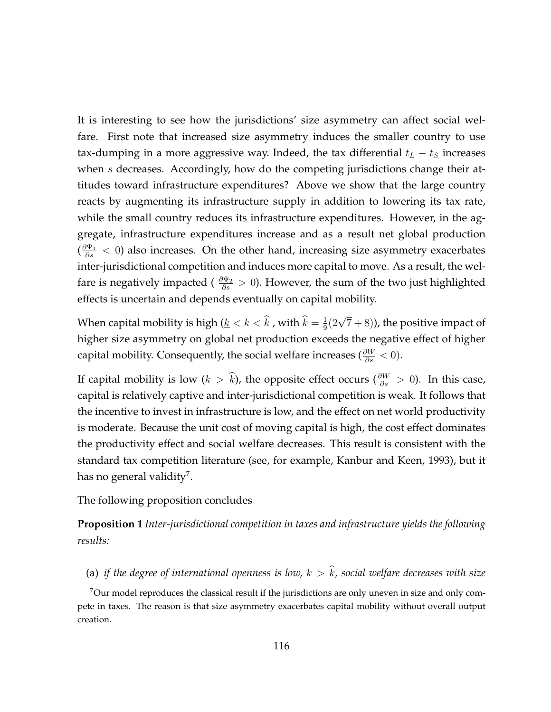It is interesting to see how the jurisdictions' size asymmetry can affect social welfare. First note that increased size asymmetry induces the smaller country to use tax-dumping in a more aggressive way. Indeed, the tax differential  $t_L - t_S$  increases when *s* decreases. Accordingly, how do the competing jurisdictions change their attitudes toward infrastructure expenditures? Above we show that the large country reacts by augmenting its infrastructure supply in addition to lowering its tax rate, while the small country reduces its infrastructure expenditures. However, in the aggregate, infrastructure expenditures increase and as a result net global production  $(\frac{\partial \Psi_1}{\partial s} < 0)$  also increases. On the other hand, increasing size asymmetry exacerbates inter-jurisdictional competition and induces more capital to move. As a result, the welfare is negatively impacted (  $\frac{\partial \Psi_2}{\partial s} > 0$ ). However, the sum of the two just highlighted effects is uncertain and depends eventually on capital mobility.

When capital mobility is high ( $\underline{k} < k < \widehat{k}$  , with  $\widehat{k} = \frac{1}{9}$  $\frac{1}{9}(2\sqrt{7}+8)$ ), the positive impact of higher size asymmetry on global net production exceeds the negative effect of higher capital mobility. Consequently, the social welfare increases  $(\frac{\partial W}{\partial s} < 0)$ .

If capital mobility is low  $(k > \hat{k})$ , the opposite effect occurs  $(\frac{\partial W}{\partial s} > 0)$ . In this case, capital is relatively captive and inter-jurisdictional competition is weak. It follows that the incentive to invest in infrastructure is low, and the effect on net world productivity is moderate. Because the unit cost of moving capital is high, the cost effect dominates the productivity effect and social welfare decreases. This result is consistent with the standard tax competition literature (see, for example, Kanbur and Keen, 1993), but it has no general validity<sup>7</sup>.

The following proposition concludes

**Proposition 1** *Inter-jurisdictional competition in taxes and infrastructure yields the following results:*

(a) *if the degree of international openness is low,*  $k > \hat{k}$ *, social welfare decreases with size* 

 $7$ Our model reproduces the classical result if the jurisdictions are only uneven in size and only compete in taxes. The reason is that size asymmetry exacerbates capital mobility without overall output creation.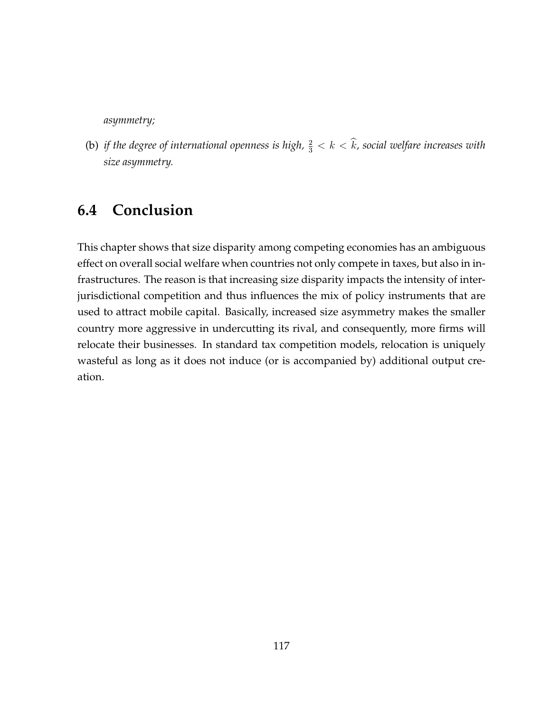*asymmetry;*

(b) if the degree of international openness is high,  $\frac{2}{3} < k < \widehat{k}$ , social welfare increases with *size asymmetry.*

## **6.4 Conclusion**

This chapter shows that size disparity among competing economies has an ambiguous effect on overall social welfare when countries not only compete in taxes, but also in infrastructures. The reason is that increasing size disparity impacts the intensity of interjurisdictional competition and thus influences the mix of policy instruments that are used to attract mobile capital. Basically, increased size asymmetry makes the smaller country more aggressive in undercutting its rival, and consequently, more firms will relocate their businesses. In standard tax competition models, relocation is uniquely wasteful as long as it does not induce (or is accompanied by) additional output creation.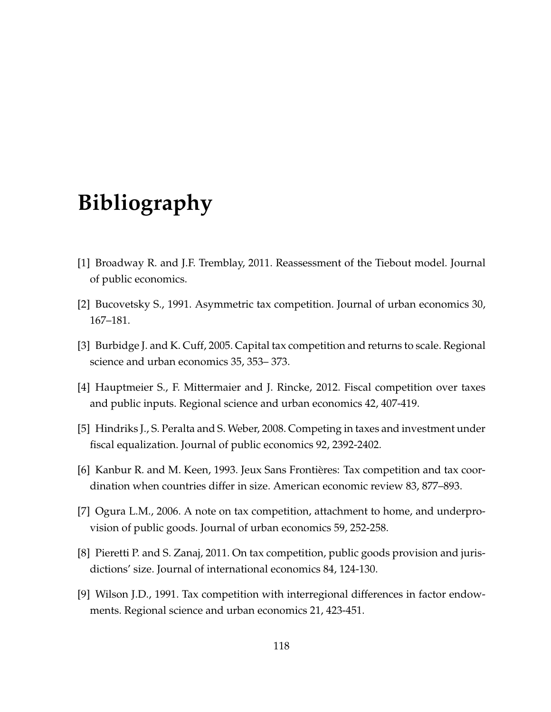# **Bibliography**

- [1] Broadway R. and J.F. Tremblay, 2011. Reassessment of the Tiebout model. Journal of public economics.
- [2] Bucovetsky S., 1991. Asymmetric tax competition. Journal of urban economics 30, 167–181.
- [3] Burbidge J. and K. Cuff, 2005. Capital tax competition and returns to scale. Regional science and urban economics 35, 353– 373.
- [4] Hauptmeier S., F. Mittermaier and J. Rincke, 2012. Fiscal competition over taxes and public inputs. Regional science and urban economics 42, 407-419.
- [5] Hindriks J., S. Peralta and S. Weber, 2008. Competing in taxes and investment under fiscal equalization. Journal of public economics 92, 2392-2402.
- [6] Kanbur R. and M. Keen, 1993. Jeux Sans Frontières: Tax competition and tax coordination when countries differ in size. American economic review 83, 877–893.
- [7] Ogura L.M., 2006. A note on tax competition, attachment to home, and underprovision of public goods. Journal of urban economics 59, 252-258.
- [8] Pieretti P. and S. Zanaj, 2011. On tax competition, public goods provision and jurisdictions' size. Journal of international economics 84, 124-130.
- [9] Wilson J.D., 1991. Tax competition with interregional differences in factor endowments. Regional science and urban economics 21, 423-451.